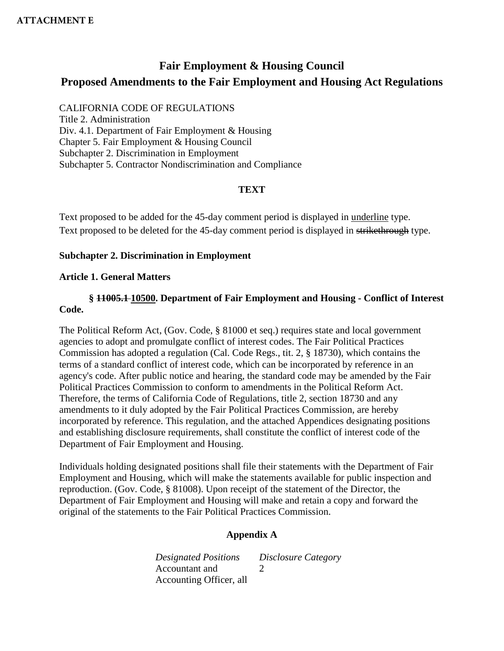# **Fair Employment & Housing Council Proposed Amendments to the Fair Employment and Housing Act Regulations**

CALIFORNIA CODE OF REGULATIONS Title 2. Administration Div. 4.1. Department of Fair Employment & Housing Chapter 5. Fair Employment & Housing Council Subchapter 2. Discrimination in Employment Subchapter 5. Contractor Nondiscrimination and Compliance

#### **TEXT**

Text proposed to be added for the 45-day comment period is displayed in underline type. Text proposed to be deleted for the 45-day comment period is displayed in strikethrough type.

#### **Subchapter 2. Discrimination in Employment**

#### **Article 1. General Matters**

### **§ 11005.1 10500. Department of Fair Employment and Housing - Conflict of Interest Code.**

The Political Reform Act, (Gov. Code, § 81000 et seq.) requires state and local government agencies to adopt and promulgate conflict of interest codes. The Fair Political Practices Commission has adopted a regulation (Cal. Code Regs., tit. 2, § 18730), which contains the terms of a standard conflict of interest code, which can be incorporated by reference in an agency's code. After public notice and hearing, the standard code may be amended by the Fair Political Practices Commission to conform to amendments in the Political Reform Act. Therefore, the terms of California Code of Regulations, title 2, section 18730 and any amendments to it duly adopted by the Fair Political Practices Commission, are hereby incorporated by reference. This regulation, and the attached Appendices designating positions and establishing disclosure requirements, shall constitute the conflict of interest code of the Department of Fair Employment and Housing.

Individuals holding designated positions shall file their statements with the Department of Fair Employment and Housing, which will make the statements available for public inspection and reproduction. (Gov. Code, § 81008). Upon receipt of the statement of the Director, the Department of Fair Employment and Housing will make and retain a copy and forward the original of the statements to the Fair Political Practices Commission.

#### **Appendix A**

*Designated Positions Disclosure Category* Accountant and Accounting Officer, all  $\mathcal{D}_{\mathcal{L}}$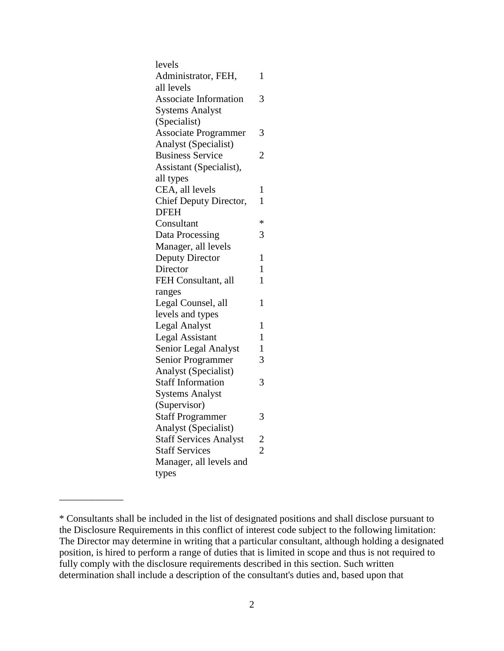levels Administrator, FEH, all levels 1 Associate Information Systems Analyst (Specialist) 3 Associate Programmer Analyst (Specialist) 3 Business Service Assistant (Specialist), all types 2 CEA, all levels 1 Chief Deputy Director, DFEH 1 Consultant \* Data Processing Manager, all levels 3 Deputy Director 1 Director 1 FEH Consultant, all ranges 1 Legal Counsel, all levels and types 1 Legal Analyst 1 Legal Assistant 1 Senior Legal Analyst 1 Senior Programmer Analyst (Specialist) 3 Staff Information Systems Analyst (Supervisor) 3 Staff Programmer Analyst (Specialist) 3 Staff Services Analyst 2 Staff Services Manager, all levels and types 2

\_\_\_\_\_\_\_\_\_\_\_\_\_

<sup>\*</sup> Consultants shall be included in the list of designated positions and shall disclose pursuant to the Disclosure Requirements in this conflict of interest code subject to the following limitation: The Director may determine in writing that a particular consultant, although holding a designated position, is hired to perform a range of duties that is limited in scope and thus is not required to fully comply with the disclosure requirements described in this section. Such written determination shall include a description of the consultant's duties and, based upon that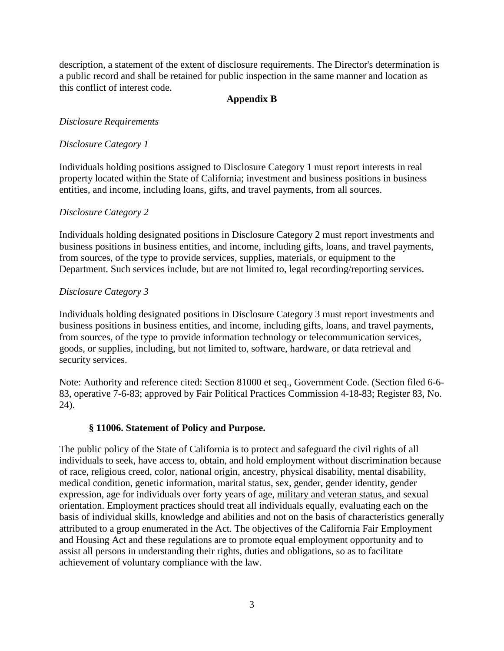description, a statement of the extent of disclosure requirements. The Director's determination is a public record and shall be retained for public inspection in the same manner and location as this conflict of interest code.

#### **Appendix B**

## *Disclosure Requirements*

## *Disclosure Category 1*

Individuals holding positions assigned to Disclosure Category 1 must report interests in real property located within the State of California; investment and business positions in business entities, and income, including loans, gifts, and travel payments, from all sources.

## *Disclosure Category 2*

Individuals holding designated positions in Disclosure Category 2 must report investments and business positions in business entities, and income, including gifts, loans, and travel payments, from sources, of the type to provide services, supplies, materials, or equipment to the Department. Such services include, but are not limited to, legal recording/reporting services.

## *Disclosure Category 3*

Individuals holding designated positions in Disclosure Category 3 must report investments and business positions in business entities, and income, including gifts, loans, and travel payments, from sources, of the type to provide information technology or telecommunication services, goods, or supplies, including, but not limited to, software, hardware, or data retrieval and security services.

Note: Authority and reference cited: Section 81000 et seq., Government Code. (Section filed 6-6- 83, operative 7-6-83; approved by Fair Political Practices Commission 4-18-83; Register 83, No. 24).

#### **§ 11006. Statement of Policy and Purpose.**

The public policy of the State of California is to protect and safeguard the civil rights of all individuals to seek, have access to, obtain, and hold employment without discrimination because of race, religious creed, color, national origin, ancestry, physical disability, mental disability, medical condition, genetic information, marital status, sex, gender, gender identity, gender expression, age for individuals over forty years of age, military and veteran status, and sexual orientation. Employment practices should treat all individuals equally, evaluating each on the basis of individual skills, knowledge and abilities and not on the basis of characteristics generally attributed to a group enumerated in the Act. The objectives of the California Fair Employment and Housing Act and these regulations are to promote equal employment opportunity and to assist all persons in understanding their rights, duties and obligations, so as to facilitate achievement of voluntary compliance with the law.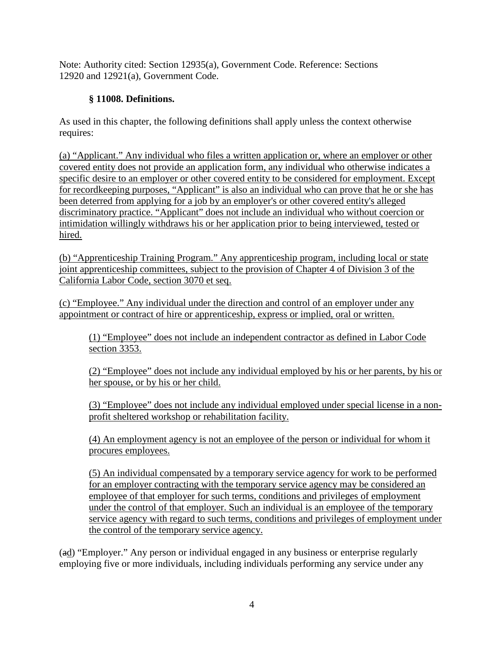Note: Authority cited: Section 12935(a), Government Code. Reference: Sections 12920 and 12921(a), Government Code.

## **§ 11008. Definitions.**

As used in this chapter, the following definitions shall apply unless the context otherwise requires:

(a) "Applicant." Any individual who files a written application or, where an employer or other covered entity does not provide an application form, any individual who otherwise indicates a specific desire to an employer or other covered entity to be considered for employment. Except for recordkeeping purposes, "Applicant" is also an individual who can prove that he or she has been deterred from applying for a job by an employer's or other covered entity's alleged discriminatory practice. "Applicant" does not include an individual who without coercion or intimidation willingly withdraws his or her application prior to being interviewed, tested or hired.

(b) "Apprenticeship Training Program." Any apprenticeship program, including local or state joint apprenticeship committees, subject to the provision of Chapter 4 of Division 3 of the California Labor Code, section 3070 et seq.

(c) "Employee." Any individual under the direction and control of an employer under any appointment or contract of hire or apprenticeship, express or implied, oral or written.

(1) "Employee" does not include an independent contractor as defined in Labor Code section 3353.

(2) "Employee" does not include any individual employed by his or her parents, by his or her spouse, or by his or her child.

(3) "Employee" does not include any individual employed under special license in a nonprofit sheltered workshop or rehabilitation facility.

(4) An employment agency is not an employee of the person or individual for whom it procures employees.

(5) An individual compensated by a temporary service agency for work to be performed for an employer contracting with the temporary service agency may be considered an employee of that employer for such terms, conditions and privileges of employment under the control of that employer. Such an individual is an employee of the temporary service agency with regard to such terms, conditions and privileges of employment under the control of the temporary service agency.

(ad) "Employer." Any person or individual engaged in any business or enterprise regularly employing five or more individuals, including individuals performing any service under any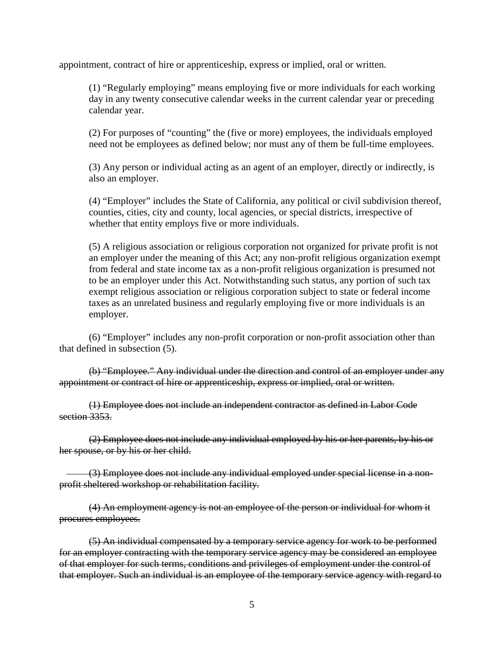appointment, contract of hire or apprenticeship, express or implied, oral or written.

(1) "Regularly employing" means employing five or more individuals for each working day in any twenty consecutive calendar weeks in the current calendar year or preceding calendar year.

(2) For purposes of "counting" the (five or more) employees, the individuals employed need not be employees as defined below; nor must any of them be full-time employees.

(3) Any person or individual acting as an agent of an employer, directly or indirectly, is also an employer.

(4) "Employer" includes the State of California, any political or civil subdivision thereof, counties, cities, city and county, local agencies, or special districts, irrespective of whether that entity employs five or more individuals.

(5) A religious association or religious corporation not organized for private profit is not an employer under the meaning of this Act; any non-profit religious organization exempt from federal and state income tax as a non-profit religious organization is presumed not to be an employer under this Act. Notwithstanding such status, any portion of such tax exempt religious association or religious corporation subject to state or federal income taxes as an unrelated business and regularly employing five or more individuals is an employer.

(6) "Employer" includes any non-profit corporation or non-profit association other than that defined in subsection (5).

(b) "Employee." Any individual under the direction and control of an employer under any appointment or contract of hire or apprenticeship, express or implied, oral or written.

(1) Employee does not include an independent contractor as defined in Labor Code section 3353.

(2) Employee does not include any individual employed by his or her parents, by his or her spouse, or by his or her child.

(3) Employee does not include any individual employed under special license in a nonprofit sheltered workshop or rehabilitation facility.

(4) An employment agency is not an employee of the person or individual for whom it procures employees.

(5) An individual compensated by a temporary service agency for work to be performed for an employer contracting with the temporary service agency may be considered an employee of that employer for such terms, conditions and privileges of employment under the control of that employer. Such an individual is an employee of the temporary service agency with regard to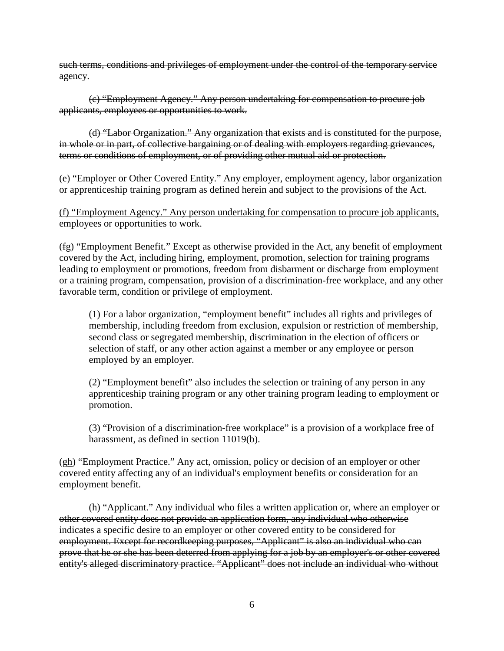such terms, conditions and privileges of employment under the control of the temporary service agency.

(c) "Employment Agency." Any person undertaking for compensation to procure job applicants, employees or opportunities to work.

(d) "Labor Organization." Any organization that exists and is constituted for the purpose, in whole or in part, of collective bargaining or of dealing with employers regarding grievances, terms or conditions of employment, or of providing other mutual aid or protection.

(e) "Employer or Other Covered Entity." Any employer, employment agency, labor organization or apprenticeship training program as defined herein and subject to the provisions of the Act.

(f) "Employment Agency." Any person undertaking for compensation to procure job applicants, employees or opportunities to work.

(fg) "Employment Benefit." Except as otherwise provided in the Act, any benefit of employment covered by the Act, including hiring, employment, promotion, selection for training programs leading to employment or promotions, freedom from disbarment or discharge from employment or a training program, compensation, provision of a discrimination-free workplace, and any other favorable term, condition or privilege of employment.

(1) For a labor organization, "employment benefit" includes all rights and privileges of membership, including freedom from exclusion, expulsion or restriction of membership, second class or segregated membership, discrimination in the election of officers or selection of staff, or any other action against a member or any employee or person employed by an employer.

(2) "Employment benefit" also includes the selection or training of any person in any apprenticeship training program or any other training program leading to employment or promotion.

(3) "Provision of a discrimination-free workplace" is a provision of a workplace free of harassment, as defined in section 11019(b).

(gh) "Employment Practice." Any act, omission, policy or decision of an employer or other covered entity affecting any of an individual's employment benefits or consideration for an employment benefit.

(h) "Applicant." Any individual who files a written application or, where an employer or other covered entity does not provide an application form, any individual who otherwise indicates a specific desire to an employer or other covered entity to be considered for employment. Except for recordkeeping purposes, "Applicant" is also an individual who can prove that he or she has been deterred from applying for a job by an employer's or other covered entity's alleged discriminatory practice. "Applicant" does not include an individual who without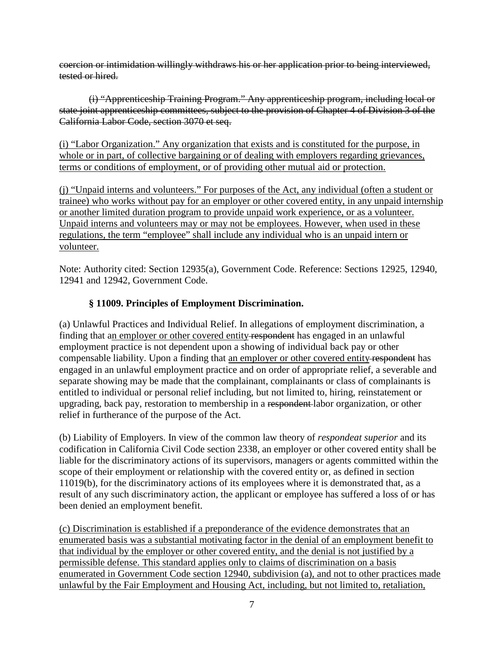coercion or intimidation willingly withdraws his or her application prior to being interviewed, tested or hired.

(i) "Apprenticeship Training Program." Any apprenticeship program, including local or state joint apprenticeship committees, subject to the provision of Chapter 4 of Division 3 of the California Labor Code, section 3070 et seq.

(i) "Labor Organization." Any organization that exists and is constituted for the purpose, in whole or in part, of collective bargaining or of dealing with employers regarding grievances, terms or conditions of employment, or of providing other mutual aid or protection.

(j) "Unpaid interns and volunteers." For purposes of the Act, any individual (often a student or trainee) who works without pay for an employer or other covered entity, in any unpaid internship or another limited duration program to provide unpaid work experience, or as a volunteer. Unpaid interns and volunteers may or may not be employees. However, when used in these regulations, the term "employee" shall include any individual who is an unpaid intern or volunteer.

Note: Authority cited: Section 12935(a), Government Code. Reference: Sections 12925, 12940, 12941 and 12942, Government Code.

## **§ 11009. Principles of Employment Discrimination.**

(a) Unlawful Practices and Individual Relief. In allegations of employment discrimination, a finding that an employer or other covered entity respondent has engaged in an unlawful employment practice is not dependent upon a showing of individual back pay or other compensable liability. Upon a finding that an employer or other covered entity respondent has engaged in an unlawful employment practice and on order of appropriate relief, a severable and separate showing may be made that the complainant, complainants or class of complainants is entitled to individual or personal relief including, but not limited to, hiring, reinstatement or upgrading, back pay, restoration to membership in a respondent labor organization, or other relief in furtherance of the purpose of the Act.

(b) Liability of Employers. In view of the common law theory of *respondeat superior* and its codification in California Civil Code section 2338, an employer or other covered entity shall be liable for the discriminatory actions of its supervisors, managers or agents committed within the scope of their employment or relationship with the covered entity or, as defined in section 11019(b), for the discriminatory actions of its employees where it is demonstrated that, as a result of any such discriminatory action, the applicant or employee has suffered a loss of or has been denied an employment benefit.

(c) Discrimination is established if a preponderance of the evidence demonstrates that an enumerated basis was a substantial motivating factor in the denial of an employment benefit to that individual by the employer or other covered entity, and the denial is not justified by a permissible defense. This standard applies only to claims of discrimination on a basis enumerated in Government Code section 12940, subdivision (a), and not to other practices made unlawful by the Fair Employment and Housing Act, including, but not limited to, retaliation,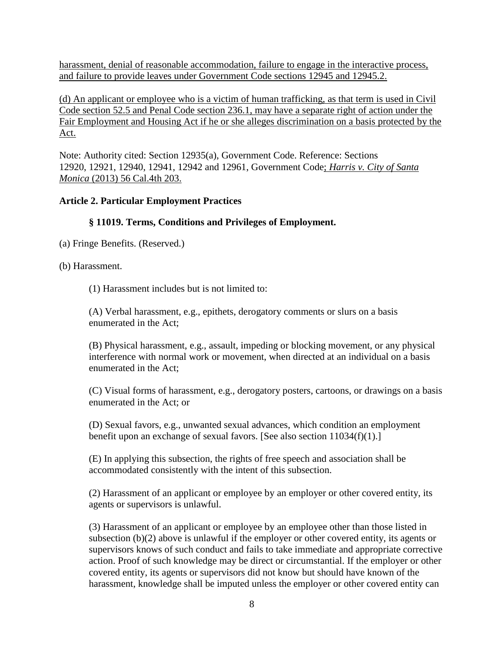harassment, denial of reasonable accommodation, failure to engage in the interactive process, and failure to provide leaves under Government Code sections 12945 and 12945.2.

(d) An applicant or employee who is a victim of human trafficking, as that term is used in Civil Code section 52.5 and Penal Code section 236.1, may have a separate right of action under the Fair Employment and Housing Act if he or she alleges discrimination on a basis protected by the Act.

Note: Authority cited: Section 12935(a), Government Code. Reference: Sections 12920, 12921, 12940, 12941, 12942 and 12961, Government Code; *Harris v. City of Santa Monica* (2013) 56 Cal.4th 203.

#### **Article 2. Particular Employment Practices**

#### **§ 11019. Terms, Conditions and Privileges of Employment.**

(a) Fringe Benefits. (Reserved.)

(b) Harassment.

(1) Harassment includes but is not limited to:

(A) Verbal harassment, e.g., epithets, derogatory comments or slurs on a basis enumerated in the Act;

(B) Physical harassment, e.g., assault, impeding or blocking movement, or any physical interference with normal work or movement, when directed at an individual on a basis enumerated in the Act;

(C) Visual forms of harassment, e.g., derogatory posters, cartoons, or drawings on a basis enumerated in the Act; or

(D) Sexual favors, e.g., unwanted sexual advances, which condition an employment benefit upon an exchange of sexual favors. [See also section 11034(f)(1).]

(E) In applying this subsection, the rights of free speech and association shall be accommodated consistently with the intent of this subsection.

(2) Harassment of an applicant or employee by an employer or other covered entity, its agents or supervisors is unlawful.

(3) Harassment of an applicant or employee by an employee other than those listed in subsection (b)(2) above is unlawful if the employer or other covered entity, its agents or supervisors knows of such conduct and fails to take immediate and appropriate corrective action. Proof of such knowledge may be direct or circumstantial. If the employer or other covered entity, its agents or supervisors did not know but should have known of the harassment, knowledge shall be imputed unless the employer or other covered entity can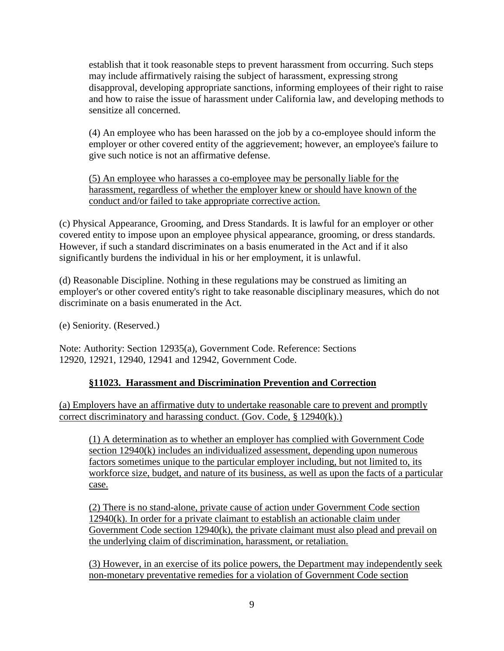establish that it took reasonable steps to prevent harassment from occurring. Such steps may include affirmatively raising the subject of harassment, expressing strong disapproval, developing appropriate sanctions, informing employees of their right to raise and how to raise the issue of harassment under California law, and developing methods to sensitize all concerned.

(4) An employee who has been harassed on the job by a co-employee should inform the employer or other covered entity of the aggrievement; however, an employee's failure to give such notice is not an affirmative defense.

(5) An employee who harasses a co-employee may be personally liable for the harassment, regardless of whether the employer knew or should have known of the conduct and/or failed to take appropriate corrective action.

(c) Physical Appearance, Grooming, and Dress Standards. It is lawful for an employer or other covered entity to impose upon an employee physical appearance, grooming, or dress standards. However, if such a standard discriminates on a basis enumerated in the Act and if it also significantly burdens the individual in his or her employment, it is unlawful.

(d) Reasonable Discipline. Nothing in these regulations may be construed as limiting an employer's or other covered entity's right to take reasonable disciplinary measures, which do not discriminate on a basis enumerated in the Act.

(e) Seniority. (Reserved.)

Note: Authority: Section 12935(a), Government Code. Reference: Sections 12920, 12921, 12940, 12941 and 12942, Government Code.

## **§11023. Harassment and Discrimination Prevention and Correction**

(a) Employers have an affirmative duty to undertake reasonable care to prevent and promptly correct discriminatory and harassing conduct. (Gov. Code, § 12940(k).)

(1) A determination as to whether an employer has complied with Government Code section 12940(k) includes an individualized assessment, depending upon numerous factors sometimes unique to the particular employer including, but not limited to, its workforce size, budget, and nature of its business, as well as upon the facts of a particular case.

(2) There is no stand-alone, private cause of action under Government Code section 12940(k). In order for a private claimant to establish an actionable claim under Government Code section 12940(k), the private claimant must also plead and prevail on the underlying claim of discrimination, harassment, or retaliation.

(3) However, in an exercise of its police powers, the Department may independently seek non-monetary preventative remedies for a violation of Government Code section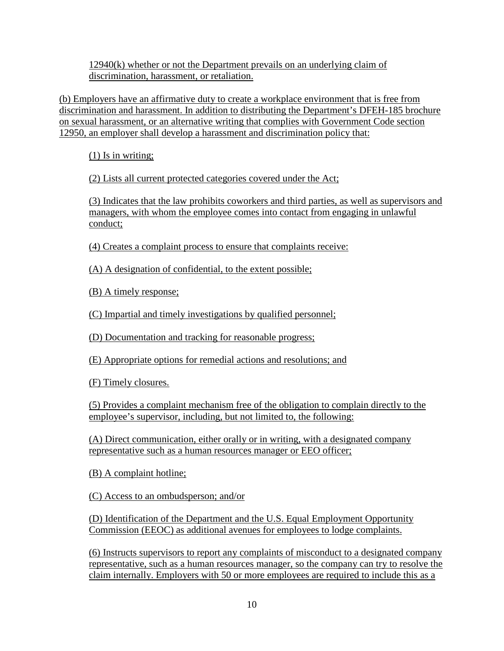12940(k) whether or not the Department prevails on an underlying claim of discrimination, harassment, or retaliation.

(b) Employers have an affirmative duty to create a workplace environment that is free from discrimination and harassment. In addition to distributing the Department's DFEH-185 brochure on sexual harassment, or an alternative writing that complies with Government Code section 12950, an employer shall develop a harassment and discrimination policy that:

(1) Is in writing;

(2) Lists all current protected categories covered under the Act;

(3) Indicates that the law prohibits coworkers and third parties, as well as supervisors and managers, with whom the employee comes into contact from engaging in unlawful conduct;

(4) Creates a complaint process to ensure that complaints receive:

(A) A designation of confidential, to the extent possible;

(B) A timely response;

(C) Impartial and timely investigations by qualified personnel;

(D) Documentation and tracking for reasonable progress;

(E) Appropriate options for remedial actions and resolutions; and

(F) Timely closures.

(5) Provides a complaint mechanism free of the obligation to complain directly to the employee's supervisor, including, but not limited to, the following:

(A) Direct communication, either orally or in writing, with a designated company representative such as a human resources manager or EEO officer;

(B) A complaint hotline;

(C) Access to an ombudsperson; and/or

(D) Identification of the Department and the U.S. Equal Employment Opportunity Commission (EEOC) as additional avenues for employees to lodge complaints.

(6) Instructs supervisors to report any complaints of misconduct to a designated company representative, such as a human resources manager, so the company can try to resolve the claim internally. Employers with 50 or more employees are required to include this as a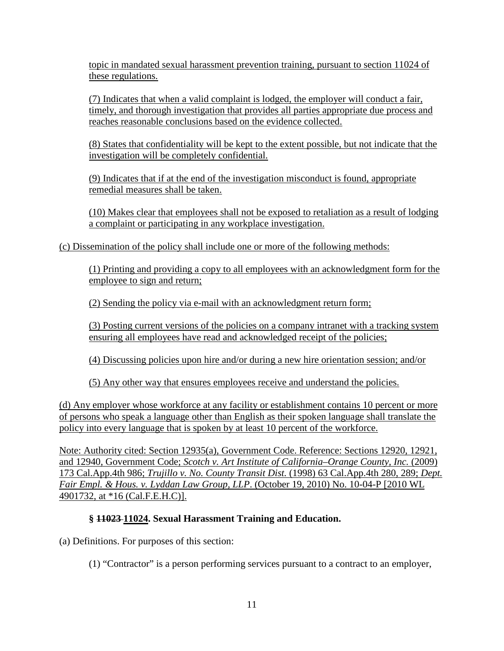topic in mandated sexual harassment prevention training, pursuant to section 11024 of these regulations.

(7) Indicates that when a valid complaint is lodged, the employer will conduct a fair, timely, and thorough investigation that provides all parties appropriate due process and reaches reasonable conclusions based on the evidence collected.

(8) States that confidentiality will be kept to the extent possible, but not indicate that the investigation will be completely confidential.

(9) Indicates that if at the end of the investigation misconduct is found, appropriate remedial measures shall be taken.

(10) Makes clear that employees shall not be exposed to retaliation as a result of lodging a complaint or participating in any workplace investigation.

(c) Dissemination of the policy shall include one or more of the following methods:

(1) Printing and providing a copy to all employees with an acknowledgment form for the employee to sign and return;

(2) Sending the policy via e-mail with an acknowledgment return form;

(3) Posting current versions of the policies on a company intranet with a tracking system ensuring all employees have read and acknowledged receipt of the policies;

(4) Discussing policies upon hire and/or during a new hire orientation session; and/or

(5) Any other way that ensures employees receive and understand the policies.

(d) Any employer whose workforce at any facility or establishment contains 10 percent or more of persons who speak a language other than English as their spoken language shall translate the policy into every language that is spoken by at least 10 percent of the workforce.

Note: Authority cited: Section 12935(a), Government Code. Reference: Sections 12920, 12921, and 12940, Government Code; *Scotch v. Art Institute of California–Orange County, Inc.* (2009) 173 Cal.App.4th 986; *Trujillo v. No. County Transit Dist.* (1998) 63 Cal.App.4th 280, 289; *Dept. Fair Empl. & Hous. v. Lyddan Law Group, LLP*. (October 19, 2010) No. 10-04-P [2010 WL 4901732, at \*16 (Cal.F.E.H.C)].

## **§ 11023 11024. Sexual Harassment Training and Education.**

(a) Definitions. For purposes of this section:

(1) "Contractor" is a person performing services pursuant to a contract to an employer,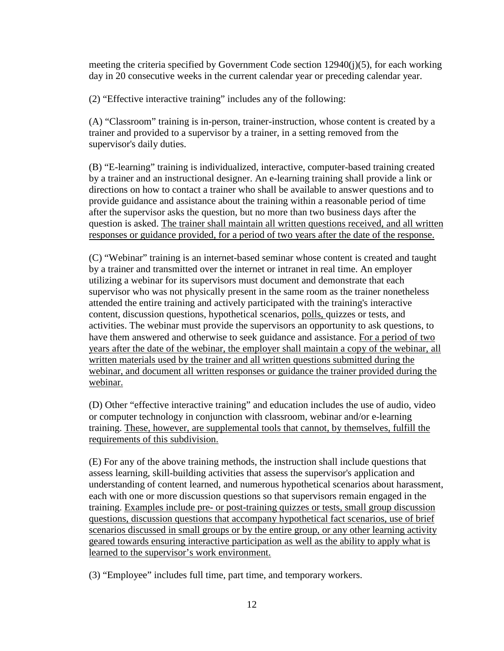meeting the criteria specified by Government Code section  $12940(i)(5)$ , for each working day in 20 consecutive weeks in the current calendar year or preceding calendar year.

(2) "Effective interactive training" includes any of the following:

(A) "Classroom" training is in-person, trainer-instruction, whose content is created by a trainer and provided to a supervisor by a trainer, in a setting removed from the supervisor's daily duties.

(B) "E-learning" training is individualized, interactive, computer-based training created by a trainer and an instructional designer. An e-learning training shall provide a link or directions on how to contact a trainer who shall be available to answer questions and to provide guidance and assistance about the training within a reasonable period of time after the supervisor asks the question, but no more than two business days after the question is asked. The trainer shall maintain all written questions received, and all written responses or guidance provided, for a period of two years after the date of the response.

(C) "Webinar" training is an internet-based seminar whose content is created and taught by a trainer and transmitted over the internet or intranet in real time. An employer utilizing a webinar for its supervisors must document and demonstrate that each supervisor who was not physically present in the same room as the trainer nonetheless attended the entire training and actively participated with the training's interactive content, discussion questions, hypothetical scenarios, polls, quizzes or tests, and activities. The webinar must provide the supervisors an opportunity to ask questions, to have them answered and otherwise to seek guidance and assistance. For a period of two years after the date of the webinar, the employer shall maintain a copy of the webinar, all written materials used by the trainer and all written questions submitted during the webinar, and document all written responses or guidance the trainer provided during the webinar.

(D) Other "effective interactive training" and education includes the use of audio, video or computer technology in conjunction with classroom, webinar and/or e-learning training. These, however, are supplemental tools that cannot, by themselves, fulfill the requirements of this subdivision.

(E) For any of the above training methods, the instruction shall include questions that assess learning, skill-building activities that assess the supervisor's application and understanding of content learned, and numerous hypothetical scenarios about harassment, each with one or more discussion questions so that supervisors remain engaged in the training. Examples include pre- or post-training quizzes or tests, small group discussion questions, discussion questions that accompany hypothetical fact scenarios, use of brief scenarios discussed in small groups or by the entire group, or any other learning activity geared towards ensuring interactive participation as well as the ability to apply what is learned to the supervisor's work environment.

(3) "Employee" includes full time, part time, and temporary workers.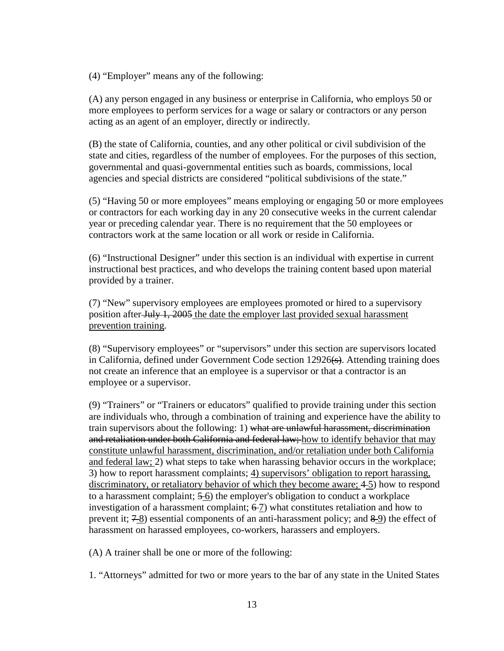(4) "Employer" means any of the following:

(A) any person engaged in any business or enterprise in California, who employs 50 or more employees to perform services for a wage or salary or contractors or any person acting as an agent of an employer, directly or indirectly.

(B) the state of California, counties, and any other political or civil subdivision of the state and cities, regardless of the number of employees. For the purposes of this section, governmental and quasi-governmental entities such as boards, commissions, local agencies and special districts are considered "political subdivisions of the state."

(5) "Having 50 or more employees" means employing or engaging 50 or more employees or contractors for each working day in any 20 consecutive weeks in the current calendar year or preceding calendar year. There is no requirement that the 50 employees or contractors work at the same location or all work or reside in California.

(6) "Instructional Designer" under this section is an individual with expertise in current instructional best practices, and who develops the training content based upon material provided by a trainer.

(7) "New" supervisory employees are employees promoted or hired to a supervisory position after July 1, 2005 the date the employer last provided sexual harassment prevention training.

(8) "Supervisory employees" or "supervisors" under this section are supervisors located in California, defined under Government Code section  $12926 \leftrightarrow$ . Attending training does not create an inference that an employee is a supervisor or that a contractor is an employee or a supervisor.

(9) "Trainers" or "Trainers or educators" qualified to provide training under this section are individuals who, through a combination of training and experience have the ability to train supervisors about the following: 1) what are unlawful harassment, discrimination and retaliation under both California and federal law; how to identify behavior that may constitute unlawful harassment, discrimination, and/or retaliation under both California and federal law; 2) what steps to take when harassing behavior occurs in the workplace; 3) how to report harassment complaints; 4) supervisors' obligation to report harassing, discriminatory, or retaliatory behavior of which they become aware; 4-5) how to respond to a harassment complaint; 5 6) the employer's obligation to conduct a workplace investigation of a harassment complaint;  $6-7$ ) what constitutes retaliation and how to prevent it;  $7-8$ ) essential components of an anti-harassment policy; and  $8-9$ ) the effect of harassment on harassed employees, co-workers, harassers and employers.

(A) A trainer shall be one or more of the following:

1. "Attorneys" admitted for two or more years to the bar of any state in the United States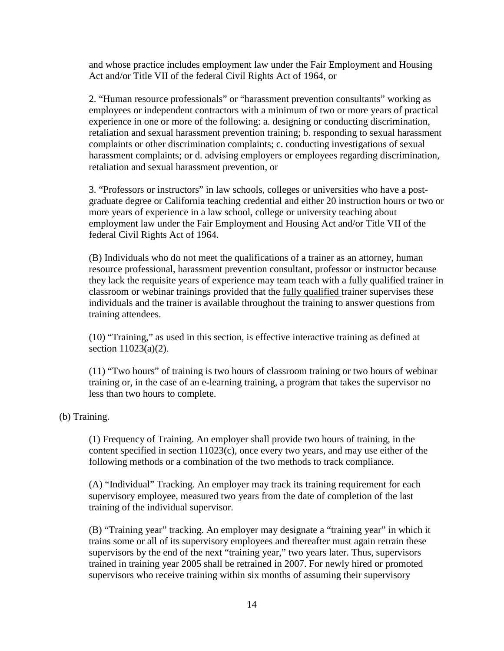and whose practice includes employment law under the Fair Employment and Housing Act and/or Title VII of the federal Civil Rights Act of 1964, or

2. "Human resource professionals" or "harassment prevention consultants" working as employees or independent contractors with a minimum of two or more years of practical experience in one or more of the following: a. designing or conducting discrimination, retaliation and sexual harassment prevention training; b. responding to sexual harassment complaints or other discrimination complaints; c. conducting investigations of sexual harassment complaints; or d. advising employers or employees regarding discrimination, retaliation and sexual harassment prevention, or

3. "Professors or instructors" in law schools, colleges or universities who have a postgraduate degree or California teaching credential and either 20 instruction hours or two or more years of experience in a law school, college or university teaching about employment law under the Fair Employment and Housing Act and/or Title VII of the federal Civil Rights Act of 1964.

(B) Individuals who do not meet the qualifications of a trainer as an attorney, human resource professional, harassment prevention consultant, professor or instructor because they lack the requisite years of experience may team teach with a fully qualified trainer in classroom or webinar trainings provided that the fully qualified trainer supervises these individuals and the trainer is available throughout the training to answer questions from training attendees.

(10) "Training," as used in this section, is effective interactive training as defined at section 11023(a)(2).

(11) "Two hours" of training is two hours of classroom training or two hours of webinar training or, in the case of an e-learning training, a program that takes the supervisor no less than two hours to complete.

#### (b) Training.

(1) Frequency of Training. An employer shall provide two hours of training, in the content specified in section 11023(c), once every two years, and may use either of the following methods or a combination of the two methods to track compliance.

(A) "Individual" Tracking. An employer may track its training requirement for each supervisory employee, measured two years from the date of completion of the last training of the individual supervisor.

(B) "Training year" tracking. An employer may designate a "training year" in which it trains some or all of its supervisory employees and thereafter must again retrain these supervisors by the end of the next "training year," two years later. Thus, supervisors trained in training year 2005 shall be retrained in 2007. For newly hired or promoted supervisors who receive training within six months of assuming their supervisory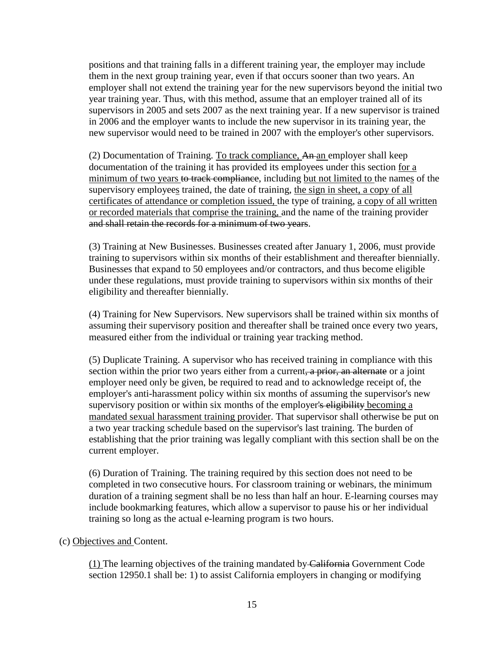positions and that training falls in a different training year, the employer may include them in the next group training year, even if that occurs sooner than two years. An employer shall not extend the training year for the new supervisors beyond the initial two year training year. Thus, with this method, assume that an employer trained all of its supervisors in 2005 and sets 2007 as the next training year. If a new supervisor is trained in 2006 and the employer wants to include the new supervisor in its training year, the new supervisor would need to be trained in 2007 with the employer's other supervisors.

(2) Documentation of Training. To track compliance, An an employer shall keep documentation of the training it has provided its employees under this section for a minimum of two years to track compliance, including but not limited to the names of the supervisory employees trained, the date of training, the sign in sheet, a copy of all certificates of attendance or completion issued, the type of training, a copy of all written or recorded materials that comprise the training, and the name of the training provider and shall retain the records for a minimum of two years.

(3) Training at New Businesses. Businesses created after January 1, 2006, must provide training to supervisors within six months of their establishment and thereafter biennially. Businesses that expand to 50 employees and/or contractors, and thus become eligible under these regulations, must provide training to supervisors within six months of their eligibility and thereafter biennially.

(4) Training for New Supervisors. New supervisors shall be trained within six months of assuming their supervisory position and thereafter shall be trained once every two years, measured either from the individual or training year tracking method.

(5) Duplicate Training. A supervisor who has received training in compliance with this section within the prior two years either from a current, a prior, an alternate or a joint employer need only be given, be required to read and to acknowledge receipt of, the employer's anti-harassment policy within six months of assuming the supervisor's new supervisory position or within six months of the employer's eligibility becoming a mandated sexual harassment training provider. That supervisor shall otherwise be put on a two year tracking schedule based on the supervisor's last training. The burden of establishing that the prior training was legally compliant with this section shall be on the current employer.

(6) Duration of Training. The training required by this section does not need to be completed in two consecutive hours. For classroom training or webinars, the minimum duration of a training segment shall be no less than half an hour. E-learning courses may include bookmarking features, which allow a supervisor to pause his or her individual training so long as the actual e-learning program is two hours.

#### (c) Objectives and Content.

(1) The learning objectives of the training mandated by California Government Code section 12950.1 shall be: 1) to assist California employers in changing or modifying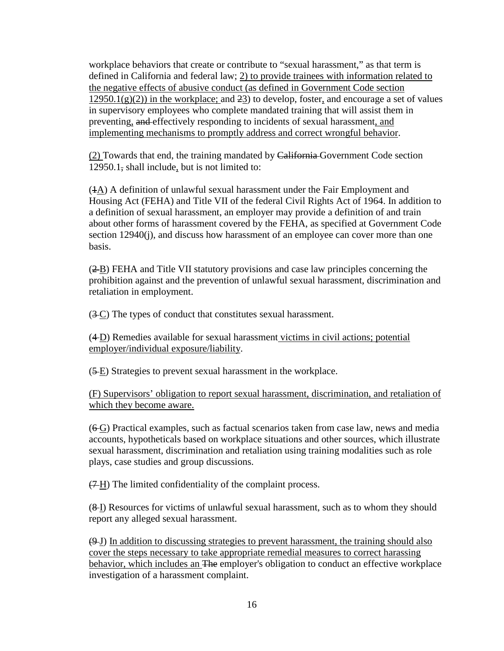workplace behaviors that create or contribute to "sexual harassment," as that term is defined in California and federal law; 2) to provide trainees with information related to the negative effects of abusive conduct (as defined in Government Code section  $12950.1(g)(2)$ ) in the workplace; and  $23$ ) to develop, foster, and encourage a set of values in supervisory employees who complete mandated training that will assist them in preventing, and effectively responding to incidents of sexual harassment, and implementing mechanisms to promptly address and correct wrongful behavior.

(2) Towards that end, the training mandated by California Government Code section 12950.1, shall include, but is not limited to:

 $(1A)$  A definition of unlawful sexual harassment under the Fair Employment and Housing Act (FEHA) and Title VII of the federal Civil Rights Act of 1964. In addition to a definition of sexual harassment, an employer may provide a definition of and train about other forms of harassment covered by the FEHA, as specified at Government Code section 12940(j), and discuss how harassment of an employee can cover more than one basis.

(2 B) FEHA and Title VII statutory provisions and case law principles concerning the prohibition against and the prevention of unlawful sexual harassment, discrimination and retaliation in employment.

(3 C) The types of conduct that constitutes sexual harassment.

 $(4-D)$  Remedies available for sexual harassment victims in civil actions; potential employer/individual exposure/liability.

(5 E) Strategies to prevent sexual harassment in the workplace.

(F) Supervisors' obligation to report sexual harassment, discrimination, and retaliation of which they become aware.

(6 G) Practical examples, such as factual scenarios taken from case law, news and media accounts, hypotheticals based on workplace situations and other sources, which illustrate sexual harassment, discrimination and retaliation using training modalities such as role plays, case studies and group discussions.

(7 H) The limited confidentiality of the complaint process.

(8 I) Resources for victims of unlawful sexual harassment, such as to whom they should report any alleged sexual harassment.

(9 J) In addition to discussing strategies to prevent harassment, the training should also cover the steps necessary to take appropriate remedial measures to correct harassing behavior, which includes an The employer's obligation to conduct an effective workplace investigation of a harassment complaint.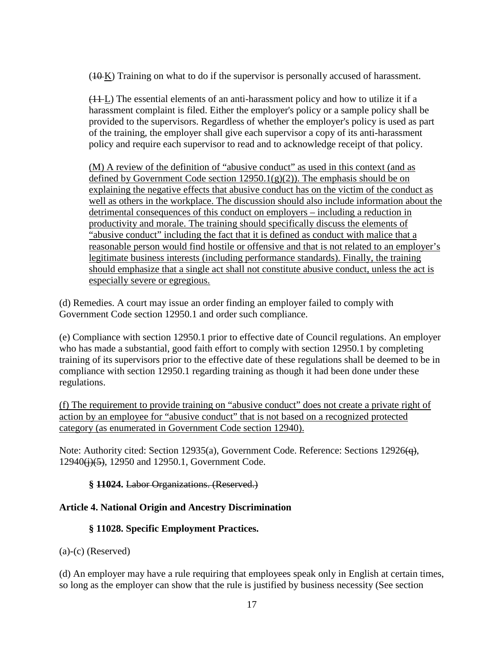$(10 K)$  Training on what to do if the supervisor is personally accused of harassment.

(11 L) The essential elements of an anti-harassment policy and how to utilize it if a harassment complaint is filed. Either the employer's policy or a sample policy shall be provided to the supervisors. Regardless of whether the employer's policy is used as part of the training, the employer shall give each supervisor a copy of its anti-harassment policy and require each supervisor to read and to acknowledge receipt of that policy.

(M) A review of the definition of "abusive conduct" as used in this context (and as defined by Government Code section  $12950.1(g)(2)$ ). The emphasis should be on explaining the negative effects that abusive conduct has on the victim of the conduct as well as others in the workplace. The discussion should also include information about the detrimental consequences of this conduct on employers – including a reduction in productivity and morale. The training should specifically discuss the elements of "abusive conduct" including the fact that it is defined as conduct with malice that a reasonable person would find hostile or offensive and that is not related to an employer's legitimate business interests (including performance standards). Finally, the training should emphasize that a single act shall not constitute abusive conduct, unless the act is especially severe or egregious.

(d) Remedies. A court may issue an order finding an employer failed to comply with Government Code section 12950.1 and order such compliance.

(e) Compliance with section 12950.1 prior to effective date of Council regulations. An employer who has made a substantial, good faith effort to comply with section 12950.1 by completing training of its supervisors prior to the effective date of these regulations shall be deemed to be in compliance with section 12950.1 regarding training as though it had been done under these regulations.

(f) The requirement to provide training on "abusive conduct" does not create a private right of action by an employee for "abusive conduct" that is not based on a recognized protected category (as enumerated in Government Code section 12940).

Note: Authority cited: Section 12935(a), Government Code. Reference: Sections  $12926(\theta)$ , 12940<del>(j)(5)</del>, 12950 and 12950.1, Government Code.

**§ 11024.** Labor Organizations. (Reserved.)

#### **Article 4. National Origin and Ancestry Discrimination**

#### **§ 11028. Specific Employment Practices.**

(a)-(c) (Reserved)

(d) An employer may have a rule requiring that employees speak only in English at certain times, so long as the employer can show that the rule is justified by business necessity (See section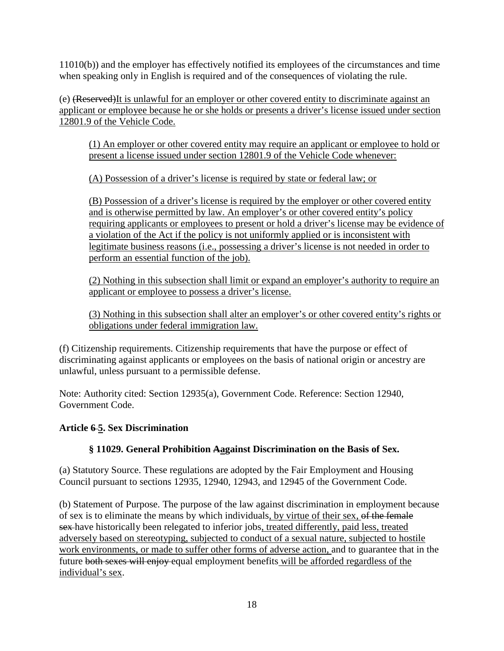11010(b)) and the employer has effectively notified its employees of the circumstances and time when speaking only in English is required and of the consequences of violating the rule.

(e) (Reserved)It is unlawful for an employer or other covered entity to discriminate against an applicant or employee because he or she holds or presents a driver's license issued under section 12801.9 of the Vehicle Code.

(1) An employer or other covered entity may require an applicant or employee to hold or present a license issued under section 12801.9 of the Vehicle Code whenever:

(A) Possession of a driver's license is required by state or federal law; or

(B) Possession of a driver's license is required by the employer or other covered entity and is otherwise permitted by law. An employer's or other covered entity's policy requiring applicants or employees to present or hold a driver's license may be evidence of a violation of the Act if the policy is not uniformly applied or is inconsistent with legitimate business reasons (i.e., possessing a driver's license is not needed in order to perform an essential function of the job).

(2) Nothing in this subsection shall limit or expand an employer's authority to require an applicant or employee to possess a driver's license.

(3) Nothing in this subsection shall alter an employer's or other covered entity's rights or obligations under federal immigration law.

(f) Citizenship requirements. Citizenship requirements that have the purpose or effect of discriminating against applicants or employees on the basis of national origin or ancestry are unlawful, unless pursuant to a permissible defense.

Note: Authority cited: Section 12935(a), Government Code. Reference: Section 12940, Government Code.

## **Article 6 5. Sex Discrimination**

## **§ 11029. General Prohibition Aagainst Discrimination on the Basis of Sex.**

(a) Statutory Source. These regulations are adopted by the Fair Employment and Housing Council pursuant to sections 12935, 12940, 12943, and 12945 of the Government Code.

(b) Statement of Purpose. The purpose of the law against discrimination in employment because of sex is to eliminate the means by which individuals, by virtue of their sex, of the female sex have historically been relegated to inferior jobs, treated differently, paid less, treated adversely based on stereotyping, subjected to conduct of a sexual nature, subjected to hostile work environments, or made to suffer other forms of adverse action, and to guarantee that in the future both sexes will enjoy equal employment benefits will be afforded regardless of the individual's sex.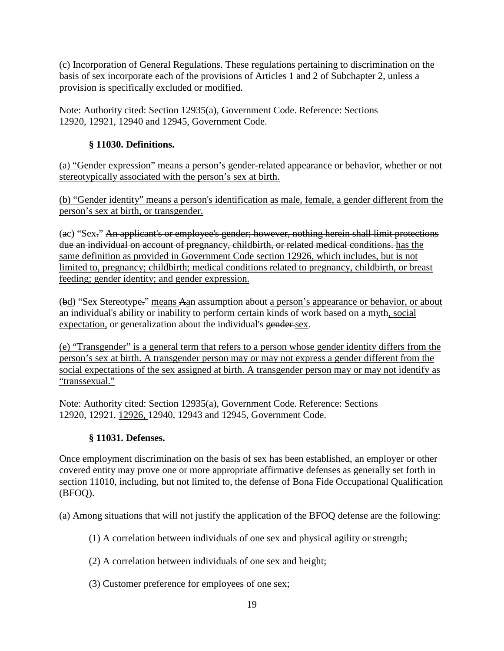(c) Incorporation of General Regulations. These regulations pertaining to discrimination on the basis of sex incorporate each of the provisions of Articles 1 and 2 of Subchapter 2, unless a provision is specifically excluded or modified.

Note: Authority cited: Section 12935(a), Government Code. Reference: Sections 12920, 12921, 12940 and 12945, Government Code.

## **§ 11030. Definitions.**

(a) "Gender expression" means a person's gender-related appearance or behavior, whether or not stereotypically associated with the person's sex at birth.

(b) "Gender identity" means a person's identification as male, female, a gender different from the person's sex at birth, or transgender.

(ac) "Sex." An applicant's or employee's gender; however, nothing herein shall limit protections due an individual on account of pregnancy, childbirth, or related medical conditions. has the same definition as provided in Government Code section 12926, which includes, but is not limited to, pregnancy; childbirth; medical conditions related to pregnancy, childbirth, or breast feeding; gender identity; and gender expression.

(bd) "Sex Stereotype." means Aan assumption about a person's appearance or behavior, or about an individual's ability or inability to perform certain kinds of work based on a myth, social expectation, or generalization about the individual's gender sex.

(e) "Transgender" is a general term that refers to a person whose gender identity differs from the person's sex at birth. A transgender person may or may not express a gender different from the social expectations of the sex assigned at birth. A transgender person may or may not identify as "transsexual."

Note: Authority cited: Section 12935(a), Government Code. Reference: Sections 12920, 12921, 12926, 12940, 12943 and 12945, Government Code.

## **§ 11031. Defenses.**

Once employment discrimination on the basis of sex has been established, an employer or other covered entity may prove one or more appropriate affirmative defenses as generally set forth in section 11010, including, but not limited to, the defense of Bona Fide Occupational Qualification (BFOQ).

(a) Among situations that will not justify the application of the BFOQ defense are the following:

- (1) A correlation between individuals of one sex and physical agility or strength;
- (2) A correlation between individuals of one sex and height;
- (3) Customer preference for employees of one sex;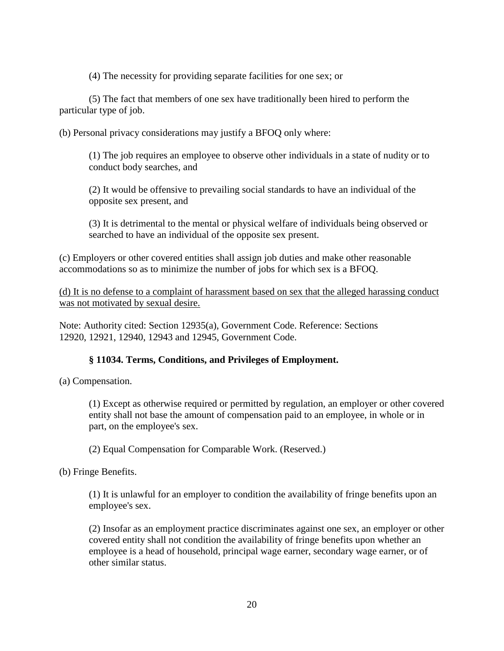(4) The necessity for providing separate facilities for one sex; or

(5) The fact that members of one sex have traditionally been hired to perform the particular type of job.

(b) Personal privacy considerations may justify a BFOQ only where:

(1) The job requires an employee to observe other individuals in a state of nudity or to conduct body searches, and

(2) It would be offensive to prevailing social standards to have an individual of the opposite sex present, and

(3) It is detrimental to the mental or physical welfare of individuals being observed or searched to have an individual of the opposite sex present.

(c) Employers or other covered entities shall assign job duties and make other reasonable accommodations so as to minimize the number of jobs for which sex is a BFOQ.

(d) It is no defense to a complaint of harassment based on sex that the alleged harassing conduct was not motivated by sexual desire.

Note: Authority cited: Section 12935(a), Government Code. Reference: Sections 12920, 12921, 12940, 12943 and 12945, Government Code.

#### **§ 11034. Terms, Conditions, and Privileges of Employment.**

(a) Compensation.

(1) Except as otherwise required or permitted by regulation, an employer or other covered entity shall not base the amount of compensation paid to an employee, in whole or in part, on the employee's sex.

(2) Equal Compensation for Comparable Work. (Reserved.)

(b) Fringe Benefits.

(1) It is unlawful for an employer to condition the availability of fringe benefits upon an employee's sex.

(2) Insofar as an employment practice discriminates against one sex, an employer or other covered entity shall not condition the availability of fringe benefits upon whether an employee is a head of household, principal wage earner, secondary wage earner, or of other similar status.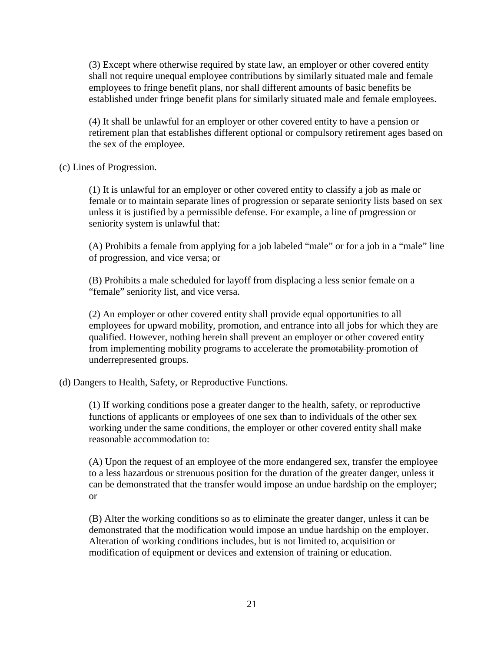(3) Except where otherwise required by state law, an employer or other covered entity shall not require unequal employee contributions by similarly situated male and female employees to fringe benefit plans, nor shall different amounts of basic benefits be established under fringe benefit plans for similarly situated male and female employees.

(4) It shall be unlawful for an employer or other covered entity to have a pension or retirement plan that establishes different optional or compulsory retirement ages based on the sex of the employee.

(c) Lines of Progression.

(1) It is unlawful for an employer or other covered entity to classify a job as male or female or to maintain separate lines of progression or separate seniority lists based on sex unless it is justified by a permissible defense. For example, a line of progression or seniority system is unlawful that:

(A) Prohibits a female from applying for a job labeled "male" or for a job in a "male" line of progression, and vice versa; or

(B) Prohibits a male scheduled for layoff from displacing a less senior female on a "female" seniority list, and vice versa.

(2) An employer or other covered entity shall provide equal opportunities to all employees for upward mobility, promotion, and entrance into all jobs for which they are qualified. However, nothing herein shall prevent an employer or other covered entity from implementing mobility programs to accelerate the promotability promotion of underrepresented groups.

(d) Dangers to Health, Safety, or Reproductive Functions.

(1) If working conditions pose a greater danger to the health, safety, or reproductive functions of applicants or employees of one sex than to individuals of the other sex working under the same conditions, the employer or other covered entity shall make reasonable accommodation to:

(A) Upon the request of an employee of the more endangered sex, transfer the employee to a less hazardous or strenuous position for the duration of the greater danger, unless it can be demonstrated that the transfer would impose an undue hardship on the employer; or

(B) Alter the working conditions so as to eliminate the greater danger, unless it can be demonstrated that the modification would impose an undue hardship on the employer. Alteration of working conditions includes, but is not limited to, acquisition or modification of equipment or devices and extension of training or education.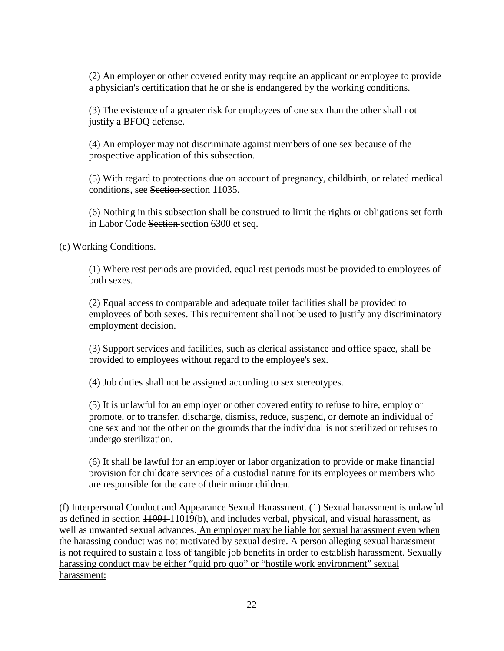(2) An employer or other covered entity may require an applicant or employee to provide a physician's certification that he or she is endangered by the working conditions.

(3) The existence of a greater risk for employees of one sex than the other shall not justify a BFOQ defense.

(4) An employer may not discriminate against members of one sex because of the prospective application of this subsection.

(5) With regard to protections due on account of pregnancy, childbirth, or related medical conditions, see Section section 11035.

(6) Nothing in this subsection shall be construed to limit the rights or obligations set forth in Labor Code Section section 6300 et seq.

(e) Working Conditions.

(1) Where rest periods are provided, equal rest periods must be provided to employees of both sexes.

(2) Equal access to comparable and adequate toilet facilities shall be provided to employees of both sexes. This requirement shall not be used to justify any discriminatory employment decision.

(3) Support services and facilities, such as clerical assistance and office space, shall be provided to employees without regard to the employee's sex.

(4) Job duties shall not be assigned according to sex stereotypes.

(5) It is unlawful for an employer or other covered entity to refuse to hire, employ or promote, or to transfer, discharge, dismiss, reduce, suspend, or demote an individual of one sex and not the other on the grounds that the individual is not sterilized or refuses to undergo sterilization.

(6) It shall be lawful for an employer or labor organization to provide or make financial provision for childcare services of a custodial nature for its employees or members who are responsible for the care of their minor children.

(f) Interpersonal Conduct and Appearance Sexual Harassment. (1) Sexual harassment is unlawful as defined in section 11091 11019(b), and includes verbal, physical, and visual harassment, as well as unwanted sexual advances. An employer may be liable for sexual harassment even when the harassing conduct was not motivated by sexual desire. A person alleging sexual harassment is not required to sustain a loss of tangible job benefits in order to establish harassment. Sexually harassing conduct may be either "quid pro quo" or "hostile work environment" sexual harassment: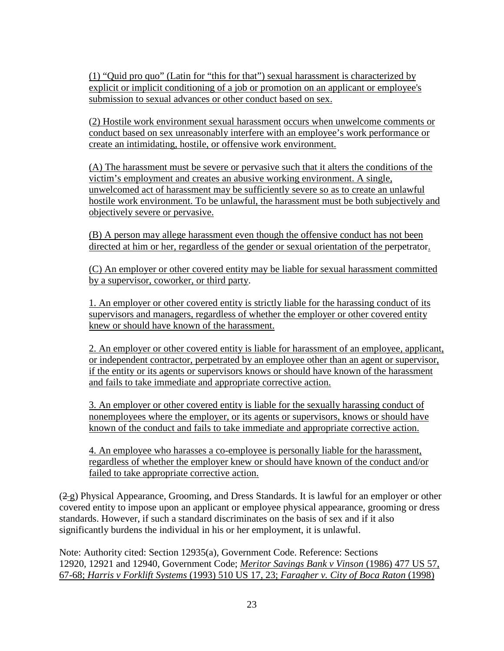(1) "Quid pro quo" (Latin for "this for that") sexual harassment is characterized by explicit or implicit conditioning of a job or promotion on an applicant or employee's submission to sexual advances or other conduct based on sex.

(2) Hostile work environment sexual harassment occurs when unwelcome comments or conduct based on sex unreasonably interfere with an employee's work performance or create an intimidating, hostile, or offensive work environment.

(A) The harassment must be severe or pervasive such that it alters the conditions of the victim's employment and creates an abusive working environment. A single, unwelcomed act of harassment may be sufficiently severe so as to create an unlawful hostile work environment. To be unlawful, the harassment must be both subjectively and objectively severe or pervasive.

(B) A person may allege harassment even though the offensive conduct has not been directed at him or her, regardless of the gender or sexual orientation of the perpetrator.

(C) An employer or other covered entity may be liable for sexual harassment committed by a supervisor, coworker, or third party.

1. An employer or other covered entity is strictly liable for the harassing conduct of its supervisors and managers, regardless of whether the employer or other covered entity knew or should have known of the harassment.

2. An employer or other covered entity is liable for harassment of an employee, applicant, or independent contractor, perpetrated by an employee other than an agent or supervisor, if the entity or its agents or supervisors knows or should have known of the harassment and fails to take immediate and appropriate corrective action.

3. An employer or other covered entity is liable for the sexually harassing conduct of nonemployees where the employer, or its agents or supervisors, knows or should have known of the conduct and fails to take immediate and appropriate corrective action.

4. An employee who harasses a co-employee is personally liable for the harassment, regardless of whether the employer knew or should have known of the conduct and/or failed to take appropriate corrective action.

(2 g) Physical Appearance, Grooming, and Dress Standards. It is lawful for an employer or other covered entity to impose upon an applicant or employee physical appearance, grooming or dress standards. However, if such a standard discriminates on the basis of sex and if it also significantly burdens the individual in his or her employment, it is unlawful.

Note: Authority cited: Section 12935(a), Government Code. Reference: Sections 12920, 12921 and 12940, Government Code; *Meritor Savings Bank v Vinson* (1986) 477 US 57, 67-68; *Harris v Forklift Systems* (1993) 510 US 17, 23; *Faragher v. City of Boca Raton* (1998)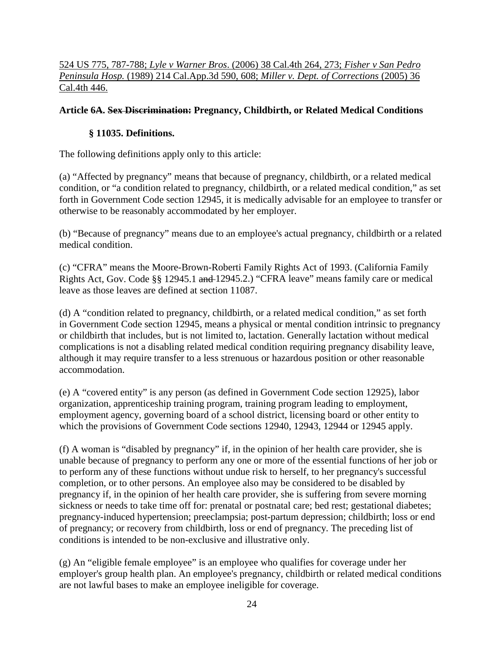524 US 775, 787-788; *Lyle v Warner Bros*. (2006) 38 Cal.4th 264, 273; *Fisher v San Pedro Peninsula Hosp.* (1989) 214 Cal.App.3d 590, 608; *Miller v. Dept. of Corrections* (2005) 36 Cal.4th 446.

## **Article 6A. Sex Discrimination: Pregnancy, Childbirth, or Related Medical Conditions**

### **§ 11035. Definitions.**

The following definitions apply only to this article:

(a) "Affected by pregnancy" means that because of pregnancy, childbirth, or a related medical condition, or "a condition related to pregnancy, childbirth, or a related medical condition," as set forth in Government Code section 12945, it is medically advisable for an employee to transfer or otherwise to be reasonably accommodated by her employer.

(b) "Because of pregnancy" means due to an employee's actual pregnancy, childbirth or a related medical condition.

(c) "CFRA" means the Moore-Brown-Roberti Family Rights Act of 1993. (California Family Rights Act, Gov. Code §§ 12945.1 and 12945.2.) "CFRA leave" means family care or medical leave as those leaves are defined at section 11087.

(d) A "condition related to pregnancy, childbirth, or a related medical condition," as set forth in Government Code section 12945, means a physical or mental condition intrinsic to pregnancy or childbirth that includes, but is not limited to, lactation. Generally lactation without medical complications is not a disabling related medical condition requiring pregnancy disability leave, although it may require transfer to a less strenuous or hazardous position or other reasonable accommodation.

(e) A "covered entity" is any person (as defined in Government Code section 12925), labor organization, apprenticeship training program, training program leading to employment, employment agency, governing board of a school district, licensing board or other entity to which the provisions of Government Code sections 12940, 12943, 12944 or 12945 apply.

(f) A woman is "disabled by pregnancy" if, in the opinion of her health care provider, she is unable because of pregnancy to perform any one or more of the essential functions of her job or to perform any of these functions without undue risk to herself, to her pregnancy's successful completion, or to other persons. An employee also may be considered to be disabled by pregnancy if, in the opinion of her health care provider, she is suffering from severe morning sickness or needs to take time off for: prenatal or postnatal care; bed rest; gestational diabetes; pregnancy-induced hypertension; preeclampsia; post-partum depression; childbirth; loss or end of pregnancy; or recovery from childbirth, loss or end of pregnancy. The preceding list of conditions is intended to be non-exclusive and illustrative only.

(g) An "eligible female employee" is an employee who qualifies for coverage under her employer's group health plan. An employee's pregnancy, childbirth or related medical conditions are not lawful bases to make an employee ineligible for coverage.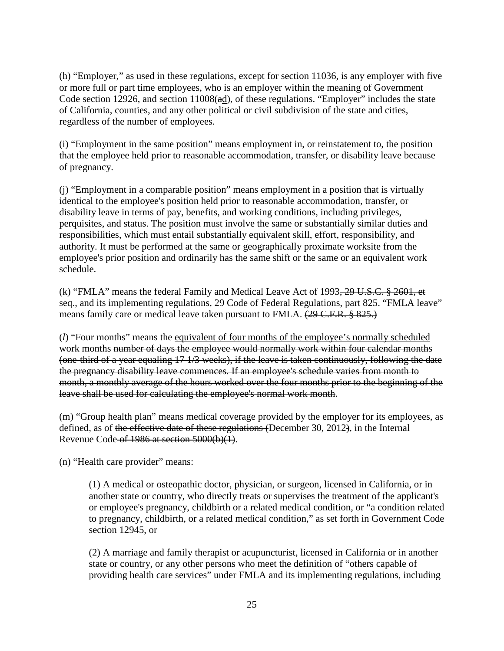(h) "Employer," as used in these regulations, except for section 11036, is any employer with five or more full or part time employees, who is an employer within the meaning of Government Code section 12926, and section 11008(ad), of these regulations. "Employer" includes the state of California, counties, and any other political or civil subdivision of the state and cities, regardless of the number of employees.

(i) "Employment in the same position" means employment in, or reinstatement to, the position that the employee held prior to reasonable accommodation, transfer, or disability leave because of pregnancy.

(j) "Employment in a comparable position" means employment in a position that is virtually identical to the employee's position held prior to reasonable accommodation, transfer, or disability leave in terms of pay, benefits, and working conditions, including privileges, perquisites, and status. The position must involve the same or substantially similar duties and responsibilities, which must entail substantially equivalent skill, effort, responsibility, and authority. It must be performed at the same or geographically proximate worksite from the employee's prior position and ordinarily has the same shift or the same or an equivalent work schedule.

(k) "FMLA" means the federal Family and Medical Leave Act of 1993, 29 U.S.C. § 2601, et seq., and its implementing regulations, 29 Code of Federal Regulations, part 825. "FMLA leave" means family care or medical leave taken pursuant to FMLA. (29 C.F.R. § 825.)

(*l*) "Four months" means the equivalent of four months of the employee's normally scheduled work months number of days the employee would normally work within four calendar months (one-third of a year equaling 17 1/3 weeks), if the leave is taken continuously, following the date the pregnancy disability leave commences. If an employee's schedule varies from month to month, a monthly average of the hours worked over the four months prior to the beginning of the leave shall be used for calculating the employee's normal work month.

(m) "Group health plan" means medical coverage provided by the employer for its employees, as defined, as of the effective date of these regulations (December 30, 2012), in the Internal Revenue Code of 1986 at section 5000(b)(1).

(n) "Health care provider" means:

(1) A medical or osteopathic doctor, physician, or surgeon, licensed in California, or in another state or country, who directly treats or supervises the treatment of the applicant's or employee's pregnancy, childbirth or a related medical condition, or "a condition related to pregnancy, childbirth, or a related medical condition," as set forth in Government Code section 12945, or

(2) A marriage and family therapist or acupuncturist, licensed in California or in another state or country, or any other persons who meet the definition of "others capable of providing health care services" under FMLA and its implementing regulations, including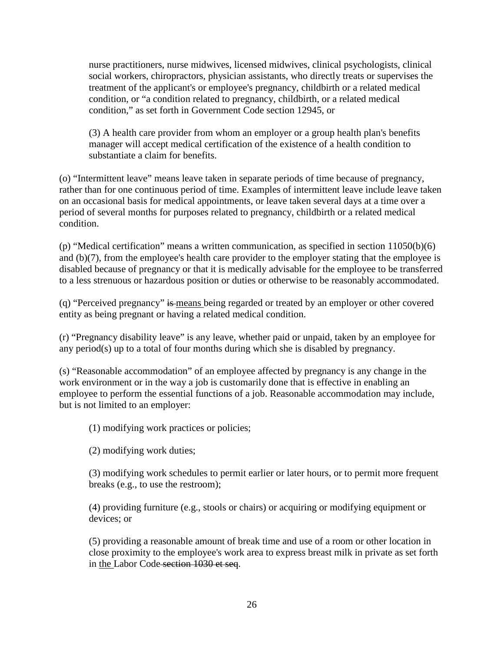nurse practitioners, nurse midwives, licensed midwives, clinical psychologists, clinical social workers, chiropractors, physician assistants, who directly treats or supervises the treatment of the applicant's or employee's pregnancy, childbirth or a related medical condition, or "a condition related to pregnancy, childbirth, or a related medical condition," as set forth in Government Code section 12945, or

(3) A health care provider from whom an employer or a group health plan's benefits manager will accept medical certification of the existence of a health condition to substantiate a claim for benefits.

(o) "Intermittent leave" means leave taken in separate periods of time because of pregnancy, rather than for one continuous period of time. Examples of intermittent leave include leave taken on an occasional basis for medical appointments, or leave taken several days at a time over a period of several months for purposes related to pregnancy, childbirth or a related medical condition.

(p) "Medical certification" means a written communication, as specified in section 11050(b)(6) and (b)(7), from the employee's health care provider to the employer stating that the employee is disabled because of pregnancy or that it is medically advisable for the employee to be transferred to a less strenuous or hazardous position or duties or otherwise to be reasonably accommodated.

(q) "Perceived pregnancy" is means being regarded or treated by an employer or other covered entity as being pregnant or having a related medical condition.

(r) "Pregnancy disability leave" is any leave, whether paid or unpaid, taken by an employee for any period(s) up to a total of four months during which she is disabled by pregnancy.

(s) "Reasonable accommodation" of an employee affected by pregnancy is any change in the work environment or in the way a job is customarily done that is effective in enabling an employee to perform the essential functions of a job. Reasonable accommodation may include, but is not limited to an employer:

(1) modifying work practices or policies;

(2) modifying work duties;

(3) modifying work schedules to permit earlier or later hours, or to permit more frequent breaks (e.g., to use the restroom);

(4) providing furniture (e.g., stools or chairs) or acquiring or modifying equipment or devices; or

(5) providing a reasonable amount of break time and use of a room or other location in close proximity to the employee's work area to express breast milk in private as set forth in the Labor Code section 1030 et seq.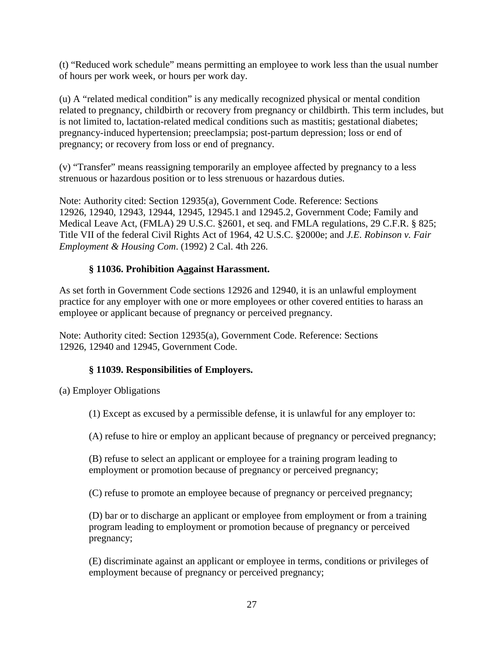(t) "Reduced work schedule" means permitting an employee to work less than the usual number of hours per work week, or hours per work day.

(u) A "related medical condition" is any medically recognized physical or mental condition related to pregnancy, childbirth or recovery from pregnancy or childbirth. This term includes, but is not limited to, lactation-related medical conditions such as mastitis; gestational diabetes; pregnancy-induced hypertension; preeclampsia; post-partum depression; loss or end of pregnancy; or recovery from loss or end of pregnancy.

(v) "Transfer" means reassigning temporarily an employee affected by pregnancy to a less strenuous or hazardous position or to less strenuous or hazardous duties.

Note: Authority cited: Section 12935(a), Government Code. Reference: Sections 12926, 12940, 12943, 12944, 12945, 12945.1 and 12945.2, Government Code; Family and Medical Leave Act, (FMLA) 29 U.S.C. §2601, et seq. and FMLA regulations, 29 C.F.R. § 825; Title VII of the federal Civil Rights Act of 1964, 42 U.S.C. §2000e; and *J.E. Robinson v. Fair Employment & Housing Com*. (1992) 2 Cal. 4th 226.

## **§ 11036. Prohibition Aagainst Harassment.**

As set forth in Government Code sections 12926 and 12940, it is an unlawful employment practice for any employer with one or more employees or other covered entities to harass an employee or applicant because of pregnancy or perceived pregnancy.

Note: Authority cited: Section 12935(a), Government Code. Reference: Sections 12926, 12940 and 12945, Government Code.

## **§ 11039. Responsibilities of Employers.**

(a) Employer Obligations

(1) Except as excused by a permissible defense, it is unlawful for any employer to:

(A) refuse to hire or employ an applicant because of pregnancy or perceived pregnancy;

(B) refuse to select an applicant or employee for a training program leading to employment or promotion because of pregnancy or perceived pregnancy;

(C) refuse to promote an employee because of pregnancy or perceived pregnancy;

(D) bar or to discharge an applicant or employee from employment or from a training program leading to employment or promotion because of pregnancy or perceived pregnancy;

(E) discriminate against an applicant or employee in terms, conditions or privileges of employment because of pregnancy or perceived pregnancy;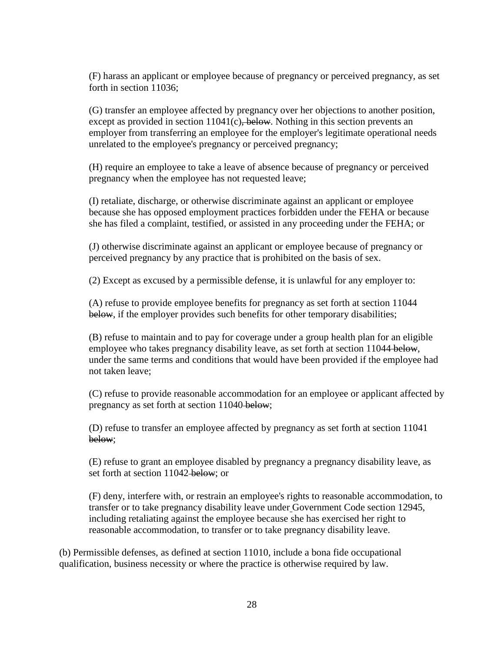(F) harass an applicant or employee because of pregnancy or perceived pregnancy, as set forth in section 11036;

(G) transfer an employee affected by pregnancy over her objections to another position, except as provided in section  $11041(c)$ , below. Nothing in this section prevents an employer from transferring an employee for the employer's legitimate operational needs unrelated to the employee's pregnancy or perceived pregnancy;

(H) require an employee to take a leave of absence because of pregnancy or perceived pregnancy when the employee has not requested leave;

(I) retaliate, discharge, or otherwise discriminate against an applicant or employee because she has opposed employment practices forbidden under the FEHA or because she has filed a complaint, testified, or assisted in any proceeding under the FEHA; or

(J) otherwise discriminate against an applicant or employee because of pregnancy or perceived pregnancy by any practice that is prohibited on the basis of sex.

(2) Except as excused by a permissible defense, it is unlawful for any employer to:

(A) refuse to provide employee benefits for pregnancy as set forth at section 11044 below, if the employer provides such benefits for other temporary disabilities;

(B) refuse to maintain and to pay for coverage under a group health plan for an eligible employee who takes pregnancy disability leave, as set forth at section 11044-below, under the same terms and conditions that would have been provided if the employee had not taken leave;

(C) refuse to provide reasonable accommodation for an employee or applicant affected by pregnancy as set forth at section 11040-below;

(D) refuse to transfer an employee affected by pregnancy as set forth at section 11041 below;

(E) refuse to grant an employee disabled by pregnancy a pregnancy disability leave, as set forth at section 11042-below; or

(F) deny, interfere with, or restrain an employee's rights to reasonable accommodation, to transfer or to take pregnancy disability leave under Government Code section 12945, including retaliating against the employee because she has exercised her right to reasonable accommodation, to transfer or to take pregnancy disability leave.

(b) Permissible defenses, as defined at section 11010, include a bona fide occupational qualification, business necessity or where the practice is otherwise required by law.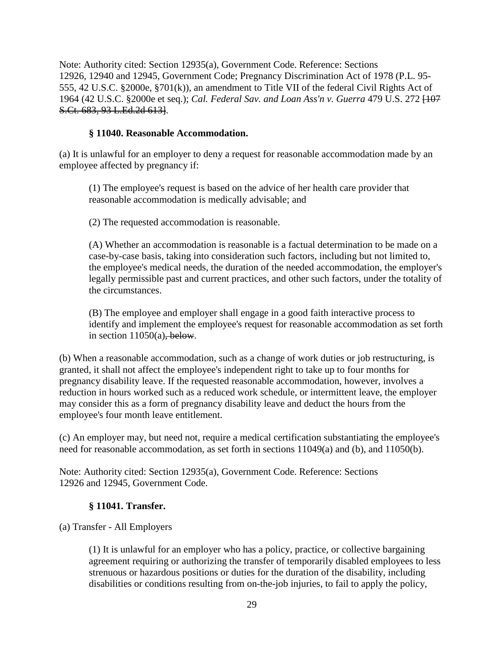Note: Authority cited: Section 12935(a), Government Code. Reference: Sections 12926, 12940 and 12945, Government Code; Pregnancy Discrimination Act of 1978 (P.L. 95- 555, 42 U.S.C. §2000e, §701(k)), an amendment to Title VII of the federal Civil Rights Act of 1964 (42 U.S.C. §2000e et seq.); *Cal. Federal Sav. and Loan Ass'n v. Guerra* 479 U.S. 272 [107 S.Ct. 683, 93 L.Ed.2d 613].

#### **§ 11040. Reasonable Accommodation.**

(a) It is unlawful for an employer to deny a request for reasonable accommodation made by an employee affected by pregnancy if:

(1) The employee's request is based on the advice of her health care provider that reasonable accommodation is medically advisable; and

(2) The requested accommodation is reasonable.

(A) Whether an accommodation is reasonable is a factual determination to be made on a case-by-case basis, taking into consideration such factors, including but not limited to, the employee's medical needs, the duration of the needed accommodation, the employer's legally permissible past and current practices, and other such factors, under the totality of the circumstances.

(B) The employee and employer shall engage in a good faith interactive process to identify and implement the employee's request for reasonable accommodation as set forth in section  $11050(a)$ , below.

(b) When a reasonable accommodation, such as a change of work duties or job restructuring, is granted, it shall not affect the employee's independent right to take up to four months for pregnancy disability leave. If the requested reasonable accommodation, however, involves a reduction in hours worked such as a reduced work schedule, or intermittent leave, the employer may consider this as a form of pregnancy disability leave and deduct the hours from the employee's four month leave entitlement.

(c) An employer may, but need not, require a medical certification substantiating the employee's need for reasonable accommodation, as set forth in sections 11049(a) and (b), and 11050(b).

Note: Authority cited: Section 12935(a), Government Code. Reference: Sections 12926 and 12945, Government Code.

#### **§ 11041. Transfer.**

(a) Transfer - All Employers

(1) It is unlawful for an employer who has a policy, practice, or collective bargaining agreement requiring or authorizing the transfer of temporarily disabled employees to less strenuous or hazardous positions or duties for the duration of the disability, including disabilities or conditions resulting from on-the-job injuries, to fail to apply the policy,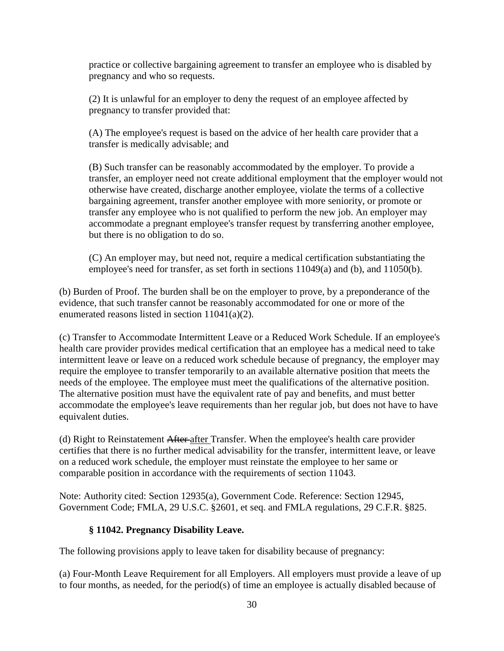practice or collective bargaining agreement to transfer an employee who is disabled by pregnancy and who so requests.

(2) It is unlawful for an employer to deny the request of an employee affected by pregnancy to transfer provided that:

(A) The employee's request is based on the advice of her health care provider that a transfer is medically advisable; and

(B) Such transfer can be reasonably accommodated by the employer. To provide a transfer, an employer need not create additional employment that the employer would not otherwise have created, discharge another employee, violate the terms of a collective bargaining agreement, transfer another employee with more seniority, or promote or transfer any employee who is not qualified to perform the new job. An employer may accommodate a pregnant employee's transfer request by transferring another employee, but there is no obligation to do so.

(C) An employer may, but need not, require a medical certification substantiating the employee's need for transfer, as set forth in sections 11049(a) and (b), and 11050(b).

(b) Burden of Proof. The burden shall be on the employer to prove, by a preponderance of the evidence, that such transfer cannot be reasonably accommodated for one or more of the enumerated reasons listed in section 11041(a)(2).

(c) Transfer to Accommodate Intermittent Leave or a Reduced Work Schedule. If an employee's health care provider provides medical certification that an employee has a medical need to take intermittent leave or leave on a reduced work schedule because of pregnancy, the employer may require the employee to transfer temporarily to an available alternative position that meets the needs of the employee. The employee must meet the qualifications of the alternative position. The alternative position must have the equivalent rate of pay and benefits, and must better accommodate the employee's leave requirements than her regular job, but does not have to have equivalent duties.

(d) Right to Reinstatement After after Transfer. When the employee's health care provider certifies that there is no further medical advisability for the transfer, intermittent leave, or leave on a reduced work schedule, the employer must reinstate the employee to her same or comparable position in accordance with the requirements of section 11043.

Note: Authority cited: Section 12935(a), Government Code. Reference: Section 12945, Government Code; FMLA, 29 U.S.C. §2601, et seq. and FMLA regulations, 29 C.F.R. §825.

## **§ 11042. Pregnancy Disability Leave.**

The following provisions apply to leave taken for disability because of pregnancy:

(a) Four-Month Leave Requirement for all Employers. All employers must provide a leave of up to four months, as needed, for the period(s) of time an employee is actually disabled because of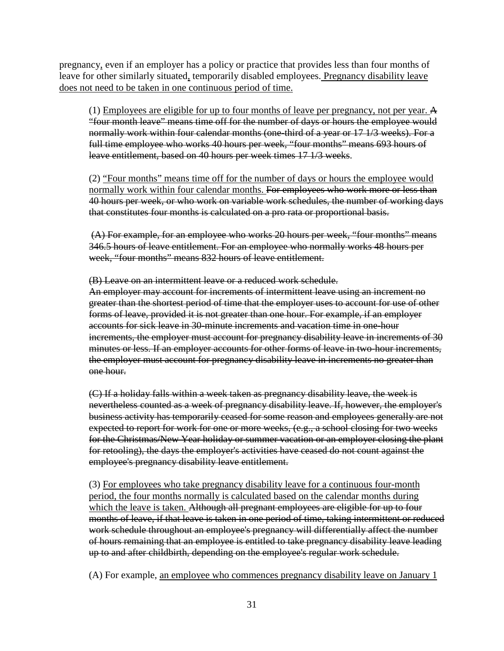pregnancy, even if an employer has a policy or practice that provides less than four months of leave for other similarly situated, temporarily disabled employees. Pregnancy disability leave does not need to be taken in one continuous period of time.

(1) Employees are eligible for up to four months of leave per pregnancy, not per year. A "four month leave" means time off for the number of days or hours the employee would normally work within four calendar months (one-third of a year or 17 1/3 weeks). For a full time employee who works 40 hours per week, "four months" means 693 hours of leave entitlement, based on 40 hours per week times 17 1/3 weeks.

(2) "Four months" means time off for the number of days or hours the employee would normally work within four calendar months. For employees who work more or less than 40 hours per week, or who work on variable work schedules, the number of working days that constitutes four months is calculated on a pro rata or proportional basis.

(A) For example, for an employee who works 20 hours per week, "four months" means 346.5 hours of leave entitlement. For an employee who normally works 48 hours per week, "four months" means 832 hours of leave entitlement.

(B) Leave on an intermittent leave or a reduced work schedule. An employer may account for increments of intermittent leave using an increment no greater than the shortest period of time that the employer uses to account for use of other forms of leave, provided it is not greater than one hour. For example, if an employer accounts for sick leave in 30-minute increments and vacation time in one-hour increments, the employer must account for pregnancy disability leave in increments of 30 minutes or less. If an employer accounts for other forms of leave in two-hour increments,

the employer must account for pregnancy disability leave in increments no greater than one hour.

(C) If a holiday falls within a week taken as pregnancy disability leave, the week is nevertheless counted as a week of pregnancy disability leave. If, however, the employer's business activity has temporarily ceased for some reason and employees generally are not expected to report for work for one or more weeks, (e.g., a school closing for two weeks for the Christmas/New Year holiday or summer vacation or an employer closing the plant for retooling), the days the employer's activities have ceased do not count against the employee's pregnancy disability leave entitlement.

(3) For employees who take pregnancy disability leave for a continuous four-month period, the four months normally is calculated based on the calendar months during which the leave is taken. Although all pregnant employees are eligible for up to four months of leave, if that leave is taken in one period of time, taking intermittent or reduced work schedule throughout an employee's pregnancy will differentially affect the number of hours remaining that an employee is entitled to take pregnancy disability leave leading up to and after childbirth, depending on the employee's regular work schedule.

(A) For example, an employee who commences pregnancy disability leave on January 1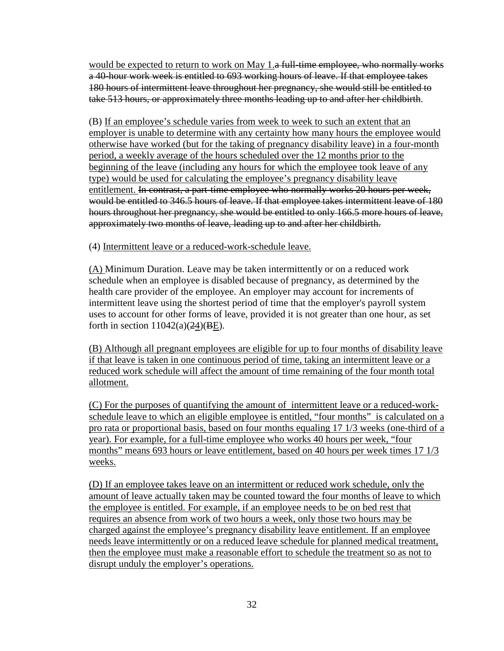would be expected to return to work on May 1.<del>a full-time employee, who normally works</del> a 40-hour work week is entitled to 693 working hours of leave. If that employee takes 180 hours of intermittent leave throughout her pregnancy, she would still be entitled to take 513 hours, or approximately three months leading up to and after her childbirth.

(B) If an employee's schedule varies from week to week to such an extent that an employer is unable to determine with any certainty how many hours the employee would otherwise have worked (but for the taking of pregnancy disability leave) in a four-month period, a weekly average of the hours scheduled over the 12 months prior to the beginning of the leave (including any hours for which the employee took leave of any type) would be used for calculating the employee's pregnancy disability leave entitlement. In contrast, a part-time employee who normally works 20 hours per week, would be entitled to 346.5 hours of leave. If that employee takes intermittent leave of 180 hours throughout her pregnancy, she would be entitled to only 166.5 more hours of leave, approximately two months of leave, leading up to and after her childbirth.

(4) Intermittent leave or a reduced-work-schedule leave.

(A) Minimum Duration. Leave may be taken intermittently or on a reduced work schedule when an employee is disabled because of pregnancy, as determined by the health care provider of the employee. An employer may account for increments of intermittent leave using the shortest period of time that the employer's payroll system uses to account for other forms of leave, provided it is not greater than one hour, as set forth in section  $11042(a)(24)(BE)$ .

(B) Although all pregnant employees are eligible for up to four months of disability leave if that leave is taken in one continuous period of time, taking an intermittent leave or a reduced work schedule will affect the amount of time remaining of the four month total allotment.

(C) For the purposes of quantifying the amount of intermittent leave or a reduced-workschedule leave to which an eligible employee is entitled, "four months" is calculated on a pro rata or proportional basis, based on four months equaling 17 1/3 weeks (one-third of a year). For example, for a full-time employee who works 40 hours per week, "four months" means 693 hours or leave entitlement, based on 40 hours per week times 17 1/3 weeks.

(D) If an employee takes leave on an intermittent or reduced work schedule, only the amount of leave actually taken may be counted toward the four months of leave to which the employee is entitled. For example, if an employee needs to be on bed rest that requires an absence from work of two hours a week, only those two hours may be charged against the employee's pregnancy disability leave entitlement. If an employee needs leave intermittently or on a reduced leave schedule for planned medical treatment, then the employee must make a reasonable effort to schedule the treatment so as not to disrupt unduly the employer's operations.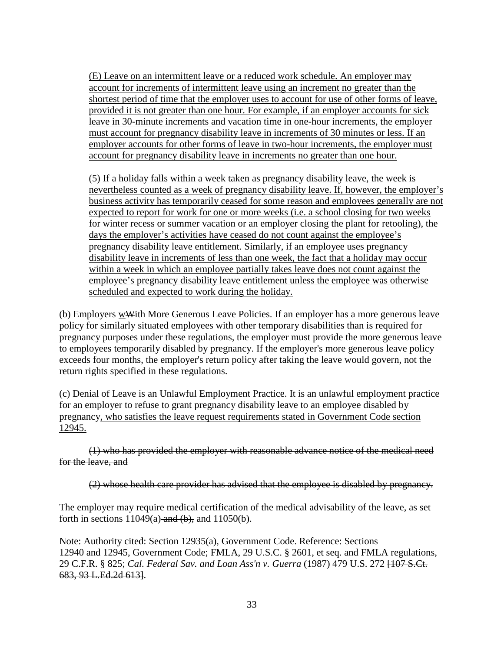(E) Leave on an intermittent leave or a reduced work schedule. An employer may account for increments of intermittent leave using an increment no greater than the shortest period of time that the employer uses to account for use of other forms of leave, provided it is not greater than one hour. For example, if an employer accounts for sick leave in 30-minute increments and vacation time in one-hour increments, the employer must account for pregnancy disability leave in increments of 30 minutes or less. If an employer accounts for other forms of leave in two-hour increments, the employer must account for pregnancy disability leave in increments no greater than one hour.

(5) If a holiday falls within a week taken as pregnancy disability leave, the week is nevertheless counted as a week of pregnancy disability leave. If, however, the employer's business activity has temporarily ceased for some reason and employees generally are not expected to report for work for one or more weeks (i.e. a school closing for two weeks for winter recess or summer vacation or an employer closing the plant for retooling), the days the employer's activities have ceased do not count against the employee's pregnancy disability leave entitlement. Similarly, if an employee uses pregnancy disability leave in increments of less than one week, the fact that a holiday may occur within a week in which an employee partially takes leave does not count against the employee's pregnancy disability leave entitlement unless the employee was otherwise scheduled and expected to work during the holiday.

(b) Employers wWith More Generous Leave Policies. If an employer has a more generous leave policy for similarly situated employees with other temporary disabilities than is required for pregnancy purposes under these regulations, the employer must provide the more generous leave to employees temporarily disabled by pregnancy. If the employer's more generous leave policy exceeds four months, the employer's return policy after taking the leave would govern, not the return rights specified in these regulations.

(c) Denial of Leave is an Unlawful Employment Practice. It is an unlawful employment practice for an employer to refuse to grant pregnancy disability leave to an employee disabled by pregnancy, who satisfies the leave request requirements stated in Government Code section 12945.

(1) who has provided the employer with reasonable advance notice of the medical need for the leave, and

(2) whose health care provider has advised that the employee is disabled by pregnancy.

The employer may require medical certification of the medical advisability of the leave, as set forth in sections  $11049(a)$  and  $(b)$ , and  $11050(b)$ .

Note: Authority cited: Section 12935(a), Government Code. Reference: Sections 12940 and 12945, Government Code; FMLA, 29 U.S.C. § 2601, et seq. and FMLA regulations, 29 C.F.R. § 825; *Cal. Federal Sav. and Loan Ass'n v. Guerra* (1987) 479 U.S. 272 [107 S.Ct. 683, 93 L.Ed.2d 613].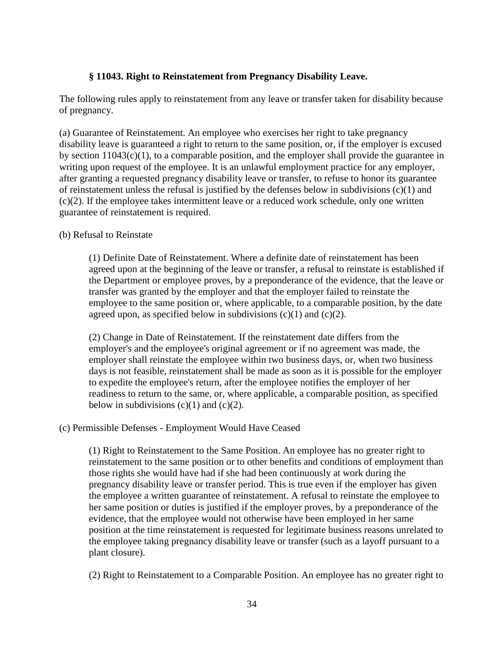#### **§ 11043. Right to Reinstatement from Pregnancy Disability Leave.**

The following rules apply to reinstatement from any leave or transfer taken for disability because of pregnancy.

(a) Guarantee of Reinstatement. An employee who exercises her right to take pregnancy disability leave is guaranteed a right to return to the same position, or, if the employer is excused by section 11043(c)(1), to a comparable position, and the employer shall provide the guarantee in writing upon request of the employee. It is an unlawful employment practice for any employer, after granting a requested pregnancy disability leave or transfer, to refuse to honor its guarantee of reinstatement unless the refusal is justified by the defenses below in subdivisions (c)(1) and (c)(2). If the employee takes intermittent leave or a reduced work schedule, only one written guarantee of reinstatement is required.

#### (b) Refusal to Reinstate

(1) Definite Date of Reinstatement. Where a definite date of reinstatement has been agreed upon at the beginning of the leave or transfer, a refusal to reinstate is established if the Department or employee proves, by a preponderance of the evidence, that the leave or transfer was granted by the employer and that the employer failed to reinstate the employee to the same position or, where applicable, to a comparable position, by the date agreed upon, as specified below in subdivisions  $(c)(1)$  and  $(c)(2)$ .

(2) Change in Date of Reinstatement. If the reinstatement date differs from the employer's and the employee's original agreement or if no agreement was made, the employer shall reinstate the employee within two business days, or, when two business days is not feasible, reinstatement shall be made as soon as it is possible for the employer to expedite the employee's return, after the employee notifies the employer of her readiness to return to the same, or, where applicable, a comparable position, as specified below in subdivisions  $(c)(1)$  and  $(c)(2)$ .

#### (c) Permissible Defenses - Employment Would Have Ceased

(1) Right to Reinstatement to the Same Position. An employee has no greater right to reinstatement to the same position or to other benefits and conditions of employment than those rights she would have had if she had been continuously at work during the pregnancy disability leave or transfer period. This is true even if the employer has given the employee a written guarantee of reinstatement. A refusal to reinstate the employee to her same position or duties is justified if the employer proves, by a preponderance of the evidence, that the employee would not otherwise have been employed in her same position at the time reinstatement is requested for legitimate business reasons unrelated to the employee taking pregnancy disability leave or transfer (such as a layoff pursuant to a plant closure).

(2) Right to Reinstatement to a Comparable Position. An employee has no greater right to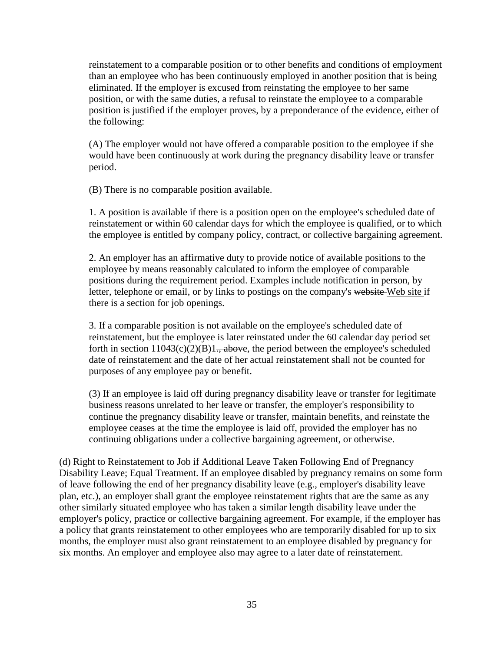reinstatement to a comparable position or to other benefits and conditions of employment than an employee who has been continuously employed in another position that is being eliminated. If the employer is excused from reinstating the employee to her same position, or with the same duties, a refusal to reinstate the employee to a comparable position is justified if the employer proves, by a preponderance of the evidence, either of the following:

(A) The employer would not have offered a comparable position to the employee if she would have been continuously at work during the pregnancy disability leave or transfer period.

(B) There is no comparable position available.

1. A position is available if there is a position open on the employee's scheduled date of reinstatement or within 60 calendar days for which the employee is qualified, or to which the employee is entitled by company policy, contract, or collective bargaining agreement.

2. An employer has an affirmative duty to provide notice of available positions to the employee by means reasonably calculated to inform the employee of comparable positions during the requirement period. Examples include notification in person, by letter, telephone or email, or by links to postings on the company's website Web site if there is a section for job openings.

3. If a comparable position is not available on the employee's scheduled date of reinstatement, but the employee is later reinstated under the 60 calendar day period set forth in section  $11043(c)(2)(B)1,$  above, the period between the employee's scheduled date of reinstatement and the date of her actual reinstatement shall not be counted for purposes of any employee pay or benefit.

(3) If an employee is laid off during pregnancy disability leave or transfer for legitimate business reasons unrelated to her leave or transfer, the employer's responsibility to continue the pregnancy disability leave or transfer, maintain benefits, and reinstate the employee ceases at the time the employee is laid off, provided the employer has no continuing obligations under a collective bargaining agreement, or otherwise.

(d) Right to Reinstatement to Job if Additional Leave Taken Following End of Pregnancy Disability Leave; Equal Treatment. If an employee disabled by pregnancy remains on some form of leave following the end of her pregnancy disability leave (e.g., employer's disability leave plan, etc.), an employer shall grant the employee reinstatement rights that are the same as any other similarly situated employee who has taken a similar length disability leave under the employer's policy, practice or collective bargaining agreement. For example, if the employer has a policy that grants reinstatement to other employees who are temporarily disabled for up to six months, the employer must also grant reinstatement to an employee disabled by pregnancy for six months. An employer and employee also may agree to a later date of reinstatement.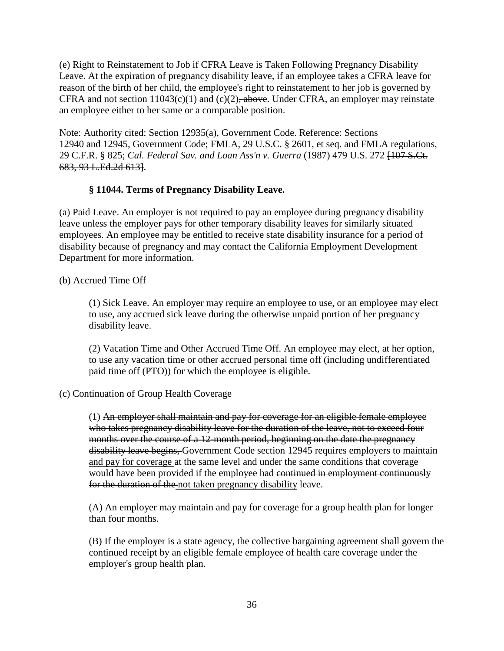(e) Right to Reinstatement to Job if CFRA Leave is Taken Following Pregnancy Disability Leave. At the expiration of pregnancy disability leave, if an employee takes a CFRA leave for reason of the birth of her child, the employee's right to reinstatement to her job is governed by CFRA and not section  $11043(c)(1)$  and  $(c)(2)$ , above. Under CFRA, an employer may reinstate an employee either to her same or a comparable position.

Note: Authority cited: Section 12935(a), Government Code. Reference: Sections 12940 and 12945, Government Code; FMLA, 29 U.S.C. § 2601, et seq. and FMLA regulations, 29 C.F.R. § 825; *Cal. Federal Sav. and Loan Ass'n v. Guerra* (1987) 479 U.S. 272 [107 S.Ct. 683, 93 L.Ed.2d 613].

## **§ 11044. Terms of Pregnancy Disability Leave.**

(a) Paid Leave. An employer is not required to pay an employee during pregnancy disability leave unless the employer pays for other temporary disability leaves for similarly situated employees. An employee may be entitled to receive state disability insurance for a period of disability because of pregnancy and may contact the California Employment Development Department for more information.

(b) Accrued Time Off

(1) Sick Leave. An employer may require an employee to use, or an employee may elect to use, any accrued sick leave during the otherwise unpaid portion of her pregnancy disability leave.

(2) Vacation Time and Other Accrued Time Off. An employee may elect, at her option, to use any vacation time or other accrued personal time off (including undifferentiated paid time off (PTO)) for which the employee is eligible.

## (c) Continuation of Group Health Coverage

(1) An employer shall maintain and pay for coverage for an eligible female employee who takes pregnancy disability leave for the duration of the leave, not to exceed four months over the course of a 12-month period, beginning on the date the pregnancy disability leave begins, Government Code section 12945 requires employers to maintain and pay for coverage at the same level and under the same conditions that coverage would have been provided if the employee had continued in employment continuously for the duration of the not taken pregnancy disability leave.

(A) An employer may maintain and pay for coverage for a group health plan for longer than four months.

(B) If the employer is a state agency, the collective bargaining agreement shall govern the continued receipt by an eligible female employee of health care coverage under the employer's group health plan.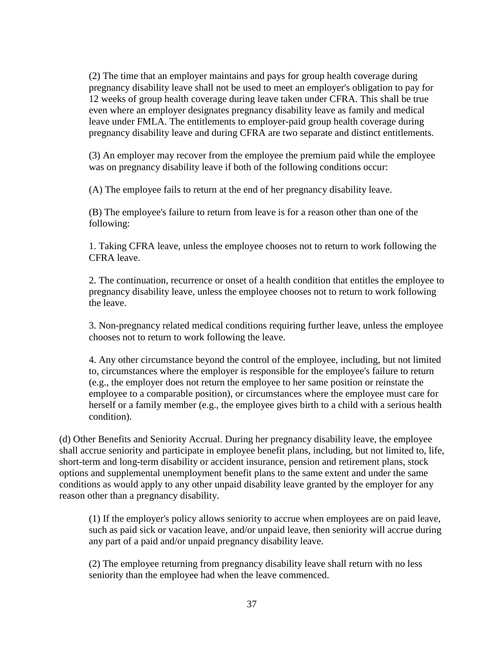(2) The time that an employer maintains and pays for group health coverage during pregnancy disability leave shall not be used to meet an employer's obligation to pay for 12 weeks of group health coverage during leave taken under CFRA. This shall be true even where an employer designates pregnancy disability leave as family and medical leave under FMLA. The entitlements to employer-paid group health coverage during pregnancy disability leave and during CFRA are two separate and distinct entitlements.

(3) An employer may recover from the employee the premium paid while the employee was on pregnancy disability leave if both of the following conditions occur:

(A) The employee fails to return at the end of her pregnancy disability leave.

(B) The employee's failure to return from leave is for a reason other than one of the following:

1. Taking CFRA leave, unless the employee chooses not to return to work following the CFRA leave.

2. The continuation, recurrence or onset of a health condition that entitles the employee to pregnancy disability leave, unless the employee chooses not to return to work following the leave.

3. Non-pregnancy related medical conditions requiring further leave, unless the employee chooses not to return to work following the leave.

4. Any other circumstance beyond the control of the employee, including, but not limited to, circumstances where the employer is responsible for the employee's failure to return (e.g., the employer does not return the employee to her same position or reinstate the employee to a comparable position), or circumstances where the employee must care for herself or a family member (e.g., the employee gives birth to a child with a serious health condition).

(d) Other Benefits and Seniority Accrual. During her pregnancy disability leave, the employee shall accrue seniority and participate in employee benefit plans, including, but not limited to, life, short-term and long-term disability or accident insurance, pension and retirement plans, stock options and supplemental unemployment benefit plans to the same extent and under the same conditions as would apply to any other unpaid disability leave granted by the employer for any reason other than a pregnancy disability.

(1) If the employer's policy allows seniority to accrue when employees are on paid leave, such as paid sick or vacation leave, and/or unpaid leave, then seniority will accrue during any part of a paid and/or unpaid pregnancy disability leave.

(2) The employee returning from pregnancy disability leave shall return with no less seniority than the employee had when the leave commenced.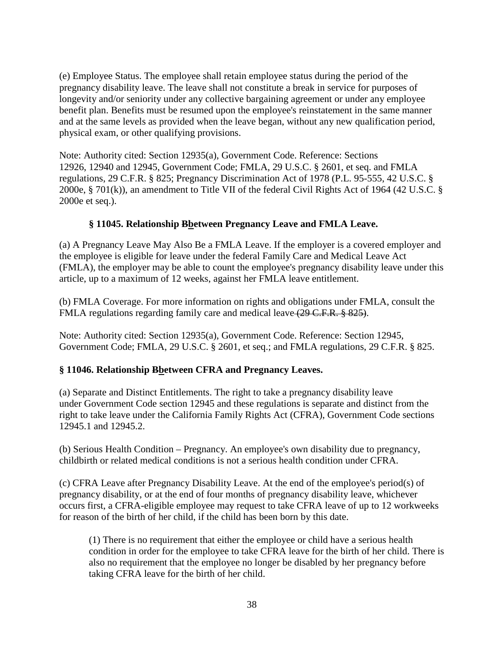(e) Employee Status. The employee shall retain employee status during the period of the pregnancy disability leave. The leave shall not constitute a break in service for purposes of longevity and/or seniority under any collective bargaining agreement or under any employee benefit plan. Benefits must be resumed upon the employee's reinstatement in the same manner and at the same levels as provided when the leave began, without any new qualification period, physical exam, or other qualifying provisions.

Note: Authority cited: Section 12935(a), Government Code. Reference: Sections 12926, 12940 and 12945, Government Code; FMLA, 29 U.S.C. § 2601, et seq. and FMLA regulations, 29 C.F.R. § 825; Pregnancy Discrimination Act of 1978 (P.L. 95-555, 42 U.S.C. § 2000e, § 701(k)), an amendment to Title VII of the federal Civil Rights Act of 1964 (42 U.S.C. § 2000e et seq.).

## **§ 11045. Relationship Bbetween Pregnancy Leave and FMLA Leave.**

(a) A Pregnancy Leave May Also Be a FMLA Leave. If the employer is a covered employer and the employee is eligible for leave under the federal Family Care and Medical Leave Act (FMLA), the employer may be able to count the employee's pregnancy disability leave under this article, up to a maximum of 12 weeks, against her FMLA leave entitlement.

(b) FMLA Coverage. For more information on rights and obligations under FMLA, consult the FMLA regulations regarding family care and medical leave (29 C.F.R. § 825).

Note: Authority cited: Section 12935(a), Government Code. Reference: Section 12945, Government Code; FMLA, 29 U.S.C. § 2601, et seq.; and FMLA regulations, 29 C.F.R. § 825.

### **§ 11046. Relationship Bbetween CFRA and Pregnancy Leaves.**

(a) Separate and Distinct Entitlements. The right to take a pregnancy disability leave under Government Code section 12945 and these regulations is separate and distinct from the right to take leave under the California Family Rights Act (CFRA), Government Code sections 12945.1 and 12945.2.

(b) Serious Health Condition – Pregnancy. An employee's own disability due to pregnancy, childbirth or related medical conditions is not a serious health condition under CFRA.

(c) CFRA Leave after Pregnancy Disability Leave. At the end of the employee's period(s) of pregnancy disability, or at the end of four months of pregnancy disability leave, whichever occurs first, a CFRA-eligible employee may request to take CFRA leave of up to 12 workweeks for reason of the birth of her child, if the child has been born by this date.

(1) There is no requirement that either the employee or child have a serious health condition in order for the employee to take CFRA leave for the birth of her child. There is also no requirement that the employee no longer be disabled by her pregnancy before taking CFRA leave for the birth of her child.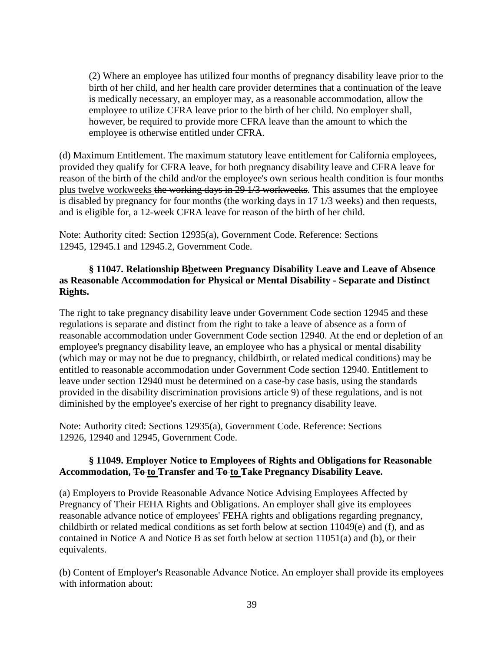(2) Where an employee has utilized four months of pregnancy disability leave prior to the birth of her child, and her health care provider determines that a continuation of the leave is medically necessary, an employer may, as a reasonable accommodation, allow the employee to utilize CFRA leave prior to the birth of her child. No employer shall, however, be required to provide more CFRA leave than the amount to which the employee is otherwise entitled under CFRA.

(d) Maximum Entitlement. The maximum statutory leave entitlement for California employees, provided they qualify for CFRA leave, for both pregnancy disability leave and CFRA leave for reason of the birth of the child and/or the employee's own serious health condition is four months plus twelve workweeks the working days in 29 1/3 workweeks. This assumes that the employee is disabled by pregnancy for four months (the working days in 17 1/3 weeks) and then requests, and is eligible for, a 12-week CFRA leave for reason of the birth of her child.

Note: Authority cited: Section 12935(a), Government Code. Reference: Sections 12945, 12945.1 and 12945.2, Government Code.

### **§ 11047. Relationship Bbetween Pregnancy Disability Leave and Leave of Absence as Reasonable Accommodation for Physical or Mental Disability - Separate and Distinct Rights.**

The right to take pregnancy disability leave under Government Code section 12945 and these regulations is separate and distinct from the right to take a leave of absence as a form of reasonable accommodation under Government Code section 12940. At the end or depletion of an employee's pregnancy disability leave, an employee who has a physical or mental disability (which may or may not be due to pregnancy, childbirth, or related medical conditions) may be entitled to reasonable accommodation under Government Code section 12940. Entitlement to leave under section 12940 must be determined on a case-by case basis, using the standards provided in the disability discrimination provisions article 9) of these regulations, and is not diminished by the employee's exercise of her right to pregnancy disability leave.

Note: Authority cited: Sections 12935(a), Government Code. Reference: Sections 12926, 12940 and 12945, Government Code.

### **§ 11049. Employer Notice to Employees of Rights and Obligations for Reasonable Accommodation, To to Transfer and To to Take Pregnancy Disability Leave.**

(a) Employers to Provide Reasonable Advance Notice Advising Employees Affected by Pregnancy of Their FEHA Rights and Obligations. An employer shall give its employees reasonable advance notice of employees' FEHA rights and obligations regarding pregnancy, childbirth or related medical conditions as set forth below at section  $11049(e)$  and (f), and as contained in Notice A and Notice B as set forth below at section 11051(a) and (b), or their equivalents.

(b) Content of Employer's Reasonable Advance Notice. An employer shall provide its employees with information about: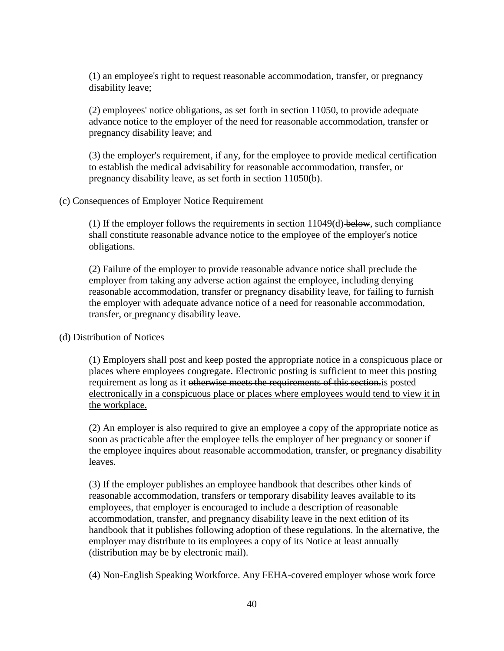(1) an employee's right to request reasonable accommodation, transfer, or pregnancy disability leave;

(2) employees' notice obligations, as set forth in section 11050, to provide adequate advance notice to the employer of the need for reasonable accommodation, transfer or pregnancy disability leave; and

(3) the employer's requirement, if any, for the employee to provide medical certification to establish the medical advisability for reasonable accommodation, transfer, or pregnancy disability leave, as set forth in section 11050(b).

(c) Consequences of Employer Notice Requirement

(1) If the employer follows the requirements in section  $11049(d)$ -below, such compliance shall constitute reasonable advance notice to the employee of the employer's notice obligations.

(2) Failure of the employer to provide reasonable advance notice shall preclude the employer from taking any adverse action against the employee, including denying reasonable accommodation, transfer or pregnancy disability leave, for failing to furnish the employer with adequate advance notice of a need for reasonable accommodation, transfer, or pregnancy disability leave.

#### (d) Distribution of Notices

(1) Employers shall post and keep posted the appropriate notice in a conspicuous place or places where employees congregate. Electronic posting is sufficient to meet this posting requirement as long as it otherwise meets the requirements of this section is posted electronically in a conspicuous place or places where employees would tend to view it in the workplace.

(2) An employer is also required to give an employee a copy of the appropriate notice as soon as practicable after the employee tells the employer of her pregnancy or sooner if the employee inquires about reasonable accommodation, transfer, or pregnancy disability leaves.

(3) If the employer publishes an employee handbook that describes other kinds of reasonable accommodation, transfers or temporary disability leaves available to its employees, that employer is encouraged to include a description of reasonable accommodation, transfer, and pregnancy disability leave in the next edition of its handbook that it publishes following adoption of these regulations. In the alternative, the employer may distribute to its employees a copy of its Notice at least annually (distribution may be by electronic mail).

(4) Non-English Speaking Workforce. Any FEHA-covered employer whose work force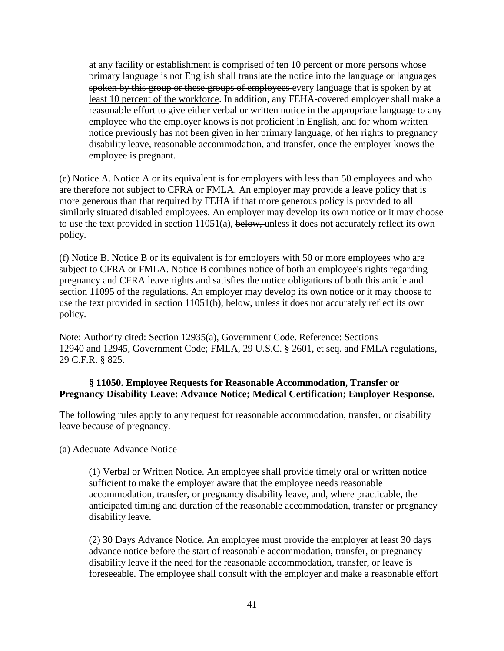at any facility or establishment is comprised of ten 10 percent or more persons whose primary language is not English shall translate the notice into the language or languages spoken by this group or these groups of employees every language that is spoken by at least 10 percent of the workforce. In addition, any FEHA-covered employer shall make a reasonable effort to give either verbal or written notice in the appropriate language to any employee who the employer knows is not proficient in English, and for whom written notice previously has not been given in her primary language, of her rights to pregnancy disability leave, reasonable accommodation, and transfer, once the employer knows the employee is pregnant.

(e) Notice A. Notice A or its equivalent is for employers with less than 50 employees and who are therefore not subject to CFRA or FMLA. An employer may provide a leave policy that is more generous than that required by FEHA if that more generous policy is provided to all similarly situated disabled employees. An employer may develop its own notice or it may choose to use the text provided in section  $11051(a)$ , below, unless it does not accurately reflect its own policy.

(f) Notice B. Notice B or its equivalent is for employers with 50 or more employees who are subject to CFRA or FMLA. Notice B combines notice of both an employee's rights regarding pregnancy and CFRA leave rights and satisfies the notice obligations of both this article and section 11095 of the regulations. An employer may develop its own notice or it may choose to use the text provided in section 11051(b), below, unless it does not accurately reflect its own policy.

Note: Authority cited: Section 12935(a), Government Code. Reference: Sections 12940 and 12945, Government Code; FMLA, 29 U.S.C. § 2601, et seq. and FMLA regulations, 29 C.F.R. § 825.

#### **§ 11050. Employee Requests for Reasonable Accommodation, Transfer or Pregnancy Disability Leave: Advance Notice; Medical Certification; Employer Response.**

The following rules apply to any request for reasonable accommodation, transfer, or disability leave because of pregnancy.

(a) Adequate Advance Notice

(1) Verbal or Written Notice. An employee shall provide timely oral or written notice sufficient to make the employer aware that the employee needs reasonable accommodation, transfer, or pregnancy disability leave, and, where practicable, the anticipated timing and duration of the reasonable accommodation, transfer or pregnancy disability leave.

(2) 30 Days Advance Notice. An employee must provide the employer at least 30 days advance notice before the start of reasonable accommodation, transfer, or pregnancy disability leave if the need for the reasonable accommodation, transfer, or leave is foreseeable. The employee shall consult with the employer and make a reasonable effort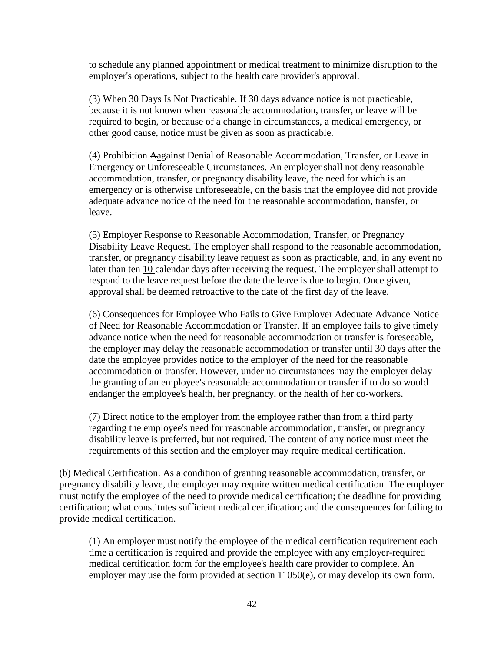to schedule any planned appointment or medical treatment to minimize disruption to the employer's operations, subject to the health care provider's approval.

(3) When 30 Days Is Not Practicable. If 30 days advance notice is not practicable, because it is not known when reasonable accommodation, transfer, or leave will be required to begin, or because of a change in circumstances, a medical emergency, or other good cause, notice must be given as soon as practicable.

(4) Prohibition Aagainst Denial of Reasonable Accommodation, Transfer, or Leave in Emergency or Unforeseeable Circumstances. An employer shall not deny reasonable accommodation, transfer, or pregnancy disability leave, the need for which is an emergency or is otherwise unforeseeable, on the basis that the employee did not provide adequate advance notice of the need for the reasonable accommodation, transfer, or leave.

(5) Employer Response to Reasonable Accommodation, Transfer, or Pregnancy Disability Leave Request. The employer shall respond to the reasonable accommodation, transfer, or pregnancy disability leave request as soon as practicable, and, in any event no later than ten 10 calendar days after receiving the request. The employer shall attempt to respond to the leave request before the date the leave is due to begin. Once given, approval shall be deemed retroactive to the date of the first day of the leave.

(6) Consequences for Employee Who Fails to Give Employer Adequate Advance Notice of Need for Reasonable Accommodation or Transfer. If an employee fails to give timely advance notice when the need for reasonable accommodation or transfer is foreseeable, the employer may delay the reasonable accommodation or transfer until 30 days after the date the employee provides notice to the employer of the need for the reasonable accommodation or transfer. However, under no circumstances may the employer delay the granting of an employee's reasonable accommodation or transfer if to do so would endanger the employee's health, her pregnancy, or the health of her co-workers.

(7) Direct notice to the employer from the employee rather than from a third party regarding the employee's need for reasonable accommodation, transfer, or pregnancy disability leave is preferred, but not required. The content of any notice must meet the requirements of this section and the employer may require medical certification.

(b) Medical Certification. As a condition of granting reasonable accommodation, transfer, or pregnancy disability leave, the employer may require written medical certification. The employer must notify the employee of the need to provide medical certification; the deadline for providing certification; what constitutes sufficient medical certification; and the consequences for failing to provide medical certification.

(1) An employer must notify the employee of the medical certification requirement each time a certification is required and provide the employee with any employer-required medical certification form for the employee's health care provider to complete. An employer may use the form provided at section 11050(e), or may develop its own form.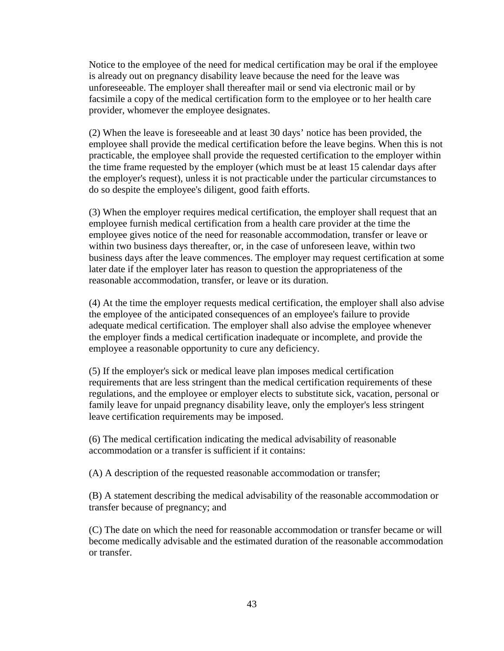Notice to the employee of the need for medical certification may be oral if the employee is already out on pregnancy disability leave because the need for the leave was unforeseeable. The employer shall thereafter mail or send via electronic mail or by facsimile a copy of the medical certification form to the employee or to her health care provider, whomever the employee designates.

(2) When the leave is foreseeable and at least 30 days' notice has been provided, the employee shall provide the medical certification before the leave begins. When this is not practicable, the employee shall provide the requested certification to the employer within the time frame requested by the employer (which must be at least 15 calendar days after the employer's request), unless it is not practicable under the particular circumstances to do so despite the employee's diligent, good faith efforts.

(3) When the employer requires medical certification, the employer shall request that an employee furnish medical certification from a health care provider at the time the employee gives notice of the need for reasonable accommodation, transfer or leave or within two business days thereafter, or, in the case of unforeseen leave, within two business days after the leave commences. The employer may request certification at some later date if the employer later has reason to question the appropriateness of the reasonable accommodation, transfer, or leave or its duration.

(4) At the time the employer requests medical certification, the employer shall also advise the employee of the anticipated consequences of an employee's failure to provide adequate medical certification. The employer shall also advise the employee whenever the employer finds a medical certification inadequate or incomplete, and provide the employee a reasonable opportunity to cure any deficiency.

(5) If the employer's sick or medical leave plan imposes medical certification requirements that are less stringent than the medical certification requirements of these regulations, and the employee or employer elects to substitute sick, vacation, personal or family leave for unpaid pregnancy disability leave, only the employer's less stringent leave certification requirements may be imposed.

(6) The medical certification indicating the medical advisability of reasonable accommodation or a transfer is sufficient if it contains:

(A) A description of the requested reasonable accommodation or transfer;

(B) A statement describing the medical advisability of the reasonable accommodation or transfer because of pregnancy; and

(C) The date on which the need for reasonable accommodation or transfer became or will become medically advisable and the estimated duration of the reasonable accommodation or transfer.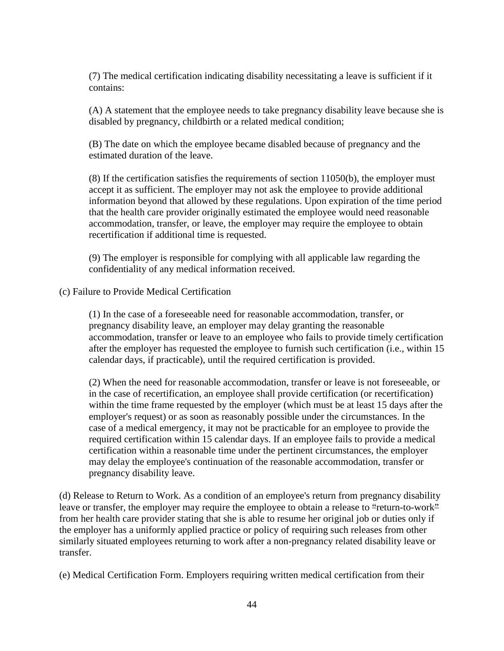(7) The medical certification indicating disability necessitating a leave is sufficient if it contains:

(A) A statement that the employee needs to take pregnancy disability leave because she is disabled by pregnancy, childbirth or a related medical condition;

(B) The date on which the employee became disabled because of pregnancy and the estimated duration of the leave.

(8) If the certification satisfies the requirements of section 11050(b), the employer must accept it as sufficient. The employer may not ask the employee to provide additional information beyond that allowed by these regulations. Upon expiration of the time period that the health care provider originally estimated the employee would need reasonable accommodation, transfer, or leave, the employer may require the employee to obtain recertification if additional time is requested.

(9) The employer is responsible for complying with all applicable law regarding the confidentiality of any medical information received.

(c) Failure to Provide Medical Certification

(1) In the case of a foreseeable need for reasonable accommodation, transfer, or pregnancy disability leave, an employer may delay granting the reasonable accommodation, transfer or leave to an employee who fails to provide timely certification after the employer has requested the employee to furnish such certification (i.e., within 15 calendar days, if practicable), until the required certification is provided.

(2) When the need for reasonable accommodation, transfer or leave is not foreseeable, or in the case of recertification, an employee shall provide certification (or recertification) within the time frame requested by the employer (which must be at least 15 days after the employer's request) or as soon as reasonably possible under the circumstances. In the case of a medical emergency, it may not be practicable for an employee to provide the required certification within 15 calendar days. If an employee fails to provide a medical certification within a reasonable time under the pertinent circumstances, the employer may delay the employee's continuation of the reasonable accommodation, transfer or pregnancy disability leave.

(d) Release to Return to Work. As a condition of an employee's return from pregnancy disability leave or transfer, the employer may require the employee to obtain a release to "return-to-work" from her health care provider stating that she is able to resume her original job or duties only if the employer has a uniformly applied practice or policy of requiring such releases from other similarly situated employees returning to work after a non-pregnancy related disability leave or transfer.

(e) Medical Certification Form. Employers requiring written medical certification from their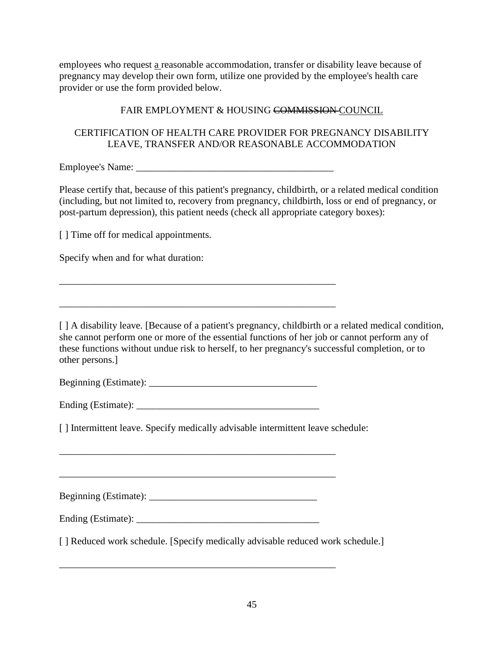employees who request a reasonable accommodation, transfer or disability leave because of pregnancy may develop their own form, utilize one provided by the employee's health care provider or use the form provided below.

### FAIR EMPLOYMENT & HOUSING COMMISSION COUNCIL

### CERTIFICATION OF HEALTH CARE PROVIDER FOR PREGNANCY DISABILITY LEAVE, TRANSFER AND/OR REASONABLE ACCOMMODATION

Employee's Name: \_\_\_\_\_\_\_\_\_\_\_\_\_\_\_\_\_\_\_\_\_\_\_\_\_\_\_\_\_\_\_\_\_\_\_\_\_\_\_\_

\_\_\_\_\_\_\_\_\_\_\_\_\_\_\_\_\_\_\_\_\_\_\_\_\_\_\_\_\_\_\_\_\_\_\_\_\_\_\_\_\_\_\_\_\_\_\_\_\_\_\_\_\_\_\_\_

\_\_\_\_\_\_\_\_\_\_\_\_\_\_\_\_\_\_\_\_\_\_\_\_\_\_\_\_\_\_\_\_\_\_\_\_\_\_\_\_\_\_\_\_\_\_\_\_\_\_\_\_\_\_\_\_

Please certify that, because of this patient's pregnancy, childbirth, or a related medical condition (including, but not limited to, recovery from pregnancy, childbirth, loss or end of pregnancy, or post-partum depression), this patient needs (check all appropriate category boxes):

[] Time off for medical appointments.

Specify when and for what duration:

[ ] A disability leave. [Because of a patient's pregnancy, childbirth or a related medical condition, she cannot perform one or more of the essential functions of her job or cannot perform any of these functions without undue risk to herself, to her pregnancy's successful completion, or to other persons.]

Beginning (Estimate): \_\_\_\_\_\_\_\_\_\_\_\_\_\_\_\_\_\_\_\_\_\_\_\_\_\_\_\_\_\_\_\_\_\_

Ending (Estimate):

\_\_\_\_\_\_\_\_\_\_\_\_\_\_\_\_\_\_\_\_\_\_\_\_\_\_\_\_\_\_\_\_\_\_\_\_\_\_\_\_\_\_\_\_\_\_\_\_\_\_\_\_\_\_\_\_

\_\_\_\_\_\_\_\_\_\_\_\_\_\_\_\_\_\_\_\_\_\_\_\_\_\_\_\_\_\_\_\_\_\_\_\_\_\_\_\_\_\_\_\_\_\_\_\_\_\_\_\_\_\_\_\_

[] Intermittent leave. Specify medically advisable intermittent leave schedule:

Beginning (Estimate):  $\frac{1}{2}$ 

| Ending (Estimate): |
|--------------------|
|--------------------|

\_\_\_\_\_\_\_\_\_\_\_\_\_\_\_\_\_\_\_\_\_\_\_\_\_\_\_\_\_\_\_\_\_\_\_\_\_\_\_\_\_\_\_\_\_\_\_\_\_\_\_\_\_\_\_\_

[ ] Reduced work schedule. [Specify medically advisable reduced work schedule.]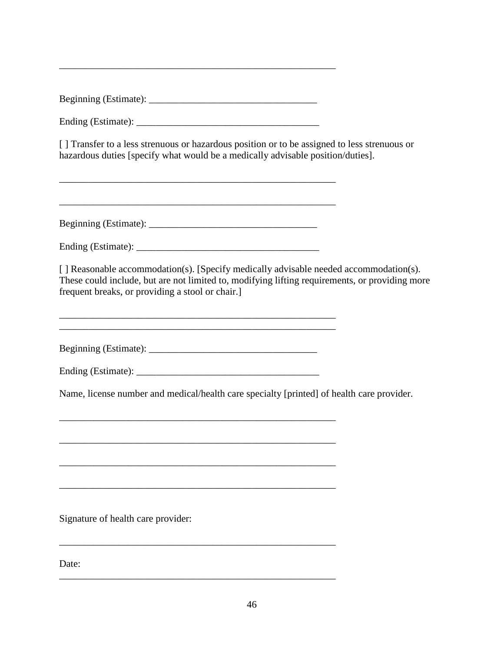Beginning (Estimate): \_\_\_\_\_\_\_\_\_\_\_\_\_\_\_\_\_\_\_\_\_\_\_\_\_\_\_\_\_\_\_\_\_\_

\_\_\_\_\_\_\_\_\_\_\_\_\_\_\_\_\_\_\_\_\_\_\_\_\_\_\_\_\_\_\_\_\_\_\_\_\_\_\_\_\_\_\_\_\_\_\_\_\_\_\_\_\_\_\_\_

Ending (Estimate): \_\_\_\_\_\_\_\_\_\_\_\_\_\_\_\_\_\_\_\_\_\_\_\_\_\_\_\_\_\_\_\_\_\_\_\_\_

[] Transfer to a less strenuous or hazardous position or to be assigned to less strenuous or hazardous duties [specify what would be a medically advisable position/duties].

Beginning (Estimate): \_\_\_\_\_\_\_\_\_\_\_\_\_\_\_\_\_\_\_\_\_\_\_\_\_\_\_\_\_\_\_\_\_\_

\_\_\_\_\_\_\_\_\_\_\_\_\_\_\_\_\_\_\_\_\_\_\_\_\_\_\_\_\_\_\_\_\_\_\_\_\_\_\_\_\_\_\_\_\_\_\_\_\_\_\_\_\_\_\_\_

\_\_\_\_\_\_\_\_\_\_\_\_\_\_\_\_\_\_\_\_\_\_\_\_\_\_\_\_\_\_\_\_\_\_\_\_\_\_\_\_\_\_\_\_\_\_\_\_\_\_\_\_\_\_\_\_

Ending (Estimate):  $\frac{1}{\sqrt{1-\frac{1}{2}}}\left| \frac{1}{\sqrt{1-\frac{1}{2}}}\right|$ 

[ ] Reasonable accommodation(s). [Specify medically advisable needed accommodation(s). These could include, but are not limited to, modifying lifting requirements, or providing more frequent breaks, or providing a stool or chair.]

\_\_\_\_\_\_\_\_\_\_\_\_\_\_\_\_\_\_\_\_\_\_\_\_\_\_\_\_\_\_\_\_\_\_\_\_\_\_\_\_\_\_\_\_\_\_\_\_\_\_\_\_\_\_\_\_

Beginning (Estimate): \_\_\_\_\_\_\_\_\_\_\_\_\_\_\_\_\_\_\_\_\_\_\_\_\_\_\_\_\_\_\_\_\_\_

\_\_\_\_\_\_\_\_\_\_\_\_\_\_\_\_\_\_\_\_\_\_\_\_\_\_\_\_\_\_\_\_\_\_\_\_\_\_\_\_\_\_\_\_\_\_\_\_\_\_\_\_\_\_\_\_

Ending (Estimate):

\_\_\_\_\_\_\_\_\_\_\_\_\_\_\_\_\_\_\_\_\_\_\_\_\_\_\_\_\_\_\_\_\_\_\_\_\_\_\_\_\_\_\_\_\_\_\_\_\_\_\_\_\_\_\_\_

\_\_\_\_\_\_\_\_\_\_\_\_\_\_\_\_\_\_\_\_\_\_\_\_\_\_\_\_\_\_\_\_\_\_\_\_\_\_\_\_\_\_\_\_\_\_\_\_\_\_\_\_\_\_\_\_

\_\_\_\_\_\_\_\_\_\_\_\_\_\_\_\_\_\_\_\_\_\_\_\_\_\_\_\_\_\_\_\_\_\_\_\_\_\_\_\_\_\_\_\_\_\_\_\_\_\_\_\_\_\_\_\_

\_\_\_\_\_\_\_\_\_\_\_\_\_\_\_\_\_\_\_\_\_\_\_\_\_\_\_\_\_\_\_\_\_\_\_\_\_\_\_\_\_\_\_\_\_\_\_\_\_\_\_\_\_\_\_\_

\_\_\_\_\_\_\_\_\_\_\_\_\_\_\_\_\_\_\_\_\_\_\_\_\_\_\_\_\_\_\_\_\_\_\_\_\_\_\_\_\_\_\_\_\_\_\_\_\_\_\_\_\_\_\_\_

\_\_\_\_\_\_\_\_\_\_\_\_\_\_\_\_\_\_\_\_\_\_\_\_\_\_\_\_\_\_\_\_\_\_\_\_\_\_\_\_\_\_\_\_\_\_\_\_\_\_\_\_\_\_\_\_

Name, license number and medical/health care specialty [printed] of health care provider.

Signature of health care provider:

Date: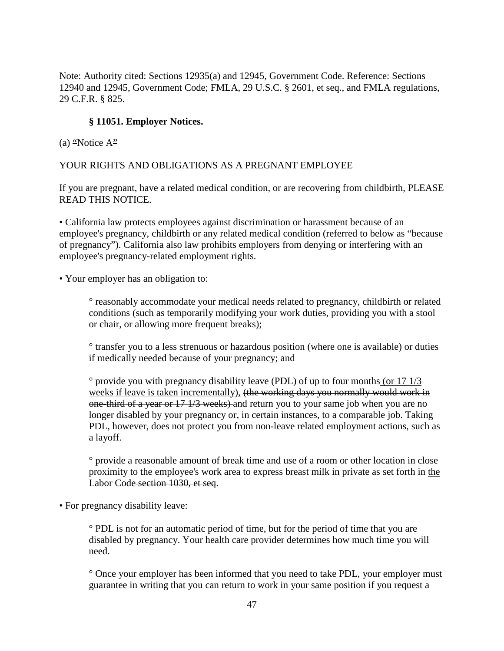Note: Authority cited: Sections 12935(a) and 12945, Government Code. Reference: Sections 12940 and 12945, Government Code; FMLA, 29 U.S.C. § 2601, et seq., and FMLA regulations, 29 C.F.R. § 825.

#### **§ 11051. Employer Notices.**

(a) "Notice  $A$ "

YOUR RIGHTS AND OBLIGATIONS AS A PREGNANT EMPLOYEE

If you are pregnant, have a related medical condition, or are recovering from childbirth, PLEASE READ THIS NOTICE.

• California law protects employees against discrimination or harassment because of an employee's pregnancy, childbirth or any related medical condition (referred to below as "because of pregnancy"). California also law prohibits employers from denying or interfering with an employee's pregnancy-related employment rights.

• Your employer has an obligation to:

° reasonably accommodate your medical needs related to pregnancy, childbirth or related conditions (such as temporarily modifying your work duties, providing you with a stool or chair, or allowing more frequent breaks);

° transfer you to a less strenuous or hazardous position (where one is available) or duties if medically needed because of your pregnancy; and

° provide you with pregnancy disability leave (PDL) of up to four months (or 17 1/3 weeks if leave is taken incrementally), (the working days you normally would work in one-third of a year or 17 1/3 weeks) and return you to your same job when you are no longer disabled by your pregnancy or, in certain instances, to a comparable job. Taking PDL, however, does not protect you from non-leave related employment actions, such as a layoff.

° provide a reasonable amount of break time and use of a room or other location in close proximity to the employee's work area to express breast milk in private as set forth in the Labor Code section 1030, et seq.

• For pregnancy disability leave:

° PDL is not for an automatic period of time, but for the period of time that you are disabled by pregnancy. Your health care provider determines how much time you will need.

° Once your employer has been informed that you need to take PDL, your employer must guarantee in writing that you can return to work in your same position if you request a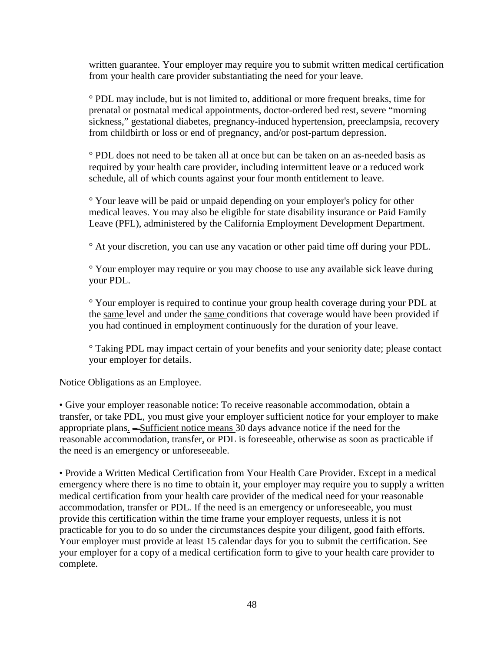written guarantee. Your employer may require you to submit written medical certification from your health care provider substantiating the need for your leave.

° PDL may include, but is not limited to, additional or more frequent breaks, time for prenatal or postnatal medical appointments, doctor-ordered bed rest, severe "morning sickness," gestational diabetes, pregnancy-induced hypertension, preeclampsia, recovery from childbirth or loss or end of pregnancy, and/or post-partum depression.

° PDL does not need to be taken all at once but can be taken on an as-needed basis as required by your health care provider, including intermittent leave or a reduced work schedule, all of which counts against your four month entitlement to leave.

° Your leave will be paid or unpaid depending on your employer's policy for other medical leaves. You may also be eligible for state disability insurance or Paid Family Leave (PFL), administered by the California Employment Development Department.

° At your discretion, you can use any vacation or other paid time off during your PDL.

° Your employer may require or you may choose to use any available sick leave during your PDL.

° Your employer is required to continue your group health coverage during your PDL at the same level and under the same conditions that coverage would have been provided if you had continued in employment continuously for the duration of your leave.

° Taking PDL may impact certain of your benefits and your seniority date; please contact your employer for details.

Notice Obligations as an Employee.

• Give your employer reasonable notice: To receive reasonable accommodation, obtain a transfer, or take PDL, you must give your employer sufficient notice for your employer to make appropriate plans. – Sufficient notice means 30 days advance notice if the need for the reasonable accommodation, transfer, or PDL is foreseeable, otherwise as soon as practicable if the need is an emergency or unforeseeable.

• Provide a Written Medical Certification from Your Health Care Provider. Except in a medical emergency where there is no time to obtain it, your employer may require you to supply a written medical certification from your health care provider of the medical need for your reasonable accommodation, transfer or PDL. If the need is an emergency or unforeseeable, you must provide this certification within the time frame your employer requests, unless it is not practicable for you to do so under the circumstances despite your diligent, good faith efforts. Your employer must provide at least 15 calendar days for you to submit the certification. See your employer for a copy of a medical certification form to give to your health care provider to complete.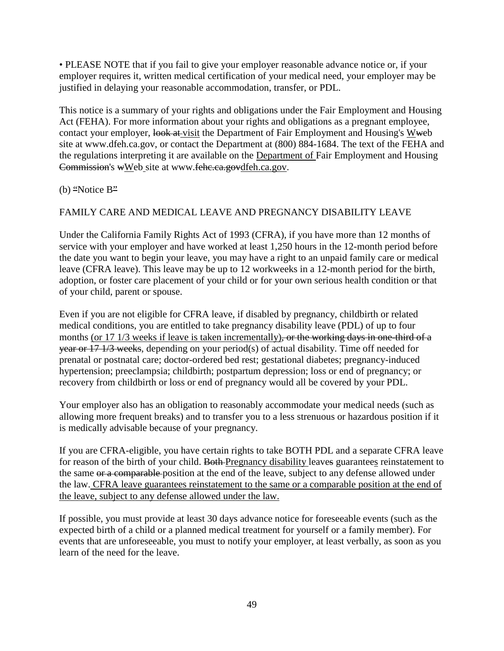• PLEASE NOTE that if you fail to give your employer reasonable advance notice or, if your employer requires it, written medical certification of your medical need, your employer may be justified in delaying your reasonable accommodation, transfer, or PDL.

This notice is a summary of your rights and obligations under the Fair Employment and Housing Act (FEHA). For more information about your rights and obligations as a pregnant employee, contact your employer, look at visit the Department of Fair Employment and Housing's Wweb site at www.dfeh.ca.gov, or contact the Department at (800) 884-1684. The text of the FEHA and the regulations interpreting it are available on the Department of Fair Employment and Housing Commission's wWeb site at www.fehe.ca.govdfeh.ca.gov.

### (b) "Notice B"

### FAMILY CARE AND MEDICAL LEAVE AND PREGNANCY DISABILITY LEAVE

Under the California Family Rights Act of 1993 (CFRA), if you have more than 12 months of service with your employer and have worked at least 1,250 hours in the 12-month period before the date you want to begin your leave, you may have a right to an unpaid family care or medical leave (CFRA leave). This leave may be up to 12 workweeks in a 12-month period for the birth, adoption, or foster care placement of your child or for your own serious health condition or that of your child, parent or spouse.

Even if you are not eligible for CFRA leave, if disabled by pregnancy, childbirth or related medical conditions, you are entitled to take pregnancy disability leave (PDL) of up to four months (or 17 1/3 weeks if leave is taken incrementally), or the working days in one-third of a year or 17 1/3 weeks, depending on your period(s) of actual disability. Time off needed for prenatal or postnatal care; doctor-ordered bed rest; gestational diabetes; pregnancy-induced hypertension; preeclampsia; childbirth; postpartum depression; loss or end of pregnancy; or recovery from childbirth or loss or end of pregnancy would all be covered by your PDL.

Your employer also has an obligation to reasonably accommodate your medical needs (such as allowing more frequent breaks) and to transfer you to a less strenuous or hazardous position if it is medically advisable because of your pregnancy.

If you are CFRA-eligible, you have certain rights to take BOTH PDL and a separate CFRA leave for reason of the birth of your child. Both Pregnancy disability leaves guarantees reinstatement to the same or a comparable position at the end of the leave, subject to any defense allowed under the law. CFRA leave guarantees reinstatement to the same or a comparable position at the end of the leave, subject to any defense allowed under the law.

If possible, you must provide at least 30 days advance notice for foreseeable events (such as the expected birth of a child or a planned medical treatment for yourself or a family member). For events that are unforeseeable, you must to notify your employer, at least verbally, as soon as you learn of the need for the leave.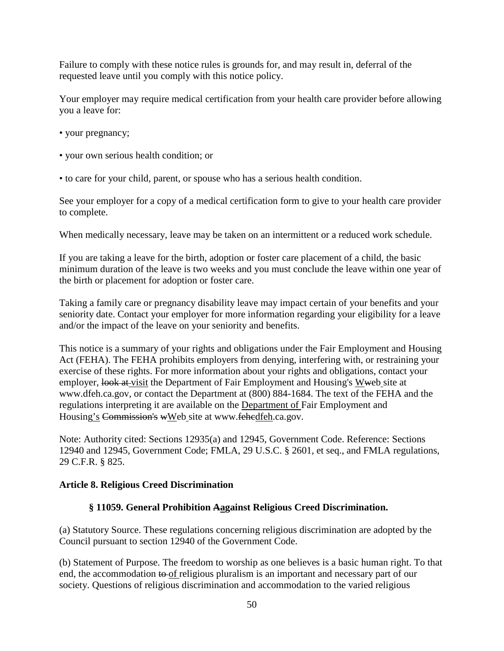Failure to comply with these notice rules is grounds for, and may result in, deferral of the requested leave until you comply with this notice policy.

Your employer may require medical certification from your health care provider before allowing you a leave for:

- your pregnancy;
- your own serious health condition; or
- to care for your child, parent, or spouse who has a serious health condition.

See your employer for a copy of a medical certification form to give to your health care provider to complete.

When medically necessary, leave may be taken on an intermittent or a reduced work schedule.

If you are taking a leave for the birth, adoption or foster care placement of a child, the basic minimum duration of the leave is two weeks and you must conclude the leave within one year of the birth or placement for adoption or foster care.

Taking a family care or pregnancy disability leave may impact certain of your benefits and your seniority date. Contact your employer for more information regarding your eligibility for a leave and/or the impact of the leave on your seniority and benefits.

This notice is a summary of your rights and obligations under the Fair Employment and Housing Act (FEHA). The FEHA prohibits employers from denying, interfering with, or restraining your exercise of these rights. For more information about your rights and obligations, contact your employer, look at visit the Department of Fair Employment and Housing's Wweb site at www.dfeh.ca.gov, or contact the Department at (800) 884-1684. The text of the FEHA and the regulations interpreting it are available on the Department of Fair Employment and Housing's Commission's wWeb site at www.fehedfeh.ca.gov.

Note: Authority cited: Sections 12935(a) and 12945, Government Code. Reference: Sections 12940 and 12945, Government Code; FMLA, 29 U.S.C. § 2601, et seq., and FMLA regulations, 29 C.F.R. § 825.

### **Article 8. Religious Creed Discrimination**

## **§ 11059. General Prohibition Aagainst Religious Creed Discrimination.**

(a) Statutory Source. These regulations concerning religious discrimination are adopted by the Council pursuant to section 12940 of the Government Code.

(b) Statement of Purpose. The freedom to worship as one believes is a basic human right. To that end, the accommodation to of religious pluralism is an important and necessary part of our society. Questions of religious discrimination and accommodation to the varied religious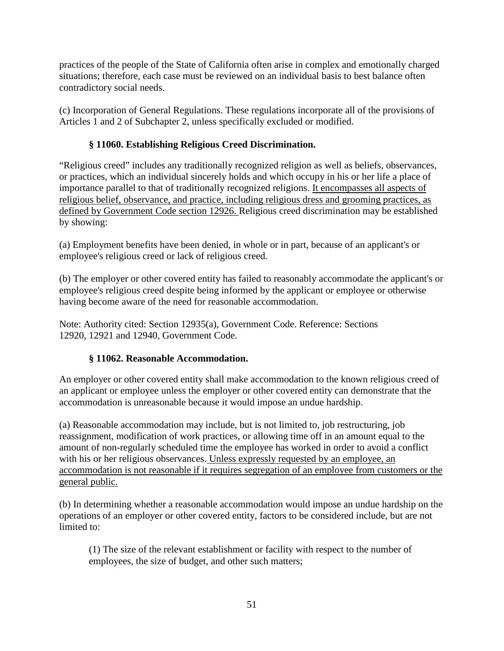practices of the people of the State of California often arise in complex and emotionally charged situations; therefore, each case must be reviewed on an individual basis to best balance often contradictory social needs.

(c) Incorporation of General Regulations. These regulations incorporate all of the provisions of Articles 1 and 2 of Subchapter 2, unless specifically excluded or modified.

## **§ 11060. Establishing Religious Creed Discrimination.**

"Religious creed" includes any traditionally recognized religion as well as beliefs, observances, or practices, which an individual sincerely holds and which occupy in his or her life a place of importance parallel to that of traditionally recognized religions. It encompasses all aspects of religious belief, observance, and practice, including religious dress and grooming practices, as defined by Government Code section 12926. Religious creed discrimination may be established by showing:

(a) Employment benefits have been denied, in whole or in part, because of an applicant's or employee's religious creed or lack of religious creed.

(b) The employer or other covered entity has failed to reasonably accommodate the applicant's or employee's religious creed despite being informed by the applicant or employee or otherwise having become aware of the need for reasonable accommodation.

Note: Authority cited: Section 12935(a), Government Code. Reference: Sections 12920, 12921 and 12940, Government Code.

# **§ 11062. Reasonable Accommodation.**

An employer or other covered entity shall make accommodation to the known religious creed of an applicant or employee unless the employer or other covered entity can demonstrate that the accommodation is unreasonable because it would impose an undue hardship.

(a) Reasonable accommodation may include, but is not limited to, job restructuring, job reassignment, modification of work practices, or allowing time off in an amount equal to the amount of non-regularly scheduled time the employee has worked in order to avoid a conflict with his or her religious observances. Unless expressly requested by an employee, an accommodation is not reasonable if it requires segregation of an employee from customers or the general public.

(b) In determining whether a reasonable accommodation would impose an undue hardship on the operations of an employer or other covered entity, factors to be considered include, but are not limited to:

(1) The size of the relevant establishment or facility with respect to the number of employees, the size of budget, and other such matters;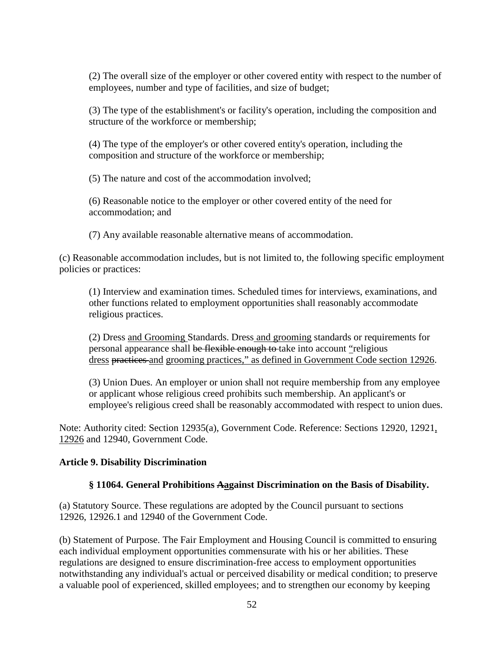(2) The overall size of the employer or other covered entity with respect to the number of employees, number and type of facilities, and size of budget;

(3) The type of the establishment's or facility's operation, including the composition and structure of the workforce or membership;

(4) The type of the employer's or other covered entity's operation, including the composition and structure of the workforce or membership;

(5) The nature and cost of the accommodation involved;

(6) Reasonable notice to the employer or other covered entity of the need for accommodation; and

(7) Any available reasonable alternative means of accommodation.

(c) Reasonable accommodation includes, but is not limited to, the following specific employment policies or practices:

(1) Interview and examination times. Scheduled times for interviews, examinations, and other functions related to employment opportunities shall reasonably accommodate religious practices.

(2) Dress and Grooming Standards. Dress and grooming standards or requirements for personal appearance shall be flexible enough to take into account "religious" dress practices and grooming practices," as defined in Government Code section 12926.

(3) Union Dues. An employer or union shall not require membership from any employee or applicant whose religious creed prohibits such membership. An applicant's or employee's religious creed shall be reasonably accommodated with respect to union dues.

Note: Authority cited: Section 12935(a), Government Code. Reference: Sections 12920, 12921, 12926 and 12940, Government Code.

#### **Article 9. Disability Discrimination**

#### **§ 11064. General Prohibitions Aagainst Discrimination on the Basis of Disability.**

(a) Statutory Source. These regulations are adopted by the Council pursuant to sections 12926, 12926.1 and 12940 of the Government Code.

(b) Statement of Purpose. The Fair Employment and Housing Council is committed to ensuring each individual employment opportunities commensurate with his or her abilities. These regulations are designed to ensure discrimination-free access to employment opportunities notwithstanding any individual's actual or perceived disability or medical condition; to preserve a valuable pool of experienced, skilled employees; and to strengthen our economy by keeping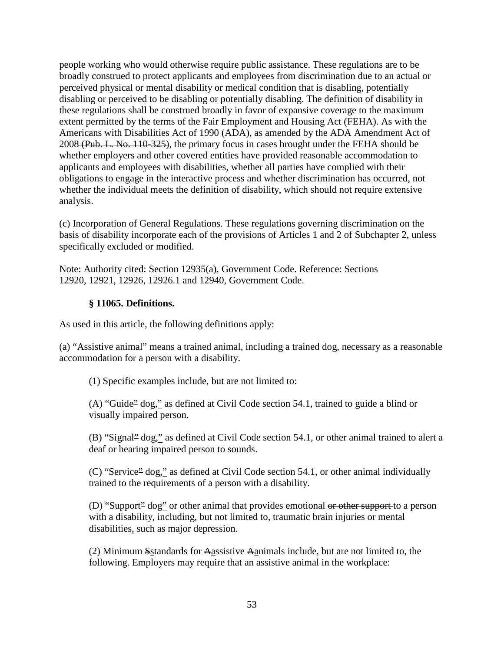people working who would otherwise require public assistance. These regulations are to be broadly construed to protect applicants and employees from discrimination due to an actual or perceived physical or mental disability or medical condition that is disabling, potentially disabling or perceived to be disabling or potentially disabling. The definition of disability in these regulations shall be construed broadly in favor of expansive coverage to the maximum extent permitted by the terms of the Fair Employment and Housing Act (FEHA). As with the Americans with Disabilities Act of 1990 (ADA), as amended by the ADA Amendment Act of 2008 (Pub. L. No. 110-325), the primary focus in cases brought under the FEHA should be whether employers and other covered entities have provided reasonable accommodation to applicants and employees with disabilities, whether all parties have complied with their obligations to engage in the interactive process and whether discrimination has occurred, not whether the individual meets the definition of disability, which should not require extensive analysis.

(c) Incorporation of General Regulations. These regulations governing discrimination on the basis of disability incorporate each of the provisions of Articles 1 and 2 of Subchapter 2, unless specifically excluded or modified.

Note: Authority cited: Section 12935(a), Government Code. Reference: Sections 12920, 12921, 12926, 12926.1 and 12940, Government Code.

### **§ 11065. Definitions.**

As used in this article, the following definitions apply:

(a) "Assistive animal" means a trained animal, including a trained dog, necessary as a reasonable accommodation for a person with a disability.

(1) Specific examples include, but are not limited to:

(A) "Guide" dog," as defined at Civil Code section 54.1, trained to guide a blind or visually impaired person.

(B) "Signal" dog," as defined at Civil Code section 54.1, or other animal trained to alert a deaf or hearing impaired person to sounds.

(C) "Service" dog," as defined at Civil Code section 54.1, or other animal individually trained to the requirements of a person with a disability.

(D) "Support" dog" or other animal that provides emotional or other support to a person with a disability, including, but not limited to, traumatic brain injuries or mental disabilities, such as major depression.

(2) Minimum Sstandards for Aassistive Aanimals include, but are not limited to, the following. Employers may require that an assistive animal in the workplace: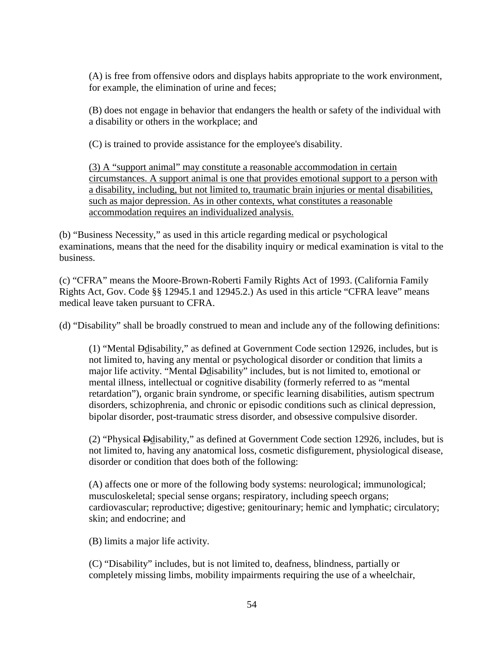(A) is free from offensive odors and displays habits appropriate to the work environment, for example, the elimination of urine and feces;

(B) does not engage in behavior that endangers the health or safety of the individual with a disability or others in the workplace; and

(C) is trained to provide assistance for the employee's disability.

(3) A "support animal" may constitute a reasonable accommodation in certain circumstances. A support animal is one that provides emotional support to a person with a disability, including, but not limited to, traumatic brain injuries or mental disabilities, such as major depression. As in other contexts, what constitutes a reasonable accommodation requires an individualized analysis.

(b) "Business Necessity," as used in this article regarding medical or psychological examinations, means that the need for the disability inquiry or medical examination is vital to the business.

(c) "CFRA" means the Moore-Brown-Roberti Family Rights Act of 1993. (California Family Rights Act, Gov. Code §§ 12945.1 and 12945.2.) As used in this article "CFRA leave" means medical leave taken pursuant to CFRA.

(d) "Disability" shall be broadly construed to mean and include any of the following definitions:

(1) "Mental Ddisability," as defined at Government Code section 12926, includes, but is not limited to, having any mental or psychological disorder or condition that limits a major life activity. "Mental Ddisability" includes, but is not limited to, emotional or mental illness, intellectual or cognitive disability (formerly referred to as "mental retardation"), organic brain syndrome, or specific learning disabilities, autism spectrum disorders, schizophrenia, and chronic or episodic conditions such as clinical depression, bipolar disorder, post-traumatic stress disorder, and obsessive compulsive disorder.

(2) "Physical Ddisability," as defined at Government Code section 12926, includes, but is not limited to, having any anatomical loss, cosmetic disfigurement, physiological disease, disorder or condition that does both of the following:

(A) affects one or more of the following body systems: neurological; immunological; musculoskeletal; special sense organs; respiratory, including speech organs; cardiovascular; reproductive; digestive; genitourinary; hemic and lymphatic; circulatory; skin; and endocrine; and

(B) limits a major life activity.

(C) "Disability" includes, but is not limited to, deafness, blindness, partially or completely missing limbs, mobility impairments requiring the use of a wheelchair,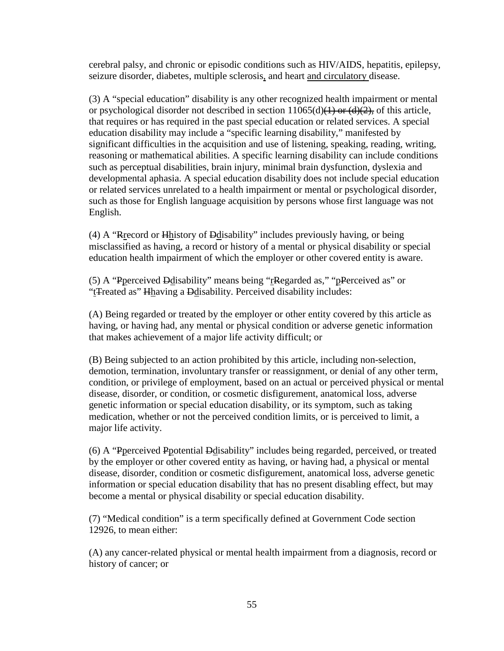cerebral palsy, and chronic or episodic conditions such as HIV/AIDS, hepatitis, epilepsy, seizure disorder, diabetes, multiple sclerosis, and heart and circulatory disease.

(3) A "special education" disability is any other recognized health impairment or mental or psychological disorder not described in section  $11065(d)(1)$  or  $(d)(2)$ , of this article, that requires or has required in the past special education or related services. A special education disability may include a "specific learning disability," manifested by significant difficulties in the acquisition and use of listening, speaking, reading, writing, reasoning or mathematical abilities. A specific learning disability can include conditions such as perceptual disabilities, brain injury, minimal brain dysfunction, dyslexia and developmental aphasia. A special education disability does not include special education or related services unrelated to a health impairment or mental or psychological disorder, such as those for English language acquisition by persons whose first language was not English.

(4) A "Rrecord or Hhistory of Ddisability" includes previously having, or being misclassified as having, a record or history of a mental or physical disability or special education health impairment of which the employer or other covered entity is aware.

(5) A "Pperceived Ddisability" means being "rRegarded as," "pPerceived as" or "tTreated as" Hhaving a Ddisability. Perceived disability includes:

(A) Being regarded or treated by the employer or other entity covered by this article as having, or having had, any mental or physical condition or adverse genetic information that makes achievement of a major life activity difficult; or

(B) Being subjected to an action prohibited by this article, including non-selection, demotion, termination, involuntary transfer or reassignment, or denial of any other term, condition, or privilege of employment, based on an actual or perceived physical or mental disease, disorder, or condition, or cosmetic disfigurement, anatomical loss, adverse genetic information or special education disability, or its symptom, such as taking medication, whether or not the perceived condition limits, or is perceived to limit, a major life activity.

(6) A "Pperceived Ppotential Ddisability" includes being regarded, perceived, or treated by the employer or other covered entity as having, or having had, a physical or mental disease, disorder, condition or cosmetic disfigurement, anatomical loss, adverse genetic information or special education disability that has no present disabling effect, but may become a mental or physical disability or special education disability.

(7) "Medical condition" is a term specifically defined at Government Code section 12926, to mean either:

(A) any cancer-related physical or mental health impairment from a diagnosis, record or history of cancer; or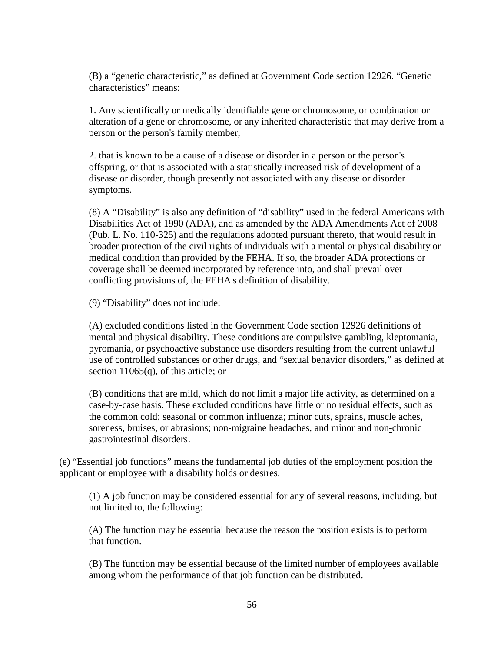(B) a "genetic characteristic," as defined at Government Code section 12926. "Genetic characteristics" means:

1. Any scientifically or medically identifiable gene or chromosome, or combination or alteration of a gene or chromosome, or any inherited characteristic that may derive from a person or the person's family member,

2. that is known to be a cause of a disease or disorder in a person or the person's offspring, or that is associated with a statistically increased risk of development of a disease or disorder, though presently not associated with any disease or disorder symptoms.

(8) A "Disability" is also any definition of "disability" used in the federal Americans with Disabilities Act of 1990 (ADA), and as amended by the ADA Amendments Act of 2008 (Pub. L. No. 110-325) and the regulations adopted pursuant thereto, that would result in broader protection of the civil rights of individuals with a mental or physical disability or medical condition than provided by the FEHA. If so, the broader ADA protections or coverage shall be deemed incorporated by reference into, and shall prevail over conflicting provisions of, the FEHA's definition of disability.

(9) "Disability" does not include:

(A) excluded conditions listed in the Government Code section 12926 definitions of mental and physical disability. These conditions are compulsive gambling, kleptomania, pyromania, or psychoactive substance use disorders resulting from the current unlawful use of controlled substances or other drugs, and "sexual behavior disorders," as defined at section  $11065(q)$ , of this article; or

(B) conditions that are mild, which do not limit a major life activity, as determined on a case-by-case basis. These excluded conditions have little or no residual effects, such as the common cold; seasonal or common influenza; minor cuts, sprains, muscle aches, soreness, bruises, or abrasions; non-migraine headaches, and minor and non-chronic gastrointestinal disorders.

(e) "Essential job functions" means the fundamental job duties of the employment position the applicant or employee with a disability holds or desires.

(1) A job function may be considered essential for any of several reasons, including, but not limited to, the following:

(A) The function may be essential because the reason the position exists is to perform that function.

(B) The function may be essential because of the limited number of employees available among whom the performance of that job function can be distributed.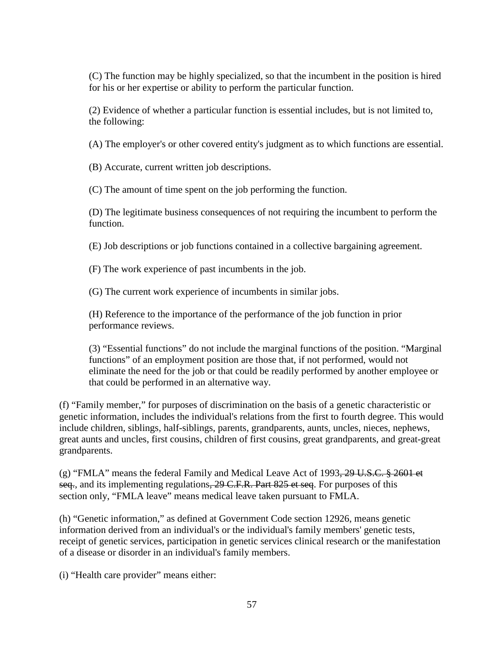(C) The function may be highly specialized, so that the incumbent in the position is hired for his or her expertise or ability to perform the particular function.

(2) Evidence of whether a particular function is essential includes, but is not limited to, the following:

(A) The employer's or other covered entity's judgment as to which functions are essential.

(B) Accurate, current written job descriptions.

(C) The amount of time spent on the job performing the function.

(D) The legitimate business consequences of not requiring the incumbent to perform the function.

(E) Job descriptions or job functions contained in a collective bargaining agreement.

(F) The work experience of past incumbents in the job.

(G) The current work experience of incumbents in similar jobs.

(H) Reference to the importance of the performance of the job function in prior performance reviews.

(3) "Essential functions" do not include the marginal functions of the position. "Marginal functions" of an employment position are those that, if not performed, would not eliminate the need for the job or that could be readily performed by another employee or that could be performed in an alternative way.

(f) "Family member," for purposes of discrimination on the basis of a genetic characteristic or genetic information, includes the individual's relations from the first to fourth degree. This would include children, siblings, half-siblings, parents, grandparents, aunts, uncles, nieces, nephews, great aunts and uncles, first cousins, children of first cousins, great grandparents, and great-great grandparents.

(g) "FMLA" means the federal Family and Medical Leave Act of 1993, 29 U.S.C. § 2601 et seq., and its implementing regulations, 29 C.F.R. Part 825 et seq. For purposes of this section only, "FMLA leave" means medical leave taken pursuant to FMLA.

(h) "Genetic information," as defined at Government Code section 12926, means genetic information derived from an individual's or the individual's family members' genetic tests, receipt of genetic services, participation in genetic services clinical research or the manifestation of a disease or disorder in an individual's family members.

(i) "Health care provider" means either: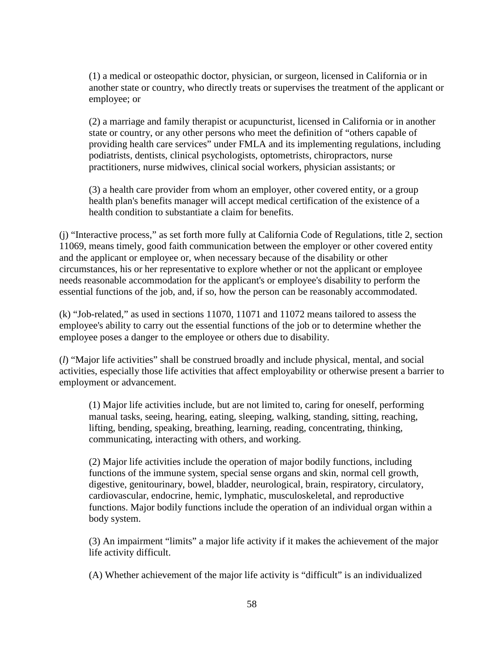(1) a medical or osteopathic doctor, physician, or surgeon, licensed in California or in another state or country, who directly treats or supervises the treatment of the applicant or employee; or

(2) a marriage and family therapist or acupuncturist, licensed in California or in another state or country, or any other persons who meet the definition of "others capable of providing health care services" under FMLA and its implementing regulations, including podiatrists, dentists, clinical psychologists, optometrists, chiropractors, nurse practitioners, nurse midwives, clinical social workers, physician assistants; or

(3) a health care provider from whom an employer, other covered entity, or a group health plan's benefits manager will accept medical certification of the existence of a health condition to substantiate a claim for benefits.

(j) "Interactive process," as set forth more fully at California Code of Regulations, title 2, section 11069, means timely, good faith communication between the employer or other covered entity and the applicant or employee or, when necessary because of the disability or other circumstances, his or her representative to explore whether or not the applicant or employee needs reasonable accommodation for the applicant's or employee's disability to perform the essential functions of the job, and, if so, how the person can be reasonably accommodated.

(k) "Job-related," as used in sections 11070, 11071 and 11072 means tailored to assess the employee's ability to carry out the essential functions of the job or to determine whether the employee poses a danger to the employee or others due to disability.

(*l*) "Major life activities" shall be construed broadly and include physical, mental, and social activities, especially those life activities that affect employability or otherwise present a barrier to employment or advancement.

(1) Major life activities include, but are not limited to, caring for oneself, performing manual tasks, seeing, hearing, eating, sleeping, walking, standing, sitting, reaching, lifting, bending, speaking, breathing, learning, reading, concentrating, thinking, communicating, interacting with others, and working.

(2) Major life activities include the operation of major bodily functions, including functions of the immune system, special sense organs and skin, normal cell growth, digestive, genitourinary, bowel, bladder, neurological, brain, respiratory, circulatory, cardiovascular, endocrine, hemic, lymphatic, musculoskeletal, and reproductive functions. Major bodily functions include the operation of an individual organ within a body system.

(3) An impairment "limits" a major life activity if it makes the achievement of the major life activity difficult.

(A) Whether achievement of the major life activity is "difficult" is an individualized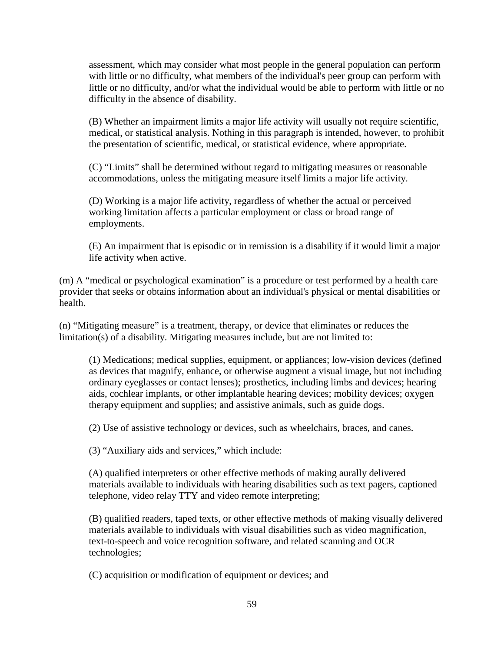assessment, which may consider what most people in the general population can perform with little or no difficulty, what members of the individual's peer group can perform with little or no difficulty, and/or what the individual would be able to perform with little or no difficulty in the absence of disability.

(B) Whether an impairment limits a major life activity will usually not require scientific, medical, or statistical analysis. Nothing in this paragraph is intended, however, to prohibit the presentation of scientific, medical, or statistical evidence, where appropriate.

(C) "Limits" shall be determined without regard to mitigating measures or reasonable accommodations, unless the mitigating measure itself limits a major life activity.

(D) Working is a major life activity, regardless of whether the actual or perceived working limitation affects a particular employment or class or broad range of employments.

(E) An impairment that is episodic or in remission is a disability if it would limit a major life activity when active.

(m) A "medical or psychological examination" is a procedure or test performed by a health care provider that seeks or obtains information about an individual's physical or mental disabilities or health.

(n) "Mitigating measure" is a treatment, therapy, or device that eliminates or reduces the limitation(s) of a disability. Mitigating measures include, but are not limited to:

(1) Medications; medical supplies, equipment, or appliances; low-vision devices (defined as devices that magnify, enhance, or otherwise augment a visual image, but not including ordinary eyeglasses or contact lenses); prosthetics, including limbs and devices; hearing aids, cochlear implants, or other implantable hearing devices; mobility devices; oxygen therapy equipment and supplies; and assistive animals, such as guide dogs.

(2) Use of assistive technology or devices, such as wheelchairs, braces, and canes.

(3) "Auxiliary aids and services," which include:

(A) qualified interpreters or other effective methods of making aurally delivered materials available to individuals with hearing disabilities such as text pagers, captioned telephone, video relay TTY and video remote interpreting;

(B) qualified readers, taped texts, or other effective methods of making visually delivered materials available to individuals with visual disabilities such as video magnification, text-to-speech and voice recognition software, and related scanning and OCR technologies;

(C) acquisition or modification of equipment or devices; and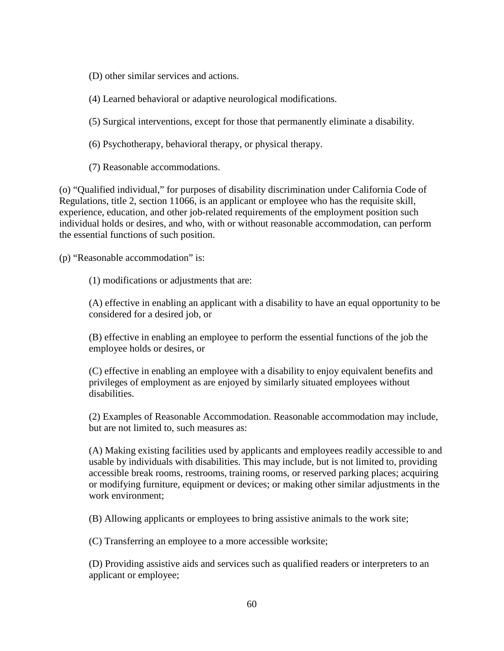(D) other similar services and actions.

- (4) Learned behavioral or adaptive neurological modifications.
- (5) Surgical interventions, except for those that permanently eliminate a disability.
- (6) Psychotherapy, behavioral therapy, or physical therapy.

(7) Reasonable accommodations.

(o) "Qualified individual," for purposes of disability discrimination under California Code of Regulations, title 2, section 11066, is an applicant or employee who has the requisite skill, experience, education, and other job-related requirements of the employment position such individual holds or desires, and who, with or without reasonable accommodation, can perform the essential functions of such position.

(p) "Reasonable accommodation" is:

(1) modifications or adjustments that are:

(A) effective in enabling an applicant with a disability to have an equal opportunity to be considered for a desired job, or

(B) effective in enabling an employee to perform the essential functions of the job the employee holds or desires, or

(C) effective in enabling an employee with a disability to enjoy equivalent benefits and privileges of employment as are enjoyed by similarly situated employees without disabilities.

(2) Examples of Reasonable Accommodation. Reasonable accommodation may include, but are not limited to, such measures as:

(A) Making existing facilities used by applicants and employees readily accessible to and usable by individuals with disabilities. This may include, but is not limited to, providing accessible break rooms, restrooms, training rooms, or reserved parking places; acquiring or modifying furniture, equipment or devices; or making other similar adjustments in the work environment;

(B) Allowing applicants or employees to bring assistive animals to the work site;

(C) Transferring an employee to a more accessible worksite;

(D) Providing assistive aids and services such as qualified readers or interpreters to an applicant or employee;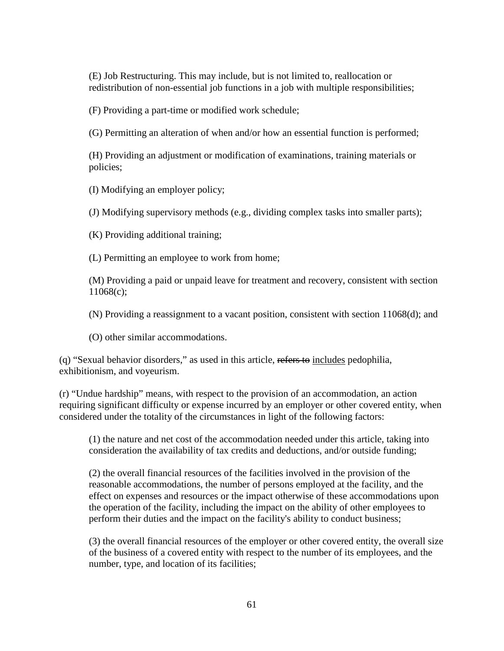(E) Job Restructuring. This may include, but is not limited to, reallocation or redistribution of non-essential job functions in a job with multiple responsibilities;

(F) Providing a part-time or modified work schedule;

(G) Permitting an alteration of when and/or how an essential function is performed;

(H) Providing an adjustment or modification of examinations, training materials or policies;

(I) Modifying an employer policy;

(J) Modifying supervisory methods (e.g., dividing complex tasks into smaller parts);

(K) Providing additional training;

(L) Permitting an employee to work from home;

(M) Providing a paid or unpaid leave for treatment and recovery, consistent with section 11068(c);

(N) Providing a reassignment to a vacant position, consistent with section 11068(d); and

(O) other similar accommodations.

(q) "Sexual behavior disorders," as used in this article, refers to includes pedophilia, exhibitionism, and voyeurism.

(r) "Undue hardship" means, with respect to the provision of an accommodation, an action requiring significant difficulty or expense incurred by an employer or other covered entity, when considered under the totality of the circumstances in light of the following factors:

(1) the nature and net cost of the accommodation needed under this article, taking into consideration the availability of tax credits and deductions, and/or outside funding;

(2) the overall financial resources of the facilities involved in the provision of the reasonable accommodations, the number of persons employed at the facility, and the effect on expenses and resources or the impact otherwise of these accommodations upon the operation of the facility, including the impact on the ability of other employees to perform their duties and the impact on the facility's ability to conduct business;

(3) the overall financial resources of the employer or other covered entity, the overall size of the business of a covered entity with respect to the number of its employees, and the number, type, and location of its facilities;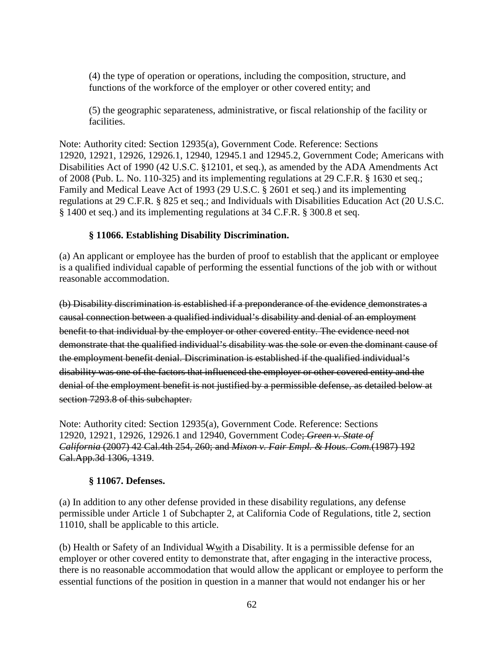(4) the type of operation or operations, including the composition, structure, and functions of the workforce of the employer or other covered entity; and

(5) the geographic separateness, administrative, or fiscal relationship of the facility or facilities.

Note: Authority cited: Section 12935(a), Government Code. Reference: Sections 12920, 12921, 12926, 12926.1, 12940, 12945.1 and 12945.2, Government Code; Americans with Disabilities Act of 1990 (42 U.S.C. §12101, et seq.), as amended by the ADA Amendments Act of 2008 (Pub. L. No. 110-325) and its implementing regulations at 29 C.F.R. § 1630 et seq.; Family and Medical Leave Act of 1993 (29 U.S.C. § 2601 et seq.) and its implementing regulations at 29 C.F.R. § 825 et seq.; and Individuals with Disabilities Education Act (20 U.S.C. § 1400 et seq.) and its implementing regulations at 34 C.F.R. § 300.8 et seq.

## **§ 11066. Establishing Disability Discrimination.**

(a) An applicant or employee has the burden of proof to establish that the applicant or employee is a qualified individual capable of performing the essential functions of the job with or without reasonable accommodation.

(b) Disability discrimination is established if a preponderance of the evidence demonstrates a causal connection between a qualified individual's disability and denial of an employment benefit to that individual by the employer or other covered entity. The evidence need not demonstrate that the qualified individual's disability was the sole or even the dominant cause of the employment benefit denial. Discrimination is established if the qualified individual's disability was one of the factors that influenced the employer or other covered entity and the denial of the employment benefit is not justified by a permissible defense, as detailed below at section 7293.8 of this subchapter.

Note: Authority cited: Section 12935(a), Government Code. Reference: Sections 12920, 12921, 12926, 12926.1 and 12940, Government Code; *Green v. State of California* (2007) 42 Cal.4th 254, 260; and *Mixon v. Fair Empl. & Hous. Com.*(1987) 192 Cal.App.3d 1306, 1319.

### **§ 11067. Defenses.**

(a) In addition to any other defense provided in these disability regulations, any defense permissible under Article 1 of Subchapter 2, at California Code of Regulations, title 2, section 11010, shall be applicable to this article.

(b) Health or Safety of an Individual Wwith a Disability. It is a permissible defense for an employer or other covered entity to demonstrate that, after engaging in the interactive process, there is no reasonable accommodation that would allow the applicant or employee to perform the essential functions of the position in question in a manner that would not endanger his or her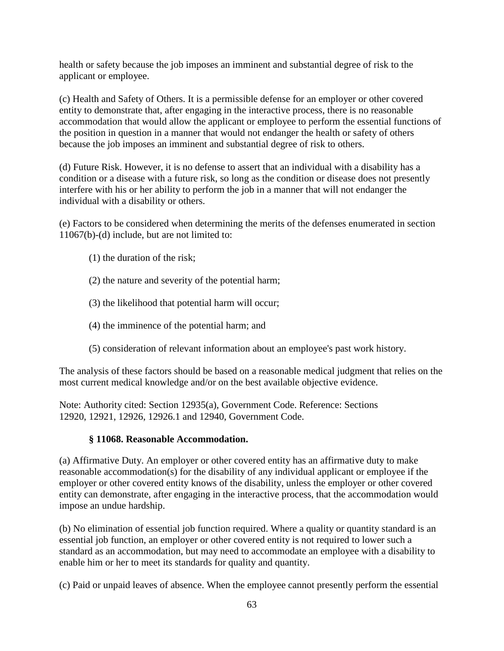health or safety because the job imposes an imminent and substantial degree of risk to the applicant or employee.

(c) Health and Safety of Others. It is a permissible defense for an employer or other covered entity to demonstrate that, after engaging in the interactive process, there is no reasonable accommodation that would allow the applicant or employee to perform the essential functions of the position in question in a manner that would not endanger the health or safety of others because the job imposes an imminent and substantial degree of risk to others.

(d) Future Risk. However, it is no defense to assert that an individual with a disability has a condition or a disease with a future risk, so long as the condition or disease does not presently interfere with his or her ability to perform the job in a manner that will not endanger the individual with a disability or others.

(e) Factors to be considered when determining the merits of the defenses enumerated in section 11067(b)-(d) include, but are not limited to:

- (1) the duration of the risk;
- (2) the nature and severity of the potential harm;
- (3) the likelihood that potential harm will occur;
- (4) the imminence of the potential harm; and
- (5) consideration of relevant information about an employee's past work history.

The analysis of these factors should be based on a reasonable medical judgment that relies on the most current medical knowledge and/or on the best available objective evidence.

Note: Authority cited: Section 12935(a), Government Code. Reference: Sections 12920, 12921, 12926, 12926.1 and 12940, Government Code.

### **§ 11068. Reasonable Accommodation.**

(a) Affirmative Duty. An employer or other covered entity has an affirmative duty to make reasonable accommodation(s) for the disability of any individual applicant or employee if the employer or other covered entity knows of the disability, unless the employer or other covered entity can demonstrate, after engaging in the interactive process, that the accommodation would impose an undue hardship.

(b) No elimination of essential job function required. Where a quality or quantity standard is an essential job function, an employer or other covered entity is not required to lower such a standard as an accommodation, but may need to accommodate an employee with a disability to enable him or her to meet its standards for quality and quantity.

(c) Paid or unpaid leaves of absence. When the employee cannot presently perform the essential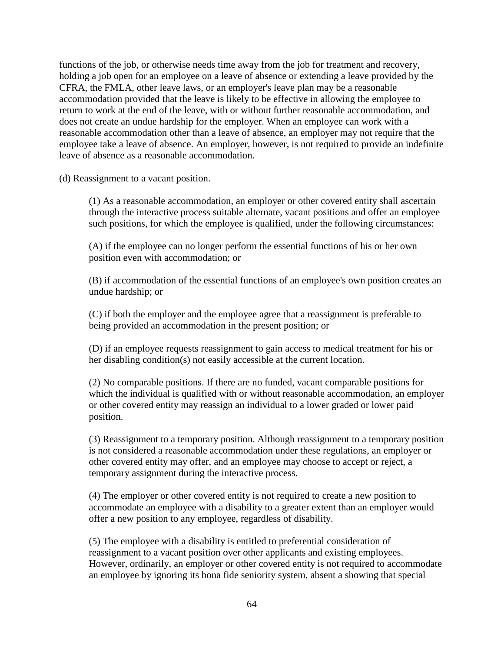functions of the job, or otherwise needs time away from the job for treatment and recovery, holding a job open for an employee on a leave of absence or extending a leave provided by the CFRA, the FMLA, other leave laws, or an employer's leave plan may be a reasonable accommodation provided that the leave is likely to be effective in allowing the employee to return to work at the end of the leave, with or without further reasonable accommodation, and does not create an undue hardship for the employer. When an employee can work with a reasonable accommodation other than a leave of absence, an employer may not require that the employee take a leave of absence. An employer, however, is not required to provide an indefinite leave of absence as a reasonable accommodation.

(d) Reassignment to a vacant position.

(1) As a reasonable accommodation, an employer or other covered entity shall ascertain through the interactive process suitable alternate, vacant positions and offer an employee such positions, for which the employee is qualified, under the following circumstances:

(A) if the employee can no longer perform the essential functions of his or her own position even with accommodation; or

(B) if accommodation of the essential functions of an employee's own position creates an undue hardship; or

(C) if both the employer and the employee agree that a reassignment is preferable to being provided an accommodation in the present position; or

(D) if an employee requests reassignment to gain access to medical treatment for his or her disabling condition(s) not easily accessible at the current location.

(2) No comparable positions. If there are no funded, vacant comparable positions for which the individual is qualified with or without reasonable accommodation, an employer or other covered entity may reassign an individual to a lower graded or lower paid position.

(3) Reassignment to a temporary position. Although reassignment to a temporary position is not considered a reasonable accommodation under these regulations, an employer or other covered entity may offer, and an employee may choose to accept or reject, a temporary assignment during the interactive process.

(4) The employer or other covered entity is not required to create a new position to accommodate an employee with a disability to a greater extent than an employer would offer a new position to any employee, regardless of disability.

(5) The employee with a disability is entitled to preferential consideration of reassignment to a vacant position over other applicants and existing employees. However, ordinarily, an employer or other covered entity is not required to accommodate an employee by ignoring its bona fide seniority system, absent a showing that special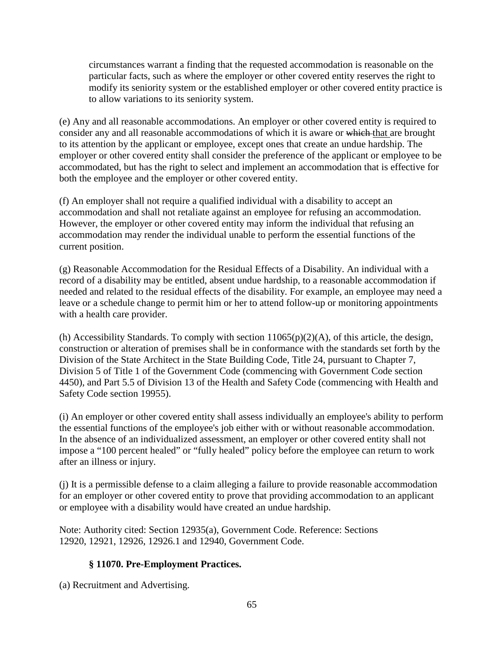circumstances warrant a finding that the requested accommodation is reasonable on the particular facts, such as where the employer or other covered entity reserves the right to modify its seniority system or the established employer or other covered entity practice is to allow variations to its seniority system.

(e) Any and all reasonable accommodations. An employer or other covered entity is required to consider any and all reasonable accommodations of which it is aware or which that are brought to its attention by the applicant or employee, except ones that create an undue hardship. The employer or other covered entity shall consider the preference of the applicant or employee to be accommodated, but has the right to select and implement an accommodation that is effective for both the employee and the employer or other covered entity.

(f) An employer shall not require a qualified individual with a disability to accept an accommodation and shall not retaliate against an employee for refusing an accommodation. However, the employer or other covered entity may inform the individual that refusing an accommodation may render the individual unable to perform the essential functions of the current position.

(g) Reasonable Accommodation for the Residual Effects of a Disability. An individual with a record of a disability may be entitled, absent undue hardship, to a reasonable accommodation if needed and related to the residual effects of the disability. For example, an employee may need a leave or a schedule change to permit him or her to attend follow-up or monitoring appointments with a health care provider.

(h) Accessibility Standards. To comply with section 11065(p)(2)(A), of this article, the design, construction or alteration of premises shall be in conformance with the standards set forth by the Division of the State Architect in the State Building Code, Title 24, pursuant to Chapter 7, Division 5 of Title 1 of the Government Code (commencing with Government Code section 4450), and Part 5.5 of Division 13 of the Health and Safety Code (commencing with Health and Safety Code section 19955).

(i) An employer or other covered entity shall assess individually an employee's ability to perform the essential functions of the employee's job either with or without reasonable accommodation. In the absence of an individualized assessment, an employer or other covered entity shall not impose a "100 percent healed" or "fully healed" policy before the employee can return to work after an illness or injury.

(j) It is a permissible defense to a claim alleging a failure to provide reasonable accommodation for an employer or other covered entity to prove that providing accommodation to an applicant or employee with a disability would have created an undue hardship.

Note: Authority cited: Section 12935(a), Government Code. Reference: Sections 12920, 12921, 12926, 12926.1 and 12940, Government Code.

### **§ 11070. Pre-Employment Practices.**

(a) Recruitment and Advertising.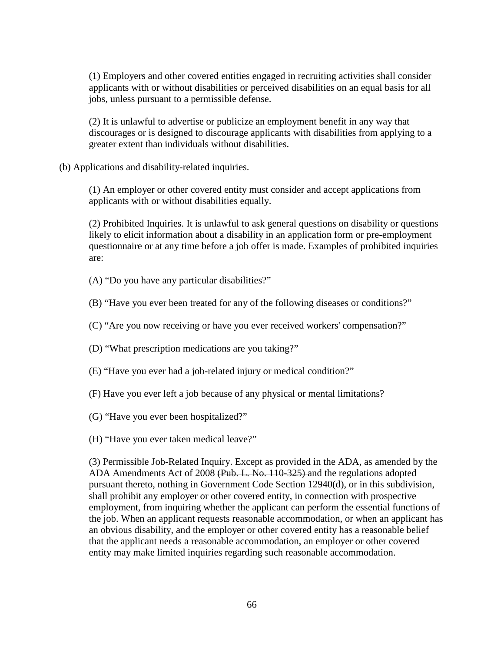(1) Employers and other covered entities engaged in recruiting activities shall consider applicants with or without disabilities or perceived disabilities on an equal basis for all jobs, unless pursuant to a permissible defense.

(2) It is unlawful to advertise or publicize an employment benefit in any way that discourages or is designed to discourage applicants with disabilities from applying to a greater extent than individuals without disabilities.

(b) Applications and disability-related inquiries.

(1) An employer or other covered entity must consider and accept applications from applicants with or without disabilities equally.

(2) Prohibited Inquiries. It is unlawful to ask general questions on disability or questions likely to elicit information about a disability in an application form or pre-employment questionnaire or at any time before a job offer is made. Examples of prohibited inquiries are:

- (A) "Do you have any particular disabilities?"
- (B) "Have you ever been treated for any of the following diseases or conditions?"
- (C) "Are you now receiving or have you ever received workers' compensation?"
- (D) "What prescription medications are you taking?"
- (E) "Have you ever had a job-related injury or medical condition?"
- (F) Have you ever left a job because of any physical or mental limitations?
- (G) "Have you ever been hospitalized?"
- (H) "Have you ever taken medical leave?"

(3) Permissible Job-Related Inquiry. Except as provided in the ADA, as amended by the ADA Amendments Act of 2008 (Pub. L. No. 110-325) and the regulations adopted pursuant thereto, nothing in Government Code Section 12940(d), or in this subdivision, shall prohibit any employer or other covered entity, in connection with prospective employment, from inquiring whether the applicant can perform the essential functions of the job. When an applicant requests reasonable accommodation, or when an applicant has an obvious disability, and the employer or other covered entity has a reasonable belief that the applicant needs a reasonable accommodation, an employer or other covered entity may make limited inquiries regarding such reasonable accommodation.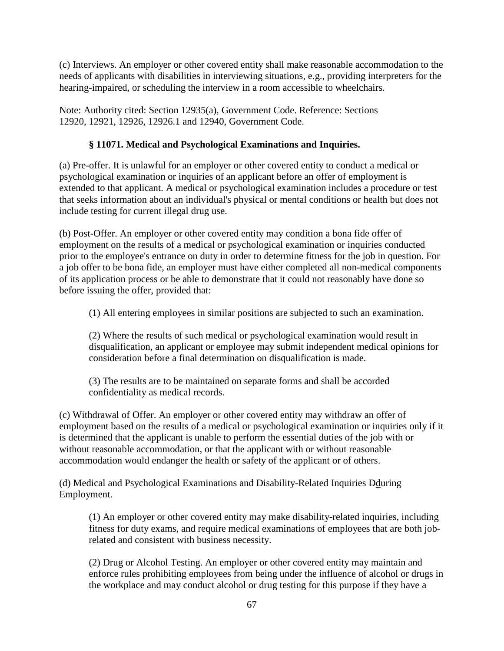(c) Interviews. An employer or other covered entity shall make reasonable accommodation to the needs of applicants with disabilities in interviewing situations, e.g., providing interpreters for the hearing-impaired, or scheduling the interview in a room accessible to wheelchairs.

Note: Authority cited: Section 12935(a), Government Code. Reference: Sections 12920, 12921, 12926, 12926.1 and 12940, Government Code.

## **§ 11071. Medical and Psychological Examinations and Inquiries.**

(a) Pre-offer. It is unlawful for an employer or other covered entity to conduct a medical or psychological examination or inquiries of an applicant before an offer of employment is extended to that applicant. A medical or psychological examination includes a procedure or test that seeks information about an individual's physical or mental conditions or health but does not include testing for current illegal drug use.

(b) Post-Offer. An employer or other covered entity may condition a bona fide offer of employment on the results of a medical or psychological examination or inquiries conducted prior to the employee's entrance on duty in order to determine fitness for the job in question. For a job offer to be bona fide, an employer must have either completed all non-medical components of its application process or be able to demonstrate that it could not reasonably have done so before issuing the offer, provided that:

(1) All entering employees in similar positions are subjected to such an examination.

(2) Where the results of such medical or psychological examination would result in disqualification, an applicant or employee may submit independent medical opinions for consideration before a final determination on disqualification is made.

(3) The results are to be maintained on separate forms and shall be accorded confidentiality as medical records.

(c) Withdrawal of Offer. An employer or other covered entity may withdraw an offer of employment based on the results of a medical or psychological examination or inquiries only if it is determined that the applicant is unable to perform the essential duties of the job with or without reasonable accommodation, or that the applicant with or without reasonable accommodation would endanger the health or safety of the applicant or of others.

(d) Medical and Psychological Examinations and Disability-Related Inquiries Dduring Employment.

(1) An employer or other covered entity may make disability-related inquiries, including fitness for duty exams, and require medical examinations of employees that are both jobrelated and consistent with business necessity.

(2) Drug or Alcohol Testing. An employer or other covered entity may maintain and enforce rules prohibiting employees from being under the influence of alcohol or drugs in the workplace and may conduct alcohol or drug testing for this purpose if they have a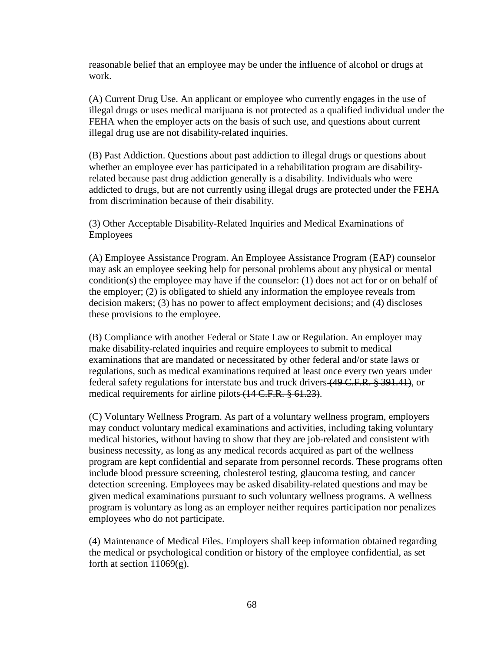reasonable belief that an employee may be under the influence of alcohol or drugs at work.

(A) Current Drug Use. An applicant or employee who currently engages in the use of illegal drugs or uses medical marijuana is not protected as a qualified individual under the FEHA when the employer acts on the basis of such use, and questions about current illegal drug use are not disability-related inquiries.

(B) Past Addiction. Questions about past addiction to illegal drugs or questions about whether an employee ever has participated in a rehabilitation program are disabilityrelated because past drug addiction generally is a disability. Individuals who were addicted to drugs, but are not currently using illegal drugs are protected under the FEHA from discrimination because of their disability.

(3) Other Acceptable Disability-Related Inquiries and Medical Examinations of Employees

(A) Employee Assistance Program. An Employee Assistance Program (EAP) counselor may ask an employee seeking help for personal problems about any physical or mental condition(s) the employee may have if the counselor: (1) does not act for or on behalf of the employer; (2) is obligated to shield any information the employee reveals from decision makers; (3) has no power to affect employment decisions; and (4) discloses these provisions to the employee.

(B) Compliance with another Federal or State Law or Regulation. An employer may make disability-related inquiries and require employees to submit to medical examinations that are mandated or necessitated by other federal and/or state laws or regulations, such as medical examinations required at least once every two years under federal safety regulations for interstate bus and truck drivers (49 C.F.R. § 391.41), or medical requirements for airline pilots (14 C.F.R. § 61.23).

(C) Voluntary Wellness Program. As part of a voluntary wellness program, employers may conduct voluntary medical examinations and activities, including taking voluntary medical histories, without having to show that they are job-related and consistent with business necessity, as long as any medical records acquired as part of the wellness program are kept confidential and separate from personnel records. These programs often include blood pressure screening, cholesterol testing, glaucoma testing, and cancer detection screening. Employees may be asked disability-related questions and may be given medical examinations pursuant to such voluntary wellness programs. A wellness program is voluntary as long as an employer neither requires participation nor penalizes employees who do not participate.

(4) Maintenance of Medical Files. Employers shall keep information obtained regarding the medical or psychological condition or history of the employee confidential, as set forth at section  $11069(g)$ .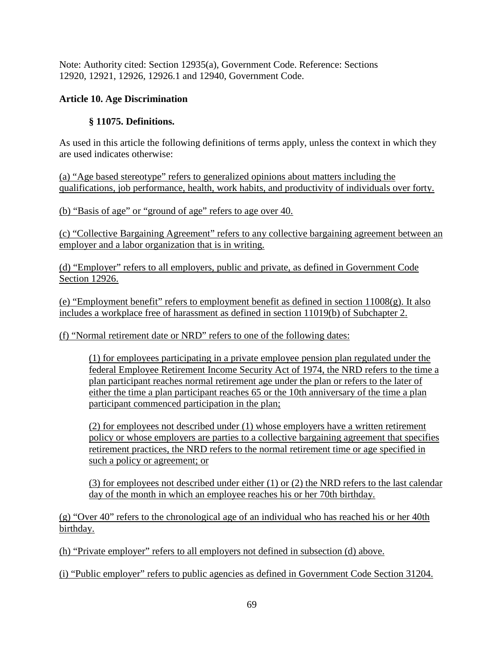Note: Authority cited: Section 12935(a), Government Code. Reference: Sections 12920, 12921, 12926, 12926.1 and 12940, Government Code.

## **Article 10. Age Discrimination**

# **§ 11075. Definitions.**

As used in this article the following definitions of terms apply, unless the context in which they are used indicates otherwise:

(a) "Age based stereotype" refers to generalized opinions about matters including the qualifications, job performance, health, work habits, and productivity of individuals over forty.

(b) "Basis of age" or "ground of age" refers to age over 40.

(c) "Collective Bargaining Agreement" refers to any collective bargaining agreement between an employer and a labor organization that is in writing.

(d) "Employer" refers to all employers, public and private, as defined in Government Code Section 12926.

(e) "Employment benefit" refers to employment benefit as defined in section  $11008(g)$ . It also includes a workplace free of harassment as defined in section 11019(b) of Subchapter 2.

(f) "Normal retirement date or NRD" refers to one of the following dates:

(1) for employees participating in a private employee pension plan regulated under the federal Employee Retirement Income Security Act of 1974, the NRD refers to the time a plan participant reaches normal retirement age under the plan or refers to the later of either the time a plan participant reaches 65 or the 10th anniversary of the time a plan participant commenced participation in the plan;

(2) for employees not described under (1) whose employers have a written retirement policy or whose employers are parties to a collective bargaining agreement that specifies retirement practices, the NRD refers to the normal retirement time or age specified in such a policy or agreement; or

(3) for employees not described under either (1) or (2) the NRD refers to the last calendar day of the month in which an employee reaches his or her 70th birthday.

(g) "Over 40" refers to the chronological age of an individual who has reached his or her 40th birthday.

(h) "Private employer" refers to all employers not defined in subsection (d) above.

(i) "Public employer" refers to public agencies as defined in Government Code Section 31204.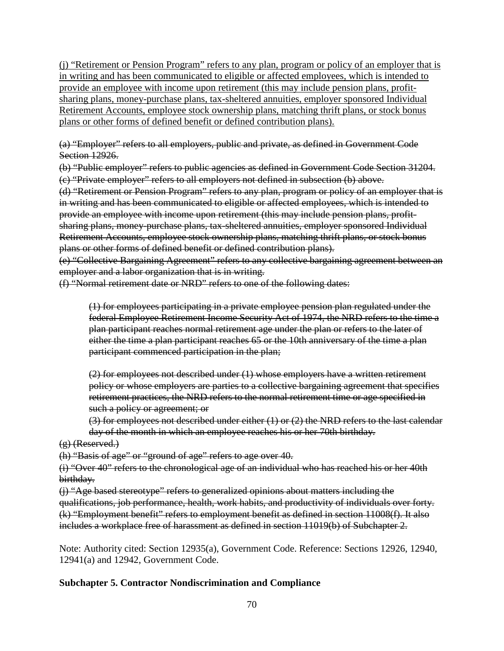(j) "Retirement or Pension Program" refers to any plan, program or policy of an employer that is in writing and has been communicated to eligible or affected employees, which is intended to provide an employee with income upon retirement (this may include pension plans, profitsharing plans, money-purchase plans, tax-sheltered annuities, employer sponsored Individual Retirement Accounts, employee stock ownership plans, matching thrift plans, or stock bonus plans or other forms of defined benefit or defined contribution plans).

(a) "Employer" refers to all employers, public and private, as defined in Government Code Section 12926.

(b) "Public employer" refers to public agencies as defined in Government Code Section 31204. (c) "Private employer" refers to all employers not defined in subsection (b) above.

(d) "Retirement or Pension Program" refers to any plan, program or policy of an employer that is in writing and has been communicated to eligible or affected employees, which is intended to provide an employee with income upon retirement (this may include pension plans, profitsharing plans, money-purchase plans, tax-sheltered annuities, employer sponsored Individual Retirement Accounts, employee stock ownership plans, matching thrift plans, or stock bonus plans or other forms of defined benefit or defined contribution plans).

(e) "Collective Bargaining Agreement" refers to any collective bargaining agreement between an employer and a labor organization that is in writing.

(f) "Normal retirement date or NRD" refers to one of the following dates:

(1) for employees participating in a private employee pension plan regulated under the federal Employee Retirement Income Security Act of 1974, the NRD refers to the time a plan participant reaches normal retirement age under the plan or refers to the later of either the time a plan participant reaches 65 or the 10th anniversary of the time a plan participant commenced participation in the plan;

(2) for employees not described under (1) whose employers have a written retirement policy or whose employers are parties to a collective bargaining agreement that specifies retirement practices, the NRD refers to the normal retirement time or age specified in such a policy or agreement; or

(3) for employees not described under either (1) or (2) the NRD refers to the last calendar day of the month in which an employee reaches his or her 70th birthday.

(g) (Reserved.)

(h) "Basis of age" or "ground of age" refers to age over 40.

(i) "Over 40" refers to the chronological age of an individual who has reached his or her 40th birthday.

(j) "Age based stereotype" refers to generalized opinions about matters including the qualifications, job performance, health, work habits, and productivity of individuals over forty. (k) "Employment benefit" refers to employment benefit as defined in section 11008(f). It also includes a workplace free of harassment as defined in section 11019(b) of Subchapter 2.

Note: Authority cited: Section 12935(a), Government Code. Reference: Sections 12926, 12940, 12941(a) and 12942, Government Code.

#### **Subchapter 5. Contractor Nondiscrimination and Compliance**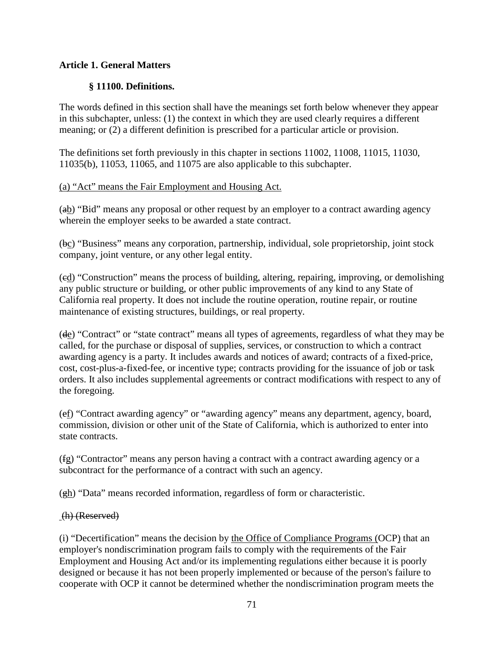### **Article 1. General Matters**

## **§ 11100. Definitions.**

The words defined in this section shall have the meanings set forth below whenever they appear in this subchapter, unless: (1) the context in which they are used clearly requires a different meaning; or (2) a different definition is prescribed for a particular article or provision.

The definitions set forth previously in this chapter in sections 11002, 11008, 11015, 11030, 11035(b), 11053, 11065, and 11075 are also applicable to this subchapter.

### (a) "Act" means the Fair Employment and Housing Act.

(ab) "Bid" means any proposal or other request by an employer to a contract awarding agency wherein the employer seeks to be awarded a state contract.

(bc) "Business" means any corporation, partnership, individual, sole proprietorship, joint stock company, joint venture, or any other legal entity.

(cd) "Construction" means the process of building, altering, repairing, improving, or demolishing any public structure or building, or other public improvements of any kind to any State of California real property. It does not include the routine operation, routine repair, or routine maintenance of existing structures, buildings, or real property.

(de) "Contract" or "state contract" means all types of agreements, regardless of what they may be called, for the purchase or disposal of supplies, services, or construction to which a contract awarding agency is a party. It includes awards and notices of award; contracts of a fixed-price, cost, cost-plus-a-fixed-fee, or incentive type; contracts providing for the issuance of job or task orders. It also includes supplemental agreements or contract modifications with respect to any of the foregoing.

(ef) "Contract awarding agency" or "awarding agency" means any department, agency, board, commission, division or other unit of the State of California, which is authorized to enter into state contracts.

(fg) "Contractor" means any person having a contract with a contract awarding agency or a subcontract for the performance of a contract with such an agency.

(gh) "Data" means recorded information, regardless of form or characteristic.

## (h) (Reserved)

(i) "Decertification" means the decision by the Office of Compliance Programs (OCP) that an employer's nondiscrimination program fails to comply with the requirements of the Fair Employment and Housing Act and/or its implementing regulations either because it is poorly designed or because it has not been properly implemented or because of the person's failure to cooperate with OCP it cannot be determined whether the nondiscrimination program meets the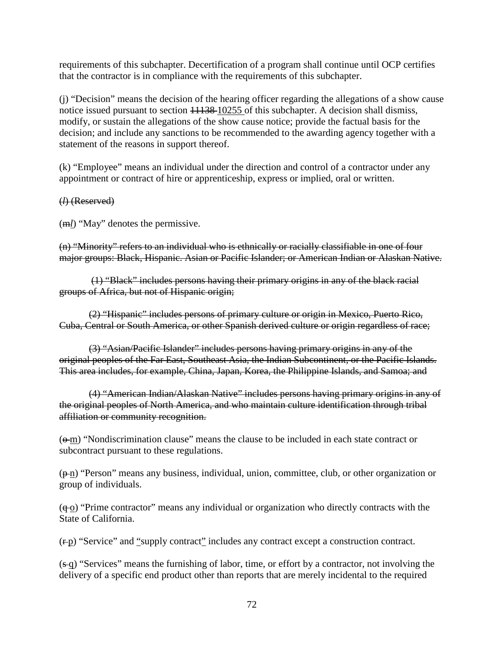requirements of this subchapter. Decertification of a program shall continue until OCP certifies that the contractor is in compliance with the requirements of this subchapter.

(j) "Decision" means the decision of the hearing officer regarding the allegations of a show cause notice issued pursuant to section  $11138-10255$  of this subchapter. A decision shall dismiss, modify, or sustain the allegations of the show cause notice; provide the factual basis for the decision; and include any sanctions to be recommended to the awarding agency together with a statement of the reasons in support thereof.

(k) "Employee" means an individual under the direction and control of a contractor under any appointment or contract of hire or apprenticeship, express or implied, oral or written.

#### (*l*) (Reserved)

(ml) "May" denotes the permissive.

(n) "Minority" refers to an individual who is ethnically or racially classifiable in one of four major groups: Black, Hispanic. Asian or Pacific Islander; or American Indian or Alaskan Native.

(1) "Black" includes persons having their primary origins in any of the black racial groups of Africa, but not of Hispanic origin;

(2) "Hispanic" includes persons of primary culture or origin in Mexico, Puerto Rico, Cuba, Central or South America, or other Spanish derived culture or origin regardless of race;

(3) "Asian/Pacific Islander" includes persons having primary origins in any of the original peoples of the Far East, Southeast Asia, the Indian Subcontinent, or the Pacific Islands. This area includes, for example, China, Japan, Korea, the Philippine Islands, and Samoa; and

(4) "American Indian/Alaskan Native" includes persons having primary origins in any of the original peoples of North America, and who maintain culture identification through tribal affiliation or community recognition.

(o m) "Nondiscrimination clause" means the clause to be included in each state contract or subcontract pursuant to these regulations.

 $(p-n)$  "Person" means any business, individual, union, committee, club, or other organization or group of individuals.

 $(q<sub>0</sub>)$  "Prime contractor" means any individual or organization who directly contracts with the State of California.

 $(F<sub>p</sub>)$  "Service" and "supply contract" includes any contract except a construction contract.

 $(s-q)$  "Services" means the furnishing of labor, time, or effort by a contractor, not involving the delivery of a specific end product other than reports that are merely incidental to the required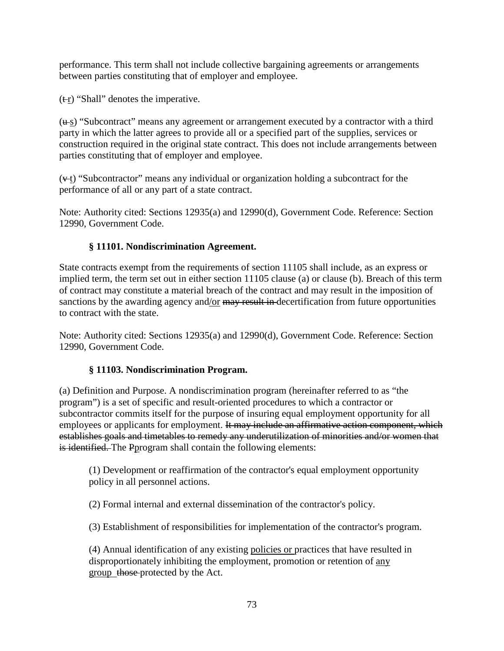performance. This term shall not include collective bargaining agreements or arrangements between parties constituting that of employer and employee.

 $(\pm r)$  "Shall" denotes the imperative.

 $(u-s)$  "Subcontract" means any agreement or arrangement executed by a contractor with a third party in which the latter agrees to provide all or a specified part of the supplies, services or construction required in the original state contract. This does not include arrangements between parties constituting that of employer and employee.

 $(v-t)$  "Subcontractor" means any individual or organization holding a subcontract for the performance of all or any part of a state contract.

Note: Authority cited: Sections 12935(a) and 12990(d), Government Code. Reference: Section 12990, Government Code.

# **§ 11101. Nondiscrimination Agreement.**

State contracts exempt from the requirements of section 11105 shall include, as an express or implied term, the term set out in either section 11105 clause (a) or clause (b). Breach of this term of contract may constitute a material breach of the contract and may result in the imposition of sanctions by the awarding agency and/or may result in decertification from future opportunities to contract with the state.

Note: Authority cited: Sections 12935(a) and 12990(d), Government Code. Reference: Section 12990, Government Code.

## **§ 11103. Nondiscrimination Program.**

(a) Definition and Purpose. A nondiscrimination program (hereinafter referred to as "the program") is a set of specific and result-oriented procedures to which a contractor or subcontractor commits itself for the purpose of insuring equal employment opportunity for all employees or applicants for employment. It may include an affirmative action component, which establishes goals and timetables to remedy any underutilization of minorities and/or women that is identified. The Pprogram shall contain the following elements:

(1) Development or reaffirmation of the contractor's equal employment opportunity policy in all personnel actions.

(2) Formal internal and external dissemination of the contractor's policy.

(3) Establishment of responsibilities for implementation of the contractor's program.

(4) Annual identification of any existing policies or practices that have resulted in disproportionately inhibiting the employment, promotion or retention of any group those protected by the Act.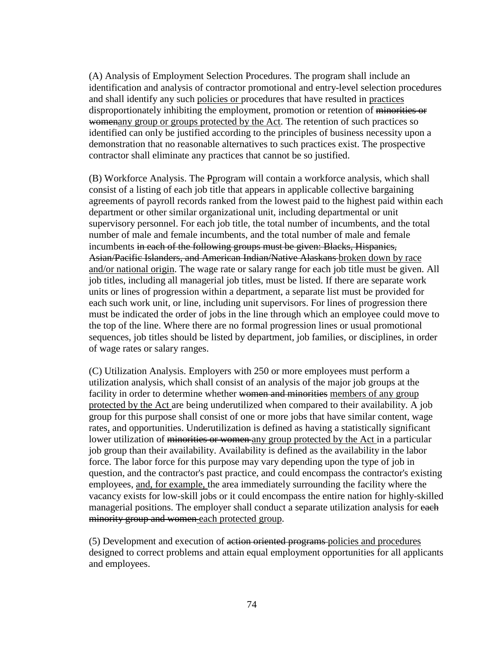(A) Analysis of Employment Selection Procedures. The program shall include an identification and analysis of contractor promotional and entry-level selection procedures and shall identify any such policies or procedures that have resulted in practices disproportionately inhibiting the employment, promotion or retention of minorities or womenany group or groups protected by the Act. The retention of such practices so identified can only be justified according to the principles of business necessity upon a demonstration that no reasonable alternatives to such practices exist. The prospective contractor shall eliminate any practices that cannot be so justified.

(B) Workforce Analysis. The Pprogram will contain a workforce analysis, which shall consist of a listing of each job title that appears in applicable collective bargaining agreements of payroll records ranked from the lowest paid to the highest paid within each department or other similar organizational unit, including departmental or unit supervisory personnel. For each job title, the total number of incumbents, and the total number of male and female incumbents, and the total number of male and female incumbents in each of the following groups must be given: Blacks, Hispanics, Asian/Pacific Islanders, and American Indian/Native Alaskans broken down by race and/or national origin. The wage rate or salary range for each job title must be given. All job titles, including all managerial job titles, must be listed. If there are separate work units or lines of progression within a department, a separate list must be provided for each such work unit, or line, including unit supervisors. For lines of progression there must be indicated the order of jobs in the line through which an employee could move to the top of the line. Where there are no formal progression lines or usual promotional sequences, job titles should be listed by department, job families, or disciplines, in order of wage rates or salary ranges.

(C) Utilization Analysis. Employers with 250 or more employees must perform a utilization analysis, which shall consist of an analysis of the major job groups at the facility in order to determine whether women and minorities members of any group protected by the Act are being underutilized when compared to their availability. A job group for this purpose shall consist of one or more jobs that have similar content, wage rates, and opportunities. Underutilization is defined as having a statistically significant lower utilization of minorities or women any group protected by the Act in a particular job group than their availability. Availability is defined as the availability in the labor force. The labor force for this purpose may vary depending upon the type of job in question, and the contractor's past practice, and could encompass the contractor's existing employees, and, for example, the area immediately surrounding the facility where the vacancy exists for low-skill jobs or it could encompass the entire nation for highly-skilled managerial positions. The employer shall conduct a separate utilization analysis for each minority group and women each protected group.

(5) Development and execution of action oriented programs policies and procedures designed to correct problems and attain equal employment opportunities for all applicants and employees.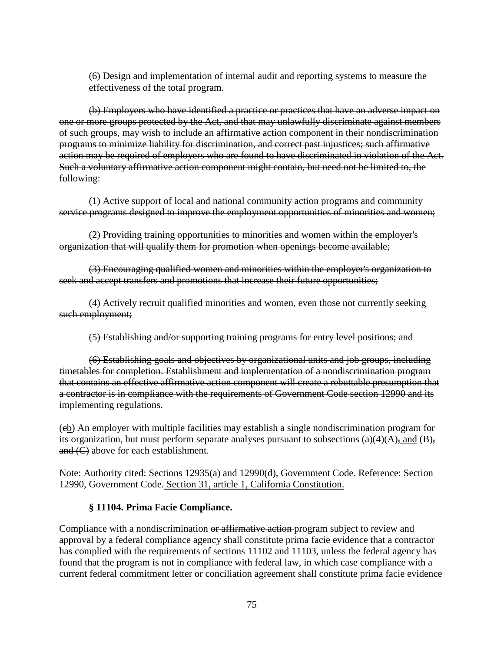(6) Design and implementation of internal audit and reporting systems to measure the effectiveness of the total program.

(b) Employers who have identified a practice or practices that have an adverse impact on one or more groups protected by the Act, and that may unlawfully discriminate against members of such groups, may wish to include an affirmative action component in their nondiscrimination programs to minimize liability for discrimination, and correct past injustices; such affirmative action may be required of employers who are found to have discriminated in violation of the Act. Such a voluntary affirmative action component might contain, but need not be limited to, the following:

(1) Active support of local and national community action programs and community service programs designed to improve the employment opportunities of minorities and women;

(2) Providing training opportunities to minorities and women within the employer's organization that will qualify them for promotion when openings become available;

(3) Encouraging qualified women and minorities within the employer's organization to seek and accept transfers and promotions that increase their future opportunities;

(4) Actively recruit qualified minorities and women, even those not currently seeking such employment;

(5) Establishing and/or supporting training programs for entry level positions; and

(6) Establishing goals and objectives by organizational units and job groups, including timetables for completion. Establishment and implementation of a nondiscrimination program that contains an effective affirmative action component will create a rebuttable presumption that a contractor is in compliance with the requirements of Government Code section 12990 and its implementing regulations.

(cb) An employer with multiple facilities may establish a single nondiscrimination program for its organization, but must perform separate analyses pursuant to subsections (a)(4)(A), and (B), and (C) above for each establishment.

Note: Authority cited: Sections 12935(a) and 12990(d), Government Code. Reference: Section 12990, Government Code. Section 31, article 1, California Constitution.

#### **§ 11104. Prima Facie Compliance.**

Compliance with a nondiscrimination or affirmative action program subject to review and approval by a federal compliance agency shall constitute prima facie evidence that a contractor has complied with the requirements of sections 11102 and 11103, unless the federal agency has found that the program is not in compliance with federal law, in which case compliance with a current federal commitment letter or conciliation agreement shall constitute prima facie evidence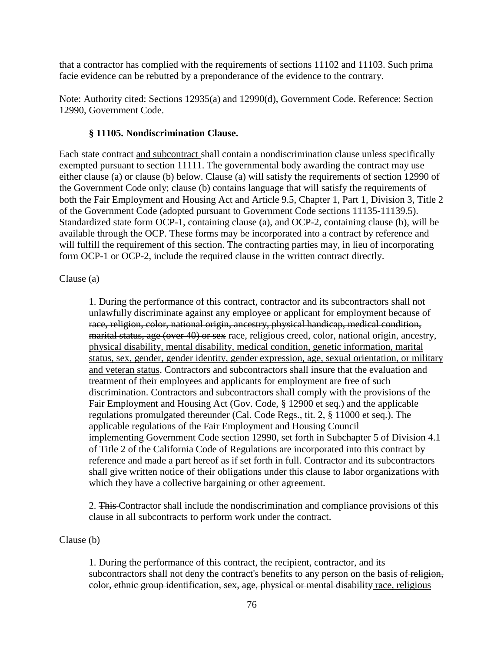that a contractor has complied with the requirements of sections 11102 and 11103. Such prima facie evidence can be rebutted by a preponderance of the evidence to the contrary.

Note: Authority cited: Sections 12935(a) and 12990(d), Government Code. Reference: Section 12990, Government Code.

#### **§ 11105. Nondiscrimination Clause.**

Each state contract and subcontract shall contain a nondiscrimination clause unless specifically exempted pursuant to section 11111. The governmental body awarding the contract may use either clause (a) or clause (b) below. Clause (a) will satisfy the requirements of section 12990 of the Government Code only; clause (b) contains language that will satisfy the requirements of both the Fair Employment and Housing Act and Article 9.5, Chapter 1, Part 1, Division 3, Title 2 of the Government Code (adopted pursuant to Government Code sections 11135-11139.5). Standardized state form OCP-1, containing clause (a), and OCP-2, containing clause (b), will be available through the OCP. These forms may be incorporated into a contract by reference and will fulfill the requirement of this section. The contracting parties may, in lieu of incorporating form OCP-1 or OCP-2, include the required clause in the written contract directly.

#### Clause (a)

1. During the performance of this contract, contractor and its subcontractors shall not unlawfully discriminate against any employee or applicant for employment because of race, religion, color, national origin, ancestry, physical handicap, medical condition, marital status, age (over 40) or sex race, religious creed, color, national origin, ancestry, physical disability, mental disability, medical condition, genetic information, marital status, sex, gender, gender identity, gender expression, age, sexual orientation, or military and veteran status. Contractors and subcontractors shall insure that the evaluation and treatment of their employees and applicants for employment are free of such discrimination. Contractors and subcontractors shall comply with the provisions of the Fair Employment and Housing Act (Gov. Code, § 12900 et seq.) and the applicable regulations promulgated thereunder (Cal. Code Regs., tit. 2, § 11000 et seq.). The applicable regulations of the Fair Employment and Housing Council implementing Government Code section 12990, set forth in Subchapter 5 of Division 4.1 of Title 2 of the California Code of Regulations are incorporated into this contract by reference and made a part hereof as if set forth in full. Contractor and its subcontractors shall give written notice of their obligations under this clause to labor organizations with which they have a collective bargaining or other agreement.

2. This Contractor shall include the nondiscrimination and compliance provisions of this clause in all subcontracts to perform work under the contract.

#### Clause (b)

1. During the performance of this contract, the recipient, contractor, and its subcontractors shall not deny the contract's benefits to any person on the basis of religion, color, ethnic group identification, sex, age, physical or mental disability race, religious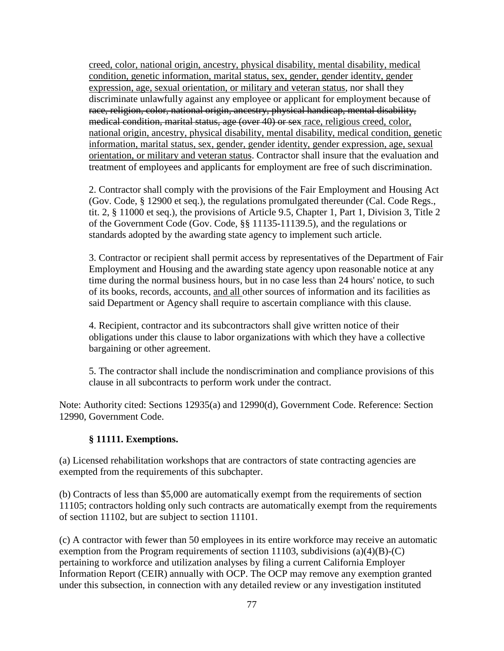creed, color, national origin, ancestry, physical disability, mental disability, medical condition, genetic information, marital status, sex, gender, gender identity, gender expression, age, sexual orientation, or military and veteran status, nor shall they discriminate unlawfully against any employee or applicant for employment because of race, religion, color, national origin, ancestry, physical handicap, mental disability, medical condition, marital status, age (over 40) or sex race, religious creed, color, national origin, ancestry, physical disability, mental disability, medical condition, genetic information, marital status, sex, gender, gender identity, gender expression, age, sexual orientation, or military and veteran status. Contractor shall insure that the evaluation and treatment of employees and applicants for employment are free of such discrimination.

2. Contractor shall comply with the provisions of the Fair Employment and Housing Act (Gov. Code, § 12900 et seq.), the regulations promulgated thereunder (Cal. Code Regs., tit. 2, § 11000 et seq.), the provisions of Article 9.5, Chapter 1, Part 1, Division 3, Title 2 of the Government Code (Gov. Code, §§ 11135-11139.5), and the regulations or standards adopted by the awarding state agency to implement such article.

3. Contractor or recipient shall permit access by representatives of the Department of Fair Employment and Housing and the awarding state agency upon reasonable notice at any time during the normal business hours, but in no case less than 24 hours' notice, to such of its books, records, accounts, and all other sources of information and its facilities as said Department or Agency shall require to ascertain compliance with this clause.

4. Recipient, contractor and its subcontractors shall give written notice of their obligations under this clause to labor organizations with which they have a collective bargaining or other agreement.

5. The contractor shall include the nondiscrimination and compliance provisions of this clause in all subcontracts to perform work under the contract.

Note: Authority cited: Sections 12935(a) and 12990(d), Government Code. Reference: Section 12990, Government Code.

### **§ 11111. Exemptions.**

(a) Licensed rehabilitation workshops that are contractors of state contracting agencies are exempted from the requirements of this subchapter.

(b) Contracts of less than \$5,000 are automatically exempt from the requirements of section 11105; contractors holding only such contracts are automatically exempt from the requirements of section 11102, but are subject to section 11101.

(c) A contractor with fewer than 50 employees in its entire workforce may receive an automatic exemption from the Program requirements of section 11103, subdivisions (a)(4)(B)-(C) pertaining to workforce and utilization analyses by filing a current California Employer Information Report (CEIR) annually with OCP. The OCP may remove any exemption granted under this subsection, in connection with any detailed review or any investigation instituted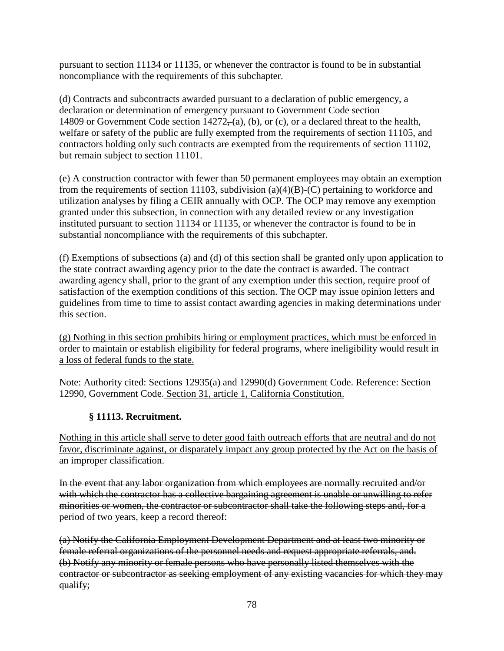pursuant to section 11134 or 11135, or whenever the contractor is found to be in substantial noncompliance with the requirements of this subchapter.

(d) Contracts and subcontracts awarded pursuant to a declaration of public emergency, a declaration or determination of emergency pursuant to Government Code section 14809 or Government Code section 14272, (a), (b), or (c), or a declared threat to the health, welfare or safety of the public are fully exempted from the requirements of section 11105, and contractors holding only such contracts are exempted from the requirements of section 11102, but remain subject to section 11101.

(e) A construction contractor with fewer than 50 permanent employees may obtain an exemption from the requirements of section 11103, subdivision (a)(4)(B)-(C) pertaining to workforce and utilization analyses by filing a CEIR annually with OCP. The OCP may remove any exemption granted under this subsection, in connection with any detailed review or any investigation instituted pursuant to section 11134 or 11135, or whenever the contractor is found to be in substantial noncompliance with the requirements of this subchapter.

(f) Exemptions of subsections (a) and (d) of this section shall be granted only upon application to the state contract awarding agency prior to the date the contract is awarded. The contract awarding agency shall, prior to the grant of any exemption under this section, require proof of satisfaction of the exemption conditions of this section. The OCP may issue opinion letters and guidelines from time to time to assist contact awarding agencies in making determinations under this section.

(g) Nothing in this section prohibits hiring or employment practices, which must be enforced in order to maintain or establish eligibility for federal programs, where ineligibility would result in a loss of federal funds to the state.

Note: Authority cited: Sections 12935(a) and 12990(d) Government Code. Reference: Section 12990, Government Code. Section 31, article 1, California Constitution.

## **§ 11113. Recruitment.**

Nothing in this article shall serve to deter good faith outreach efforts that are neutral and do not favor, discriminate against, or disparately impact any group protected by the Act on the basis of an improper classification.

In the event that any labor organization from which employees are normally recruited and/or with which the contractor has a collective bargaining agreement is unable or unwilling to refer minorities or women, the contractor or subcontractor shall take the following steps and, for a period of two years, keep a record thereof:

(a) Notify the California Employment Development Department and at least two minority or female referral organizations of the personnel needs and request appropriate referrals, and. (b) Notify any minority or female persons who have personally listed themselves with the contractor or subcontractor as seeking employment of any existing vacancies for which they may qualify;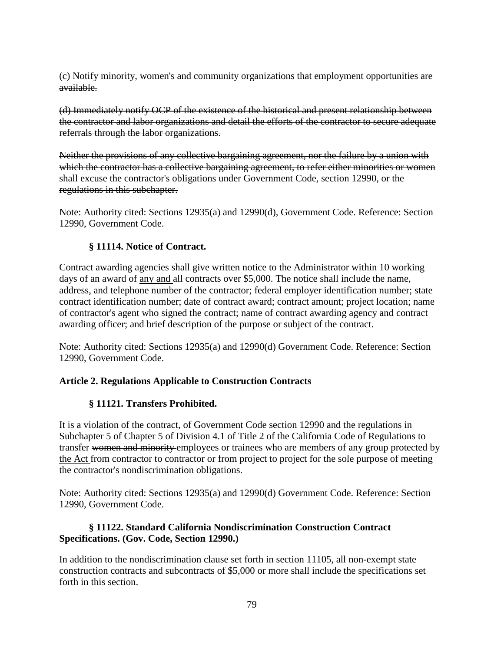(c) Notify minority, women's and community organizations that employment opportunities are available.

(d) Immediately notify OCP of the existence of the historical and present relationship between the contractor and labor organizations and detail the efforts of the contractor to secure adequate referrals through the labor organizations.

Neither the provisions of any collective bargaining agreement, nor the failure by a union with which the contractor has a collective bargaining agreement, to refer either minorities or women shall excuse the contractor's obligations under Government Code, section 12990, or the regulations in this subchapter.

Note: Authority cited: Sections 12935(a) and 12990(d), Government Code. Reference: Section 12990, Government Code.

## **§ 11114. Notice of Contract.**

Contract awarding agencies shall give written notice to the Administrator within 10 working days of an award of any and all contracts over \$5,000. The notice shall include the name, address, and telephone number of the contractor; federal employer identification number; state contract identification number; date of contract award; contract amount; project location; name of contractor's agent who signed the contract; name of contract awarding agency and contract awarding officer; and brief description of the purpose or subject of the contract.

Note: Authority cited: Sections 12935(a) and 12990(d) Government Code. Reference: Section 12990, Government Code.

### **Article 2. Regulations Applicable to Construction Contracts**

## **§ 11121. Transfers Prohibited.**

It is a violation of the contract, of Government Code section 12990 and the regulations in Subchapter 5 of Chapter 5 of Division 4.1 of Title 2 of the California Code of Regulations to transfer women and minority employees or trainees who are members of any group protected by the Act from contractor to contractor or from project to project for the sole purpose of meeting the contractor's nondiscrimination obligations.

Note: Authority cited: Sections 12935(a) and 12990(d) Government Code. Reference: Section 12990, Government Code.

## **§ 11122. Standard California Nondiscrimination Construction Contract Specifications. (Gov. Code, Section 12990.)**

In addition to the nondiscrimination clause set forth in section 11105, all non-exempt state construction contracts and subcontracts of \$5,000 or more shall include the specifications set forth in this section.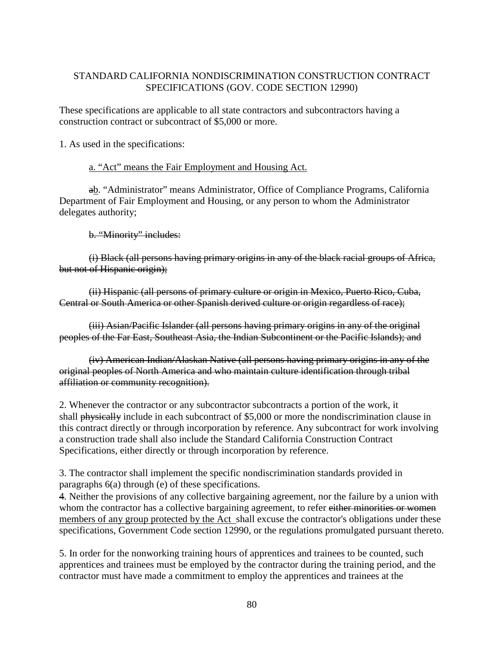#### STANDARD CALIFORNIA NONDISCRIMINATION CONSTRUCTION CONTRACT SPECIFICATIONS (GOV. CODE SECTION 12990)

These specifications are applicable to all state contractors and subcontractors having a construction contract or subcontract of \$5,000 or more.

1. As used in the specifications:

#### a. "Act" means the Fair Employment and Housing Act.

ab. "Administrator" means Administrator, Office of Compliance Programs, California Department of Fair Employment and Housing, or any person to whom the Administrator delegates authority;

b. "Minority" includes:

(i) Black (all persons having primary origins in any of the black racial groups of Africa, but not of Hispanic origin);

(ii) Hispanic (all persons of primary culture or origin in Mexico, Puerto Rico, Cuba, Central or South America or other Spanish derived culture or origin regardless of race);

(iii) Asian/Pacific Islander (all persons having primary origins in any of the original peoples of the Far East, Southeast Asia, the Indian Subcontinent or the Pacific Islands); and

(iv) American Indian/Alaskan Native (all persons having primary origins in any of the original peoples of North America and who maintain culture identification through tribal affiliation or community recognition).

2. Whenever the contractor or any subcontractor subcontracts a portion of the work, it shall physically include in each subcontract of \$5,000 or more the nondiscrimination clause in this contract directly or through incorporation by reference. Any subcontract for work involving a construction trade shall also include the Standard California Construction Contract Specifications, either directly or through incorporation by reference.

3. The contractor shall implement the specific nondiscrimination standards provided in paragraphs 6(a) through (e) of these specifications.

4. Neither the provisions of any collective bargaining agreement, nor the failure by a union with whom the contractor has a collective bargaining agreement, to refer either minorities or women members of any group protected by the Act shall excuse the contractor's obligations under these specifications, Government Code section 12990, or the regulations promulgated pursuant thereto.

5. In order for the nonworking training hours of apprentices and trainees to be counted, such apprentices and trainees must be employed by the contractor during the training period, and the contractor must have made a commitment to employ the apprentices and trainees at the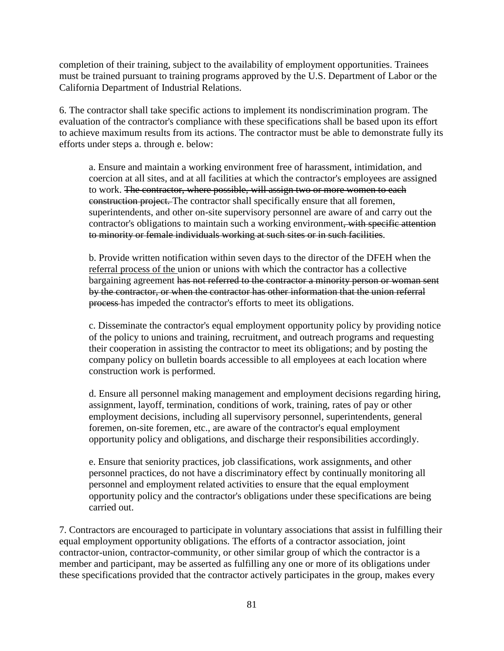completion of their training, subject to the availability of employment opportunities. Trainees must be trained pursuant to training programs approved by the U.S. Department of Labor or the California Department of Industrial Relations.

6. The contractor shall take specific actions to implement its nondiscrimination program. The evaluation of the contractor's compliance with these specifications shall be based upon its effort to achieve maximum results from its actions. The contractor must be able to demonstrate fully its efforts under steps a. through e. below:

a. Ensure and maintain a working environment free of harassment, intimidation, and coercion at all sites, and at all facilities at which the contractor's employees are assigned to work. The contractor, where possible, will assign two or more women to each construction project. The contractor shall specifically ensure that all foremen, superintendents, and other on-site supervisory personnel are aware of and carry out the contractor's obligations to maintain such a working environment, with specific attention to minority or female individuals working at such sites or in such facilities.

b. Provide written notification within seven days to the director of the DFEH when the referral process of the union or unions with which the contractor has a collective bargaining agreement has not referred to the contractor a minority person or woman sent by the contractor, or when the contractor has other information that the union referral process has impeded the contractor's efforts to meet its obligations.

c. Disseminate the contractor's equal employment opportunity policy by providing notice of the policy to unions and training, recruitment, and outreach programs and requesting their cooperation in assisting the contractor to meet its obligations; and by posting the company policy on bulletin boards accessible to all employees at each location where construction work is performed.

d. Ensure all personnel making management and employment decisions regarding hiring, assignment, layoff, termination, conditions of work, training, rates of pay or other employment decisions, including all supervisory personnel, superintendents, general foremen, on-site foremen, etc., are aware of the contractor's equal employment opportunity policy and obligations, and discharge their responsibilities accordingly.

e. Ensure that seniority practices, job classifications, work assignments, and other personnel practices, do not have a discriminatory effect by continually monitoring all personnel and employment related activities to ensure that the equal employment opportunity policy and the contractor's obligations under these specifications are being carried out.

7. Contractors are encouraged to participate in voluntary associations that assist in fulfilling their equal employment opportunity obligations. The efforts of a contractor association, joint contractor-union, contractor-community, or other similar group of which the contractor is a member and participant, may be asserted as fulfilling any one or more of its obligations under these specifications provided that the contractor actively participates in the group, makes every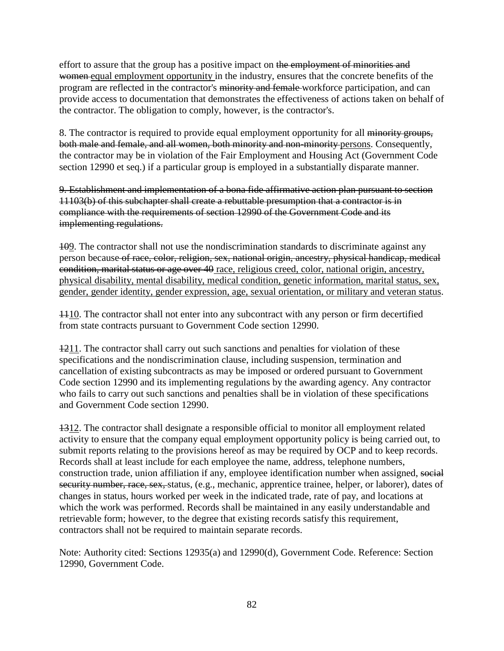effort to assure that the group has a positive impact on the employment of minorities and women equal employment opportunity in the industry, ensures that the concrete benefits of the program are reflected in the contractor's minority and female workforce participation, and can provide access to documentation that demonstrates the effectiveness of actions taken on behalf of the contractor. The obligation to comply, however, is the contractor's.

8. The contractor is required to provide equal employment opportunity for all minority groups, both male and female, and all women, both minority and non-minority persons. Consequently, the contractor may be in violation of the Fair Employment and Housing Act (Government Code section 12990 et seq.) if a particular group is employed in a substantially disparate manner.

9. Establishment and implementation of a bona fide affirmative action plan pursuant to section 11103(b) of this subchapter shall create a rebuttable presumption that a contractor is in compliance with the requirements of section 12990 of the Government Code and its implementing regulations.

109. The contractor shall not use the nondiscrimination standards to discriminate against any person because of race, color, religion, sex, national origin, ancestry, physical handicap, medical condition, marital status or age over 40 race, religious creed, color, national origin, ancestry, physical disability, mental disability, medical condition, genetic information, marital status, sex, gender, gender identity, gender expression, age, sexual orientation, or military and veteran status.

1110. The contractor shall not enter into any subcontract with any person or firm decertified from state contracts pursuant to Government Code section 12990.

1211. The contractor shall carry out such sanctions and penalties for violation of these specifications and the nondiscrimination clause, including suspension, termination and cancellation of existing subcontracts as may be imposed or ordered pursuant to Government Code section 12990 and its implementing regulations by the awarding agency. Any contractor who fails to carry out such sanctions and penalties shall be in violation of these specifications and Government Code section 12990.

1312. The contractor shall designate a responsible official to monitor all employment related activity to ensure that the company equal employment opportunity policy is being carried out, to submit reports relating to the provisions hereof as may be required by OCP and to keep records. Records shall at least include for each employee the name, address, telephone numbers, construction trade, union affiliation if any, employee identification number when assigned, social security number, race, sex, status, (e.g., mechanic, apprentice trainee, helper, or laborer), dates of changes in status, hours worked per week in the indicated trade, rate of pay, and locations at which the work was performed. Records shall be maintained in any easily understandable and retrievable form; however, to the degree that existing records satisfy this requirement, contractors shall not be required to maintain separate records.

Note: Authority cited: Sections 12935(a) and 12990(d), Government Code. Reference: Section 12990, Government Code.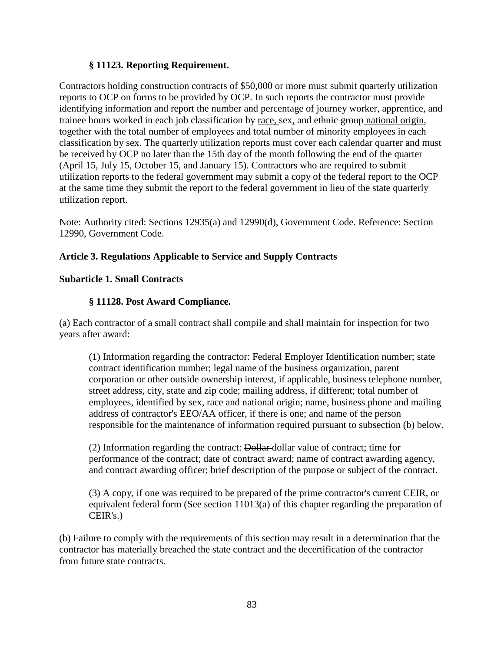### **§ 11123. Reporting Requirement.**

Contractors holding construction contracts of \$50,000 or more must submit quarterly utilization reports to OCP on forms to be provided by OCP. In such reports the contractor must provide identifying information and report the number and percentage of journey worker, apprentice, and trainee hours worked in each job classification by race, sex, and ethnic group national origin, together with the total number of employees and total number of minority employees in each classification by sex. The quarterly utilization reports must cover each calendar quarter and must be received by OCP no later than the 15th day of the month following the end of the quarter (April 15, July 15, October 15, and January 15). Contractors who are required to submit utilization reports to the federal government may submit a copy of the federal report to the OCP at the same time they submit the report to the federal government in lieu of the state quarterly utilization report.

Note: Authority cited: Sections 12935(a) and 12990(d), Government Code. Reference: Section 12990, Government Code.

### **Article 3. Regulations Applicable to Service and Supply Contracts**

#### **Subarticle 1. Small Contracts**

#### **§ 11128. Post Award Compliance.**

(a) Each contractor of a small contract shall compile and shall maintain for inspection for two years after award:

(1) Information regarding the contractor: Federal Employer Identification number; state contract identification number; legal name of the business organization, parent corporation or other outside ownership interest, if applicable, business telephone number, street address, city, state and zip code; mailing address, if different; total number of employees, identified by sex, race and national origin; name, business phone and mailing address of contractor's EEO/AA officer, if there is one; and name of the person responsible for the maintenance of information required pursuant to subsection (b) below.

(2) Information regarding the contract: Dollar dollar value of contract; time for performance of the contract; date of contract award; name of contract awarding agency, and contract awarding officer; brief description of the purpose or subject of the contract.

(3) A copy, if one was required to be prepared of the prime contractor's current CEIR, or equivalent federal form (See section 11013(a) of this chapter regarding the preparation of CEIR's.)

(b) Failure to comply with the requirements of this section may result in a determination that the contractor has materially breached the state contract and the decertification of the contractor from future state contracts.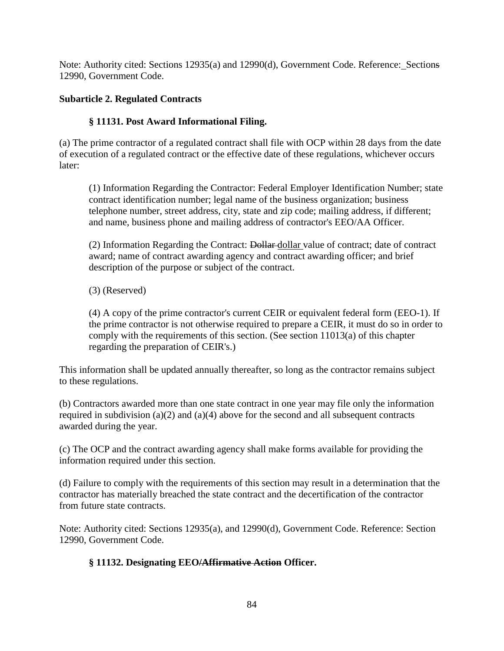Note: Authority cited: Sections 12935(a) and 12990(d), Government Code. Reference: Sections 12990, Government Code.

## **Subarticle 2. Regulated Contracts**

# **§ 11131. Post Award Informational Filing.**

(a) The prime contractor of a regulated contract shall file with OCP within 28 days from the date of execution of a regulated contract or the effective date of these regulations, whichever occurs later:

(1) Information Regarding the Contractor: Federal Employer Identification Number; state contract identification number; legal name of the business organization; business telephone number, street address, city, state and zip code; mailing address, if different; and name, business phone and mailing address of contractor's EEO/AA Officer.

(2) Information Regarding the Contract: Dollar dollar value of contract; date of contract award; name of contract awarding agency and contract awarding officer; and brief description of the purpose or subject of the contract.

(3) (Reserved)

(4) A copy of the prime contractor's current CEIR or equivalent federal form (EEO-1). If the prime contractor is not otherwise required to prepare a CEIR, it must do so in order to comply with the requirements of this section. (See section 11013(a) of this chapter regarding the preparation of CEIR's.)

This information shall be updated annually thereafter, so long as the contractor remains subject to these regulations.

(b) Contractors awarded more than one state contract in one year may file only the information required in subdivision (a)(2) and (a)(4) above for the second and all subsequent contracts awarded during the year.

(c) The OCP and the contract awarding agency shall make forms available for providing the information required under this section.

(d) Failure to comply with the requirements of this section may result in a determination that the contractor has materially breached the state contract and the decertification of the contractor from future state contracts.

Note: Authority cited: Sections 12935(a), and 12990(d), Government Code. Reference: Section 12990, Government Code.

# **§ 11132. Designating EEO/Affirmative Action Officer.**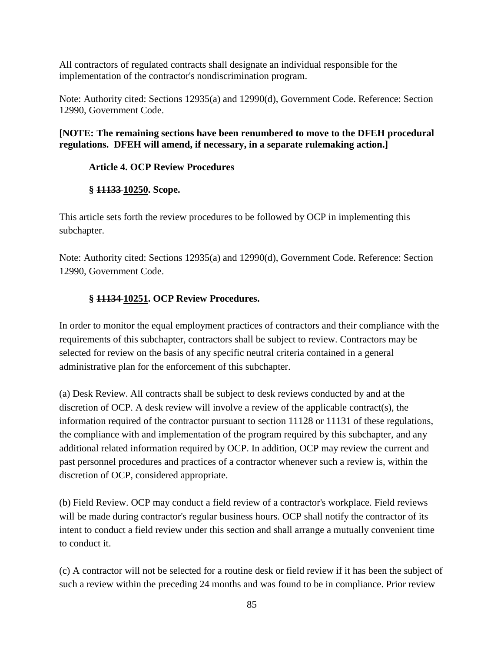All contractors of regulated contracts shall designate an individual responsible for the implementation of the contractor's nondiscrimination program.

Note: Authority cited: Sections 12935(a) and 12990(d), Government Code. Reference: Section 12990, Government Code.

## **[NOTE: The remaining sections have been renumbered to move to the DFEH procedural regulations. DFEH will amend, if necessary, in a separate rulemaking action.]**

# **Article 4. OCP Review Procedures**

# **§ 11133 10250. Scope.**

This article sets forth the review procedures to be followed by OCP in implementing this subchapter.

Note: Authority cited: Sections 12935(a) and 12990(d), Government Code. Reference: Section 12990, Government Code.

# **§ 11134 10251. OCP Review Procedures.**

In order to monitor the equal employment practices of contractors and their compliance with the requirements of this subchapter, contractors shall be subject to review. Contractors may be selected for review on the basis of any specific neutral criteria contained in a general administrative plan for the enforcement of this subchapter.

(a) Desk Review. All contracts shall be subject to desk reviews conducted by and at the discretion of OCP. A desk review will involve a review of the applicable contract(s), the information required of the contractor pursuant to section 11128 or 11131 of these regulations, the compliance with and implementation of the program required by this subchapter, and any additional related information required by OCP. In addition, OCP may review the current and past personnel procedures and practices of a contractor whenever such a review is, within the discretion of OCP, considered appropriate.

(b) Field Review. OCP may conduct a field review of a contractor's workplace. Field reviews will be made during contractor's regular business hours. OCP shall notify the contractor of its intent to conduct a field review under this section and shall arrange a mutually convenient time to conduct it.

(c) A contractor will not be selected for a routine desk or field review if it has been the subject of such a review within the preceding 24 months and was found to be in compliance. Prior review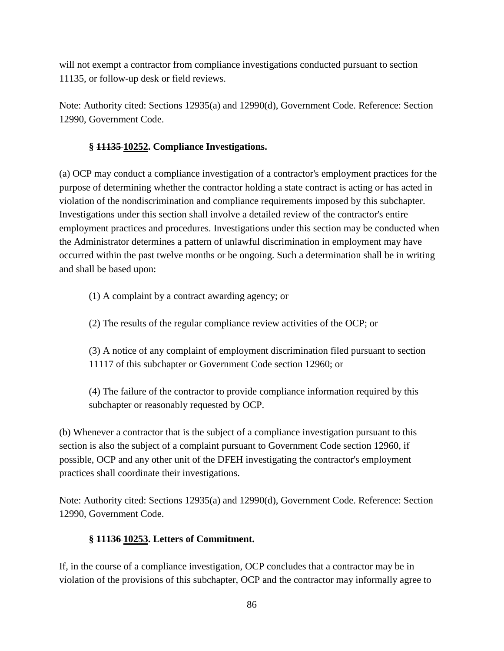will not exempt a contractor from compliance investigations conducted pursuant to section 11135, or follow-up desk or field reviews.

Note: Authority cited: Sections 12935(a) and 12990(d), Government Code. Reference: Section 12990, Government Code.

# **§ 11135 10252. Compliance Investigations.**

(a) OCP may conduct a compliance investigation of a contractor's employment practices for the purpose of determining whether the contractor holding a state contract is acting or has acted in violation of the nondiscrimination and compliance requirements imposed by this subchapter. Investigations under this section shall involve a detailed review of the contractor's entire employment practices and procedures. Investigations under this section may be conducted when the Administrator determines a pattern of unlawful discrimination in employment may have occurred within the past twelve months or be ongoing. Such a determination shall be in writing and shall be based upon:

(1) A complaint by a contract awarding agency; or

(2) The results of the regular compliance review activities of the OCP; or

(3) A notice of any complaint of employment discrimination filed pursuant to section 11117 of this subchapter or Government Code section 12960; or

(4) The failure of the contractor to provide compliance information required by this subchapter or reasonably requested by OCP.

(b) Whenever a contractor that is the subject of a compliance investigation pursuant to this section is also the subject of a complaint pursuant to Government Code section 12960, if possible, OCP and any other unit of the DFEH investigating the contractor's employment practices shall coordinate their investigations.

Note: Authority cited: Sections 12935(a) and 12990(d), Government Code. Reference: Section 12990, Government Code.

# **§ 11136 10253. Letters of Commitment.**

If, in the course of a compliance investigation, OCP concludes that a contractor may be in violation of the provisions of this subchapter, OCP and the contractor may informally agree to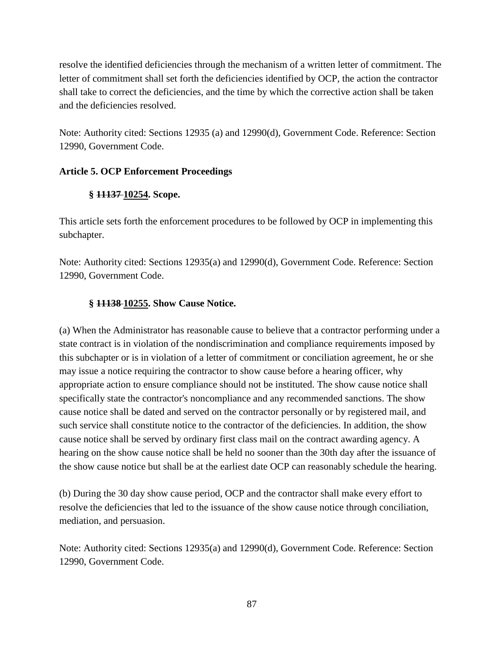resolve the identified deficiencies through the mechanism of a written letter of commitment. The letter of commitment shall set forth the deficiencies identified by OCP, the action the contractor shall take to correct the deficiencies, and the time by which the corrective action shall be taken and the deficiencies resolved.

Note: Authority cited: Sections 12935 (a) and 12990(d), Government Code. Reference: Section 12990, Government Code.

## **Article 5. OCP Enforcement Proceedings**

## **§ 11137 10254. Scope.**

This article sets forth the enforcement procedures to be followed by OCP in implementing this subchapter.

Note: Authority cited: Sections 12935(a) and 12990(d), Government Code. Reference: Section 12990, Government Code.

## **§ 11138 10255. Show Cause Notice.**

(a) When the Administrator has reasonable cause to believe that a contractor performing under a state contract is in violation of the nondiscrimination and compliance requirements imposed by this subchapter or is in violation of a letter of commitment or conciliation agreement, he or she may issue a notice requiring the contractor to show cause before a hearing officer, why appropriate action to ensure compliance should not be instituted. The show cause notice shall specifically state the contractor's noncompliance and any recommended sanctions. The show cause notice shall be dated and served on the contractor personally or by registered mail, and such service shall constitute notice to the contractor of the deficiencies. In addition, the show cause notice shall be served by ordinary first class mail on the contract awarding agency. A hearing on the show cause notice shall be held no sooner than the 30th day after the issuance of the show cause notice but shall be at the earliest date OCP can reasonably schedule the hearing.

(b) During the 30 day show cause period, OCP and the contractor shall make every effort to resolve the deficiencies that led to the issuance of the show cause notice through conciliation, mediation, and persuasion.

Note: Authority cited: Sections 12935(a) and 12990(d), Government Code. Reference: Section 12990, Government Code.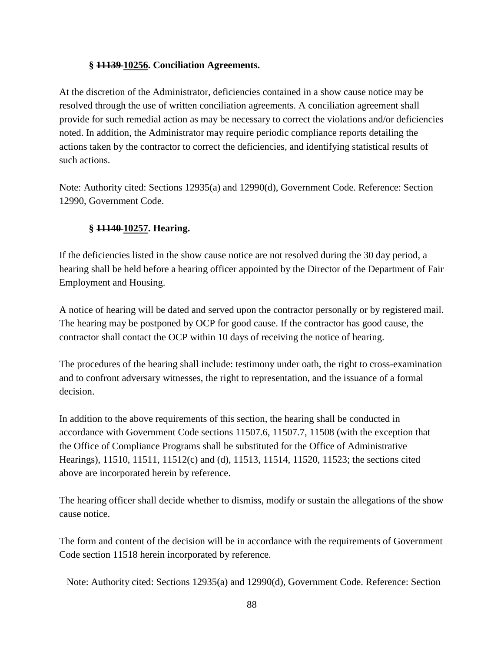### **§ 11139 10256. Conciliation Agreements.**

At the discretion of the Administrator, deficiencies contained in a show cause notice may be resolved through the use of written conciliation agreements. A conciliation agreement shall provide for such remedial action as may be necessary to correct the violations and/or deficiencies noted. In addition, the Administrator may require periodic compliance reports detailing the actions taken by the contractor to correct the deficiencies, and identifying statistical results of such actions.

Note: Authority cited: Sections 12935(a) and 12990(d), Government Code. Reference: Section 12990, Government Code.

### **§ 11140 10257. Hearing.**

If the deficiencies listed in the show cause notice are not resolved during the 30 day period, a hearing shall be held before a hearing officer appointed by the Director of the Department of Fair Employment and Housing.

A notice of hearing will be dated and served upon the contractor personally or by registered mail. The hearing may be postponed by OCP for good cause. If the contractor has good cause, the contractor shall contact the OCP within 10 days of receiving the notice of hearing.

The procedures of the hearing shall include: testimony under oath, the right to cross-examination and to confront adversary witnesses, the right to representation, and the issuance of a formal decision.

In addition to the above requirements of this section, the hearing shall be conducted in accordance with Government Code sections 11507.6, 11507.7, 11508 (with the exception that the Office of Compliance Programs shall be substituted for the Office of Administrative Hearings), 11510, 11511, 11512(c) and (d), 11513, 11514, 11520, 11523; the sections cited above are incorporated herein by reference.

The hearing officer shall decide whether to dismiss, modify or sustain the allegations of the show cause notice.

The form and content of the decision will be in accordance with the requirements of Government Code section 11518 herein incorporated by reference.

Note: Authority cited: Sections 12935(a) and 12990(d), Government Code. Reference: Section